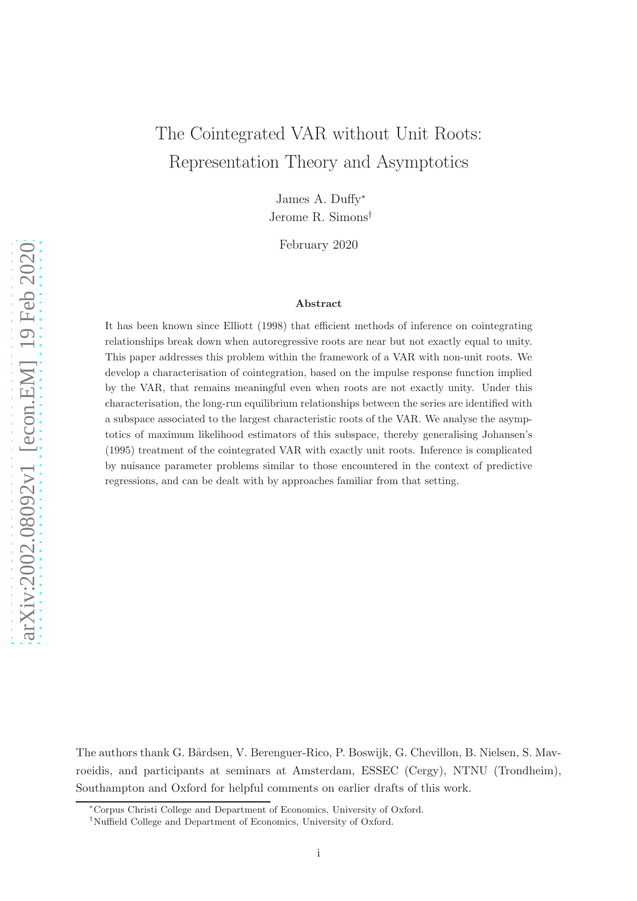# The Cointegrated VAR without Unit Roots: Representation Theory and Asymptotics

James A. Duffy<sup>∗</sup> Jerome R. Simons†

February 2020

#### Abstract

It has been known since Elliott (1998) that efficient methods of inference on cointegrating relationships break down when autoregressive roots are near but not exactly equal to unity. This paper addresses this problem within the framework of a VAR with non-unit roots. We develop a characterisation of cointegration, based on the impulse response function implied by the VAR, that remains meaningful even when roots are not exactly unity. Under this characterisation, the long-run equilibrium relationships between the series are identified with a subspace associated to the largest characteristic roots of the VAR. We analyse the asymptotics of maximum likelihood estimators of this subspace, thereby generalising Johansen's (1995) treatment of the cointegrated VAR with exactly unit roots. Inference is complicated by nuisance parameter problems similar to those encountered in the context of predictive regressions, and can be dealt with by approaches familiar from that setting.

The authors thank G. Bårdsen, V. Berenguer-Rico, P. Boswijk, G. Chevillon, B. Nielsen, S. Mavroeidis, and participants at seminars at Amsterdam, ESSEC (Cergy), NTNU (Trondheim), Southampton and Oxford for helpful comments on earlier drafts of this work.

<sup>∗</sup>Corpus Christi College and Department of Economics, University of Oxford.

<sup>†</sup>Nuffield College and Department of Economics, University of Oxford.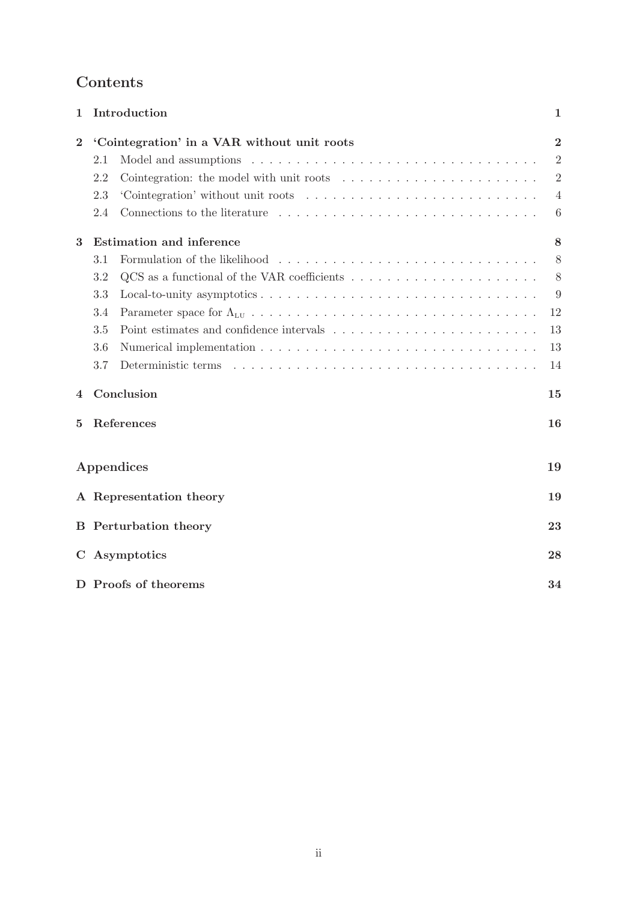## Contents

| 1              | Introduction                                                                                         | 1              |
|----------------|------------------------------------------------------------------------------------------------------|----------------|
| $\overline{2}$ | 'Cointegration' in a VAR without unit roots                                                          | $\overline{2}$ |
|                | 2.1                                                                                                  | $\overline{2}$ |
|                | Cointegration: the model with unit roots $\ldots \ldots \ldots \ldots \ldots \ldots \ldots$<br>2.2   | $\overline{2}$ |
|                | 2.3                                                                                                  | $\overline{4}$ |
|                | 2.4                                                                                                  | 6              |
| 3              | <b>Estimation and inference</b>                                                                      | 8              |
|                | 3.1                                                                                                  | 8              |
|                | 3.2<br>QCS as a functional of the VAR coefficients $\dots \dots \dots \dots \dots \dots \dots \dots$ | 8              |
|                | 3.3                                                                                                  | 9              |
|                | 3.4                                                                                                  | 12             |
|                | 3.5                                                                                                  | 13             |
|                | 3.6                                                                                                  | 13             |
|                | 3.7                                                                                                  | 14             |
| 4              | Conclusion                                                                                           | 15             |
| 5              | References                                                                                           | 16             |
|                | Appendices                                                                                           | 19             |
|                | A Representation theory                                                                              | 19             |
|                | <b>B</b> Perturbation theory                                                                         | 23             |
|                | C Asymptotics                                                                                        | 28             |
|                | D Proofs of theorems                                                                                 | 34             |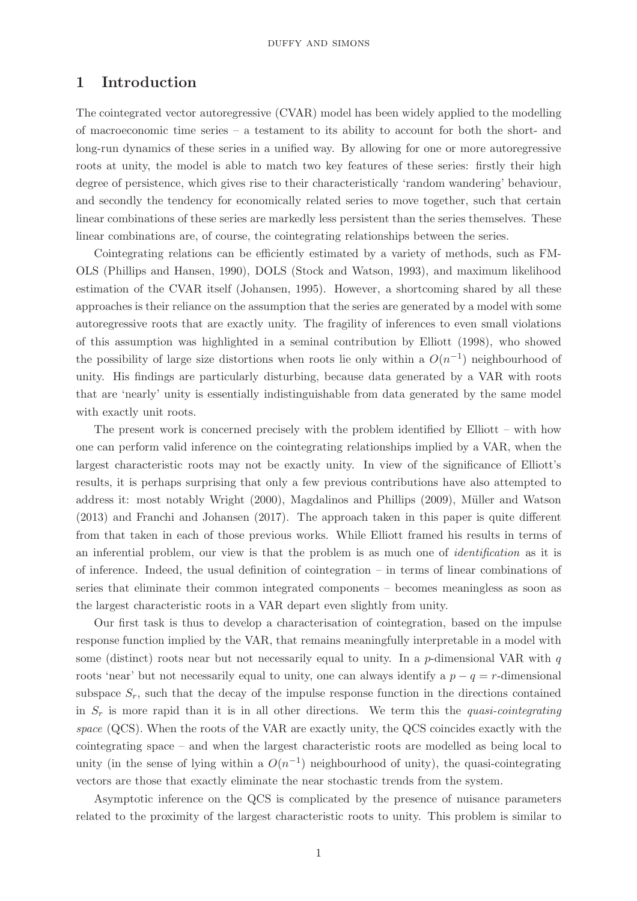## <span id="page-2-0"></span>1 Introduction

The cointegrated vector autoregressive (CVAR) model has been widely applied to the modelling of macroeconomic time series – a testament to its ability to account for both the short- and long-run dynamics of these series in a unified way. By allowing for one or more autoregressive roots at unity, the model is able to match two key features of these series: firstly their high degree of persistence, which gives rise to their characteristically 'random wandering' behaviour, and secondly the tendency for economically related series to move together, such that certain linear combinations of these series are markedly less persistent than the series themselves. These linear combinations are, of course, the cointegrating relationships between the series.

Cointegrating relations can be efficiently estimated by a variety of methods, such as FM-OLS [\(Phillips and Hansen, 1990](#page-18-0)), DOLS [\(Stock and Watson](#page-18-1), [1993](#page-18-1)), and maximum likelihood estimation of the CVAR itself [\(Johansen, 1995\)](#page-17-1). However, a shortcoming shared by all these approaches is their reliance on the assumption that the series are generated by a model with some autoregressive roots that are exactly unity. The fragility of inferences to even small violations of this assumption was highlighted in a seminal contribution by [Elliott \(1998](#page-17-2)), who showed the possibility of large size distortions when roots lie only within a  $O(n^{-1})$  neighbourhood of unity. His findings are particularly disturbing, because data generated by a VAR with roots that are 'nearly' unity is essentially indistinguishable from data generated by the same model with exactly unit roots.

The present work is concerned precisely with the problem identified by Elliott – with how one can perform valid inference on the cointegrating relationships implied by a VAR, when the largest characteristic roots may not be exactly unity. In view of the significance of Elliott's results, it is perhaps surprising that only a few previous contributions have also attempted to address it: most notably [Wright \(2000](#page-18-2)), [Magdalinos and Phillips \(2009\)](#page-17-3), Müller and Watson [\(2013\)](#page-18-3) and [Franchi and Johansen \(2017](#page-17-4)). The approach taken in this paper is quite different from that taken in each of those previous works. While Elliott framed his results in terms of an inferential problem, our view is that the problem is as much one of identification as it is of inference. Indeed, the usual definition of cointegration – in terms of linear combinations of series that eliminate their common integrated components – becomes meaningless as soon as the largest characteristic roots in a VAR depart even slightly from unity.

Our first task is thus to develop a characterisation of cointegration, based on the impulse response function implied by the VAR, that remains meaningfully interpretable in a model with some (distinct) roots near but not necessarily equal to unity. In a p-dimensional VAR with  $q$ roots 'near' but not necessarily equal to unity, one can always identify a  $p - q = r$ -dimensional subspace  $S_r$ , such that the decay of the impulse response function in the directions contained in  $S_r$  is more rapid than it is in all other directions. We term this the quasi-cointegrating space (QCS). When the roots of the VAR are exactly unity, the QCS coincides exactly with the cointegrating space – and when the largest characteristic roots are modelled as being local to unity (in the sense of lying within a  $O(n^{-1})$  neighbourhood of unity), the quasi-cointegrating vectors are those that exactly eliminate the near stochastic trends from the system.

Asymptotic inference on the QCS is complicated by the presence of nuisance parameters related to the proximity of the largest characteristic roots to unity. This problem is similar to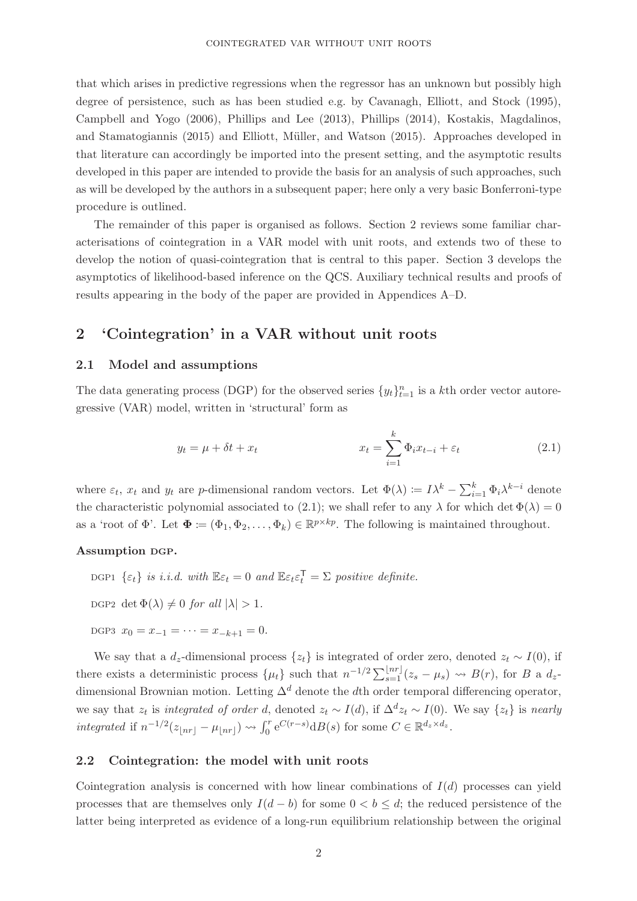that which arises in predictive regressions when the regressor has an unknown but possibly high degree of persistence, such as has been studied e.g. by [Cavanagh, Elliott, and Stock \(1995\)](#page-17-5), [Campbell and Yogo \(2006](#page-17-6)[\),](#page-17-7) [Phillips and Lee \(2013](#page-18-4)[\),](#page-17-7) [Phillips](#page-18-5) [\(2014](#page-18-5)), Kostakis, Magdalinos, and Stamatogiannis [\(2015](#page-17-7)) and Elliott, Müller, and Watson [\(2015\)](#page-17-8). Approaches developed in that literature can accordingly be imported into the present setting, and the asymptotic results developed in this paper are intended to provide the basis for an analysis of such approaches, such as will be developed by the authors in a subsequent paper; here only a very basic Bonferroni-type procedure is outlined.

The remainder of this paper is organised as follows. Section [2](#page-3-0) reviews some familiar characterisations of cointegration in a VAR model with unit roots, and extends two of these to develop the notion of quasi-cointegration that is central to this paper. Section [3](#page-9-0) develops the asymptotics of likelihood-based inference on the QCS. Auxiliary technical results and proofs of results appearing in the body of the paper are provided in Appendices [A](#page-20-1)[–D.](#page-35-0)

## <span id="page-3-1"></span><span id="page-3-0"></span>2 'Cointegration' in a VAR without unit roots

#### 2.1 Model and assumptions

The data generating process (DGP) for the observed series  $\{y_t\}_{t=1}^n$  is a kth order vector autoregressive (VAR) model, written in 'structural' form as

<span id="page-3-3"></span>
$$
y_t = \mu + \delta t + x_t \qquad \qquad x_t = \sum_{i=1}^k \Phi_i x_{t-i} + \varepsilon_t \qquad (2.1)
$$

where  $\varepsilon_t$ ,  $x_t$  and  $y_t$  are p-dimensional random vectors. Let  $\Phi(\lambda) := I\lambda^k - \sum_{i=1}^k \Phi_i \lambda^{k-i}$  denote the characteristic polynomial associated to [\(2.1\)](#page-3-3); we shall refer to any  $\lambda$  for which det  $\Phi(\lambda) = 0$ as a 'root of  $\Phi$ '. Let  $\Phi := (\Phi_1, \Phi_2, \dots, \Phi_k) \in \mathbb{R}^{p \times kp}$ . The following is maintained throughout.

#### <span id="page-3-4"></span>Assumption DGP.

- [DGP1](#page-3-4)  $\{\varepsilon_t\}$  is i.i.d. with  $\mathbb{E}\varepsilon_t = 0$  and  $\mathbb{E}\varepsilon_t \varepsilon_t^{\mathsf{T}} = \Sigma$  positive definite.
- [DGP2](#page-3-4) det  $\Phi(\lambda) \neq 0$  for all  $|\lambda| > 1$ .
- [DGP3](#page-3-4)  $x_0 = x_{-1} = \cdots = x_{-k+1} = 0$ .

We say that a  $d_z$ -dimensional process  $\{z_t\}$  is integrated of order zero, denoted  $z_t \sim I(0)$ , if there exists a deterministic process  $\{\mu_t\}$  such that  $n^{-1/2} \sum_{s=1}^{\lfloor nr \rfloor} (z_s - \mu_s) \leadsto B(r)$ , for B a  $d_z$ dimensional Brownian motion. Letting  $\Delta^d$  denote the dth order temporal differencing operator, we say that  $z_t$  is integrated of order d, denoted  $z_t \sim I(d)$ , if  $\Delta^d z_t \sim I(0)$ . We say  $\{z_t\}$  is nearly integrated if  $n^{-1/2}(z_{\lfloor nr \rfloor} - \mu_{\lfloor nr \rfloor}) \leadsto \int_0^r e^{C(r-s)} dB(s)$  for some  $C \in \mathbb{R}^{d_z \times d_z}$ .

#### <span id="page-3-2"></span>2.2 Cointegration: the model with unit roots

Cointegration analysis is concerned with how linear combinations of  $I(d)$  processes can yield processes that are themselves only  $I(d - b)$  for some  $0 < b \le d$ ; the reduced persistence of the latter being interpreted as evidence of a long-run equilibrium relationship between the original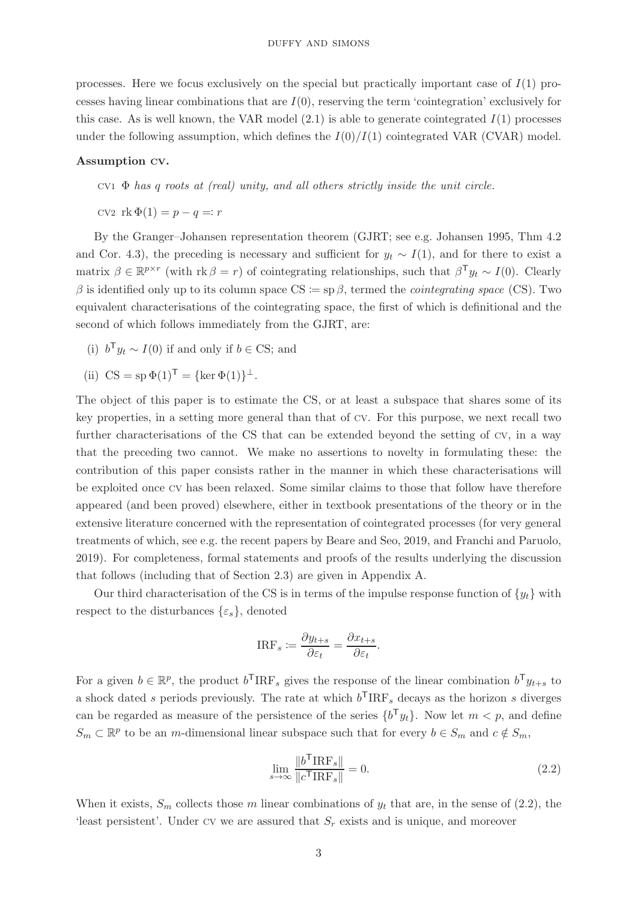processes. Here we focus exclusively on the special but practically important case of  $I(1)$  processes having linear combinations that are  $I(0)$ , reserving the term 'cointegration' exclusively for this case. As is well known, the VAR model  $(2.1)$  is able to generate cointegrated  $I(1)$  processes under the following assumption, which defines the  $I(0)/I(1)$  cointegrated VAR (CVAR) model.

#### <span id="page-4-2"></span><span id="page-4-0"></span>Assumption CV.

<span id="page-4-3"></span>[CV1](#page-4-0)  $\Phi$  has q roots at (real) unity, and all others strictly inside the unit circle.

[CV2](#page-4-0) rk  $\Phi(1) = p - q =: r$ 

By the Granger–Johansen representation theorem (GJRT; see e.g. [Johansen 1995,](#page-17-1) Thm 4.2 and Cor. 4.3), the preceding is necessary and sufficient for  $y_t \sim I(1)$ , and for there to exist a matrix  $\beta \in \mathbb{R}^{p \times r}$  (with  $\mathrm{rk}\,\beta = r$ ) of cointegrating relationships, such that  $\beta^{\mathsf{T}} y_t \sim I(0)$ . Clearly β is identified only up to its column space  $\text{CS} \coloneqq \text{sp } \beta$ , termed the *cointegrating space* (CS). Two equivalent characterisations of the cointegrating space, the first of which is definitional and the second of which follows immediately from the GJRT, are:

- (i)  $b^{\mathsf{T}} y_t \sim I(0)$  if and only if  $b \in \text{CS}$ ; and
- (ii)  $CS = sp \Phi(1)^{\mathsf{T}} = {\text{ker } \Phi(1)}^{\perp}.$

The object of this paper is to estimate the CS, or at least a subspace that shares some of its key properties, in a setting more general than that of [CV](#page-4-0). For this purpose, we next recall two further characterisations of the CS that can be extended beyond the setting of [CV](#page-4-0), in a way that the preceding two cannot. We make no assertions to novelty in formulating these: the contribution of this paper consists rather in the manner in which these characterisations will be exploited once [CV](#page-4-0) has been relaxed. Some similar claims to those that follow have therefore appeared (and been proved) elsewhere, either in textbook presentations of the theory or in the extensive literature concerned with the representation of cointegrated processes (for very general treatments of which, see e.g. the recent papers by [Beare and Seo](#page-17-9), [2019,](#page-17-9) and [Franchi and Paruolo](#page-17-10), [2019\)](#page-17-10). For completeness, formal statements and proofs of the results underlying the discussion that follows (including that of Section [2.3\)](#page-5-0) are given in Appendix [A.](#page-20-1)

Our third characterisation of the CS is in terms of the impulse response function of  $\{y_t\}$  with respect to the disturbances  $\{\varepsilon_s\}$ , denoted

$$
IRF_s := \frac{\partial y_{t+s}}{\partial \varepsilon_t} = \frac{\partial x_{t+s}}{\partial \varepsilon_t}.
$$

For a given  $b \in \mathbb{R}^p$ , the product  $b^{\mathsf{T}} \text{IRF}_s$  gives the response of the linear combination  $b^{\mathsf{T}} y_{t+s}$  to a shock dated s periods previously. The rate at which  $b^{\mathsf{T}} I R F_s$  decays as the horizon s diverges can be regarded as measure of the persistence of the series  $\{b^{\mathsf{T}} y_t\}$ . Now let  $m < p$ , and define  $S_m \subset \mathbb{R}^p$  to be an m-dimensional linear subspace such that for every  $b \in S_m$  and  $c \notin S_m$ ,

<span id="page-4-1"></span>
$$
\lim_{s \to \infty} \frac{\|b^{\mathsf{T}} \text{IRF}_s\|}{\|c^{\mathsf{T}} \text{IRF}_s\|} = 0.
$$
\n(2.2)

When it exists,  $S_m$  collects those m linear combinations of  $y_t$  that are, in the sense of [\(2.2\)](#page-4-1), the 'least persistent'. Under [CV](#page-4-0) we are assured that  $S_r$  exists and is unique, and moreover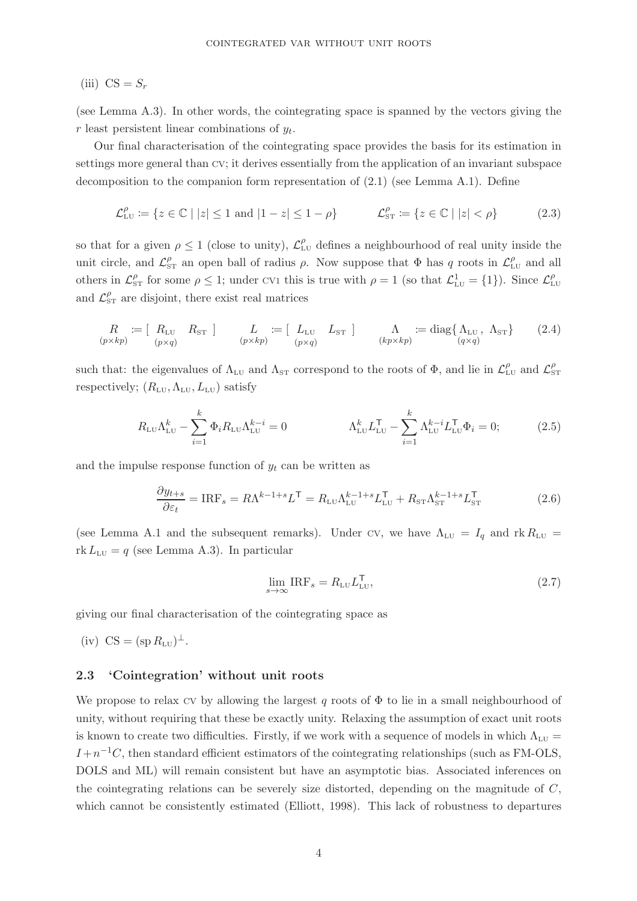(iii)  $CS = S_r$ 

(see Lemma [A.3\)](#page-21-0). In other words, the cointegrating space is spanned by the vectors giving the r least persistent linear combinations of  $y_t$ .

Our final characterisation of the cointegrating space provides the basis for its estimation in settings more general than [CV](#page-4-0); it derives essentially from the application of an invariant subspace decomposition to the companion form representation of [\(2.1\)](#page-3-3) (see Lemma [A.1\)](#page-20-2). Define

$$
\mathcal{L}^{\rho}_{\text{LU}} \coloneqq \{ z \in \mathbb{C} \mid |z| \le 1 \text{ and } |1 - z| \le 1 - \rho \} \qquad \mathcal{L}^{\rho}_{\text{ST}} \coloneqq \{ z \in \mathbb{C} \mid |z| < \rho \} \tag{2.3}
$$

so that for a given  $\rho \leq 1$  (close to unity),  $\mathcal{L}_{\text{LU}}^{\rho}$  defines a neighbourhood of real unity inside the unit circle, and  $\mathcal{L}^{\rho}_{ST}$  an open ball of radius  $\rho$ . Now suppose that  $\Phi$  has q roots in  $\mathcal{L}^{\rho}_{LU}$  and all others in  $\mathcal{L}^{\rho}_{ST}$  for some  $\rho \leq 1$  $\rho \leq 1$ ; under [CV](#page-4-0)1 this is true with  $\rho = 1$  (so that  $\mathcal{L}^1_{LU} = \{1\}$ ). Since  $\mathcal{L}^{\rho}_{LU}$ and  $\mathcal{L}^{\rho}_{ST}$  are disjoint, there exist real matrices

$$
\underset{(p \times kp)}{R} := \left[ \begin{array}{cc} R_{\text{LU}} & R_{\text{ST}} \end{array} \right] \qquad \underset{(p \times kp)}{L} := \left[ \begin{array}{cc} L_{\text{LU}} & L_{\text{ST}} \end{array} \right] \qquad \underset{(kp \times kp)}{\Lambda} := \text{diag}\left\{ \begin{array}{c} \Lambda_{\text{LU}}, \ \Lambda_{\text{ST}} \end{array} \right\} \tag{2.4}
$$

such that: the eigenvalues of  $\Lambda_{\text{LU}}$  and  $\Lambda_{\text{ST}}$  correspond to the roots of  $\Phi$ , and lie in  $\mathcal{L}_{\text{LU}}^{\rho}$  and  $\mathcal{L}_{\text{ST}}^{\rho}$ respectively;  $(R_{\text{LU}}, \Lambda_{\text{LU}}, L_{\text{LU}})$  satisfy

$$
R_{\text{LU}} \Lambda_{\text{LU}}^k - \sum_{i=1}^k \Phi_i R_{\text{LU}} \Lambda_{\text{LU}}^{k-i} = 0 \qquad \Lambda_{\text{LU}}^k L_{\text{LU}}^{\mathsf{T}} - \sum_{i=1}^k \Lambda_{\text{LU}}^{k-i} L_{\text{LU}}^{\mathsf{T}} \Phi_i = 0; \qquad (2.5)
$$

and the impulse response function of  $y_t$  can be written as

<span id="page-5-2"></span>
$$
\frac{\partial y_{t+s}}{\partial \varepsilon_t} = \text{IRF}_s = R\Lambda^{k-1+s}L^{\mathsf{T}} = R_{\text{LU}}\Lambda_{\text{LU}}^{k-1+s}L_{\text{LU}}^{\mathsf{T}} + R_{\text{ST}}\Lambda_{\text{ST}}^{k-1+s}L_{\text{ST}}^{\mathsf{T}}
$$
(2.6)

(see Lemma [A.1](#page-20-2) and the subsequent remarks). Under [CV](#page-4-0), we have  $\Lambda_{\text{LU}} = I_q$  and  $\text{rk } R_{\text{LU}} =$ rk  $L_{\text{LU}} = q$  (see Lemma [A.3\)](#page-21-0). In particular

<span id="page-5-3"></span><span id="page-5-1"></span>
$$
\lim_{s \to \infty} \text{IRF}_s = R_{\text{LU}} L_{\text{LU}}^{\mathsf{T}},\tag{2.7}
$$

giving our final characterisation of the cointegrating space as

<span id="page-5-0"></span> $(iv) \ \text{CS} = (\text{sp } R_{\text{LU}})^{\perp}.$ 

#### 2.3 'Cointegration' without unit roots

We propose to relax [CV](#page-4-0) by allowing the largest q roots of  $\Phi$  to lie in a small neighbourhood of unity, without requiring that these be exactly unity. Relaxing the assumption of exact unit roots is known to create two difficulties. Firstly, if we work with a sequence of models in which  $\Lambda_{\text{LU}} =$  $I + n^{-1}C$ , then standard efficient estimators of the cointegrating relationships (such as FM-OLS, DOLS and ML) will remain consistent but have an asymptotic bias. Associated inferences on the cointegrating relations can be severely size distorted, depending on the magnitude of C, which cannot be consistently estimated [\(Elliott, 1998](#page-17-2)). This lack of robustness to departures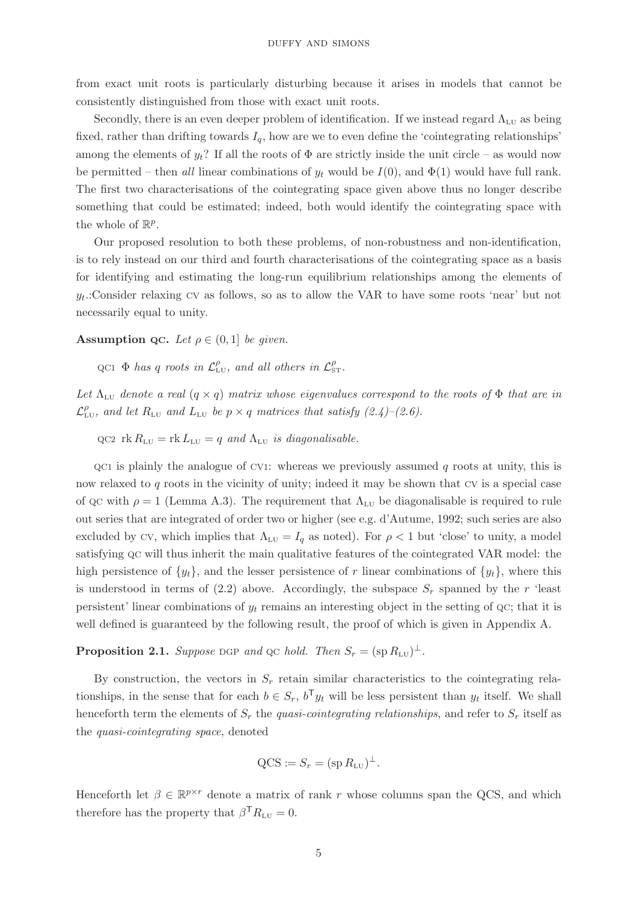from exact unit roots is particularly disturbing because it arises in models that cannot be consistently distinguished from those with exact unit roots.

Secondly, there is an even deeper problem of identification. If we instead regard  $\Lambda_{\text{LU}}$  as being fixed, rather than drifting towards  $I_q$ , how are we to even define the 'cointegrating relationships' among the elements of  $y_t$ ? If all the roots of  $\Phi$  are strictly inside the unit circle – as would now be permitted – then all linear combinations of  $y_t$  would be  $I(0)$ , and  $\Phi(1)$  would have full rank. The first two characterisations of the cointegrating space given above thus no longer describe something that could be estimated; indeed, both would identify the cointegrating space with the whole of  $\mathbb{R}^p$ .

Our proposed resolution to both these problems, of non-robustness and non-identification, is to rely instead on our third and fourth characterisations of the cointegrating space as a basis for identifying and estimating the long-run equilibrium relationships among the elements of  $y_t$ .:Consider relaxing [CV](#page-4-0) as follows, so as to allow the VAR to have some roots 'near' but not necessarily equal to unity.

<span id="page-6-1"></span><span id="page-6-0"></span>Assumption QC. Let  $\rho \in (0,1]$  be given.

[QC1](#page-6-0)  $\Phi$  has q roots in  $\mathcal{L}^{\rho}_{LU}$ , and all others in  $\mathcal{L}^{\rho}_{ST}$ .

<span id="page-6-2"></span>Let  $\Lambda_{LU}$  denote a real  $(q \times q)$  matrix whose eigenvalues correspond to the roots of  $\Phi$  that are in  $\mathcal{L}_{\text{LU}}^{\rho}$ , and let  $R_{\text{LU}}$  and  $L_{\text{LU}}$  be  $p \times q$  matrices that satisfy  $(2.4)$ - $(2.6)$ .

[QC2](#page-6-0) rk  $R_{\text{LU}} =$  rk  $L_{\text{LU}} = q$  and  $\Lambda_{\text{LU}}$  is diagonalisable.

 $QC1$  $QC1$  is plainly the analogue of [CV](#page-4-0)1: whereas we previously assumed q roots at unity, this is now relaxed to  $q$  roots in the vicinity of unity; indeed it may be shown that [CV](#page-4-0) is a special case of [QC](#page-6-0) with  $\rho = 1$  (Lemma [A.3\)](#page-21-0). The requirement that  $\Lambda_{LU}$  be diagonalisable is required to rule out series that are integrated of order two or higher (see e.g. [d'Autume](#page-17-11), [1992;](#page-17-11) such series are also excluded by [CV](#page-4-0), which implies that  $\Lambda_{LU} = I_q$  as noted). For  $\rho < 1$  but 'close' to unity, a model satisfying [QC](#page-6-0) will thus inherit the main qualitative features of the cointegrated VAR model: the high persistence of  $\{y_t\}$ , and the lesser persistence of r linear combinations of  $\{y_t\}$ , where this is understood in terms of  $(2.2)$  above. Accordingly, the subspace  $S_r$  spanned by the r 'least persistent' linear combinations of  $y_t$  remains an interesting object in the setting of  $\overline{QC}$  $\overline{QC}$  $\overline{QC}$ ; that it is well defined is guaranteed by the following result, the proof of which is given in Appendix [A.](#page-20-1)

<span id="page-6-3"></span>**Proposition 2.1.** Suppose [DGP](#page-3-4) and [QC](#page-6-0) hold. Then  $S_r = (\text{sp } R_{\text{LU}})^{\perp}$ .

By construction, the vectors in  $S_r$  retain similar characteristics to the cointegrating relationships, in the sense that for each  $b \in S_r$ ,  $b^{\mathsf{T}} y_t$  will be less persistent than  $y_t$  itself. We shall henceforth term the elements of  $S_r$  the quasi-cointegrating relationships, and refer to  $S_r$  itself as the quasi-cointegrating space, denoted

$$
QCS \coloneqq S_r = (\mathrm{sp} \, R_{\mathrm{LU}})^\perp.
$$

Henceforth let  $\beta \in \mathbb{R}^{p \times r}$  denote a matrix of rank r whose columns span the QCS, and which therefore has the property that  $\beta^{\mathsf{T}} R_{\text{\tiny LU}} = 0$ .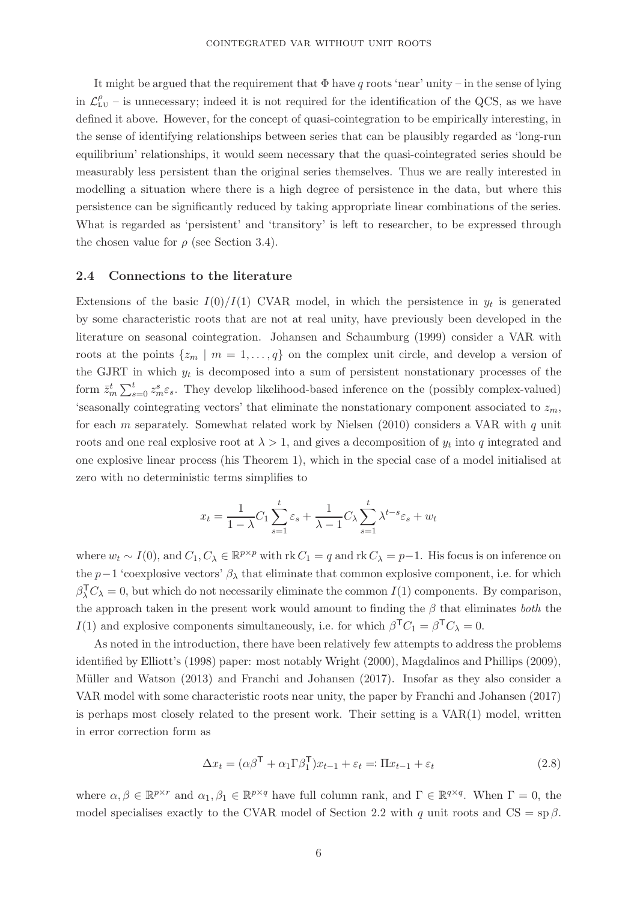It might be argued that the requirement that  $\Phi$  have q roots 'near' unity – in the sense of lying in  $\mathcal{L}_{\text{LU}}^{\rho}$  – is unnecessary; indeed it is not required for the identification of the QCS, as we have defined it above. However, for the concept of quasi-cointegration to be empirically interesting, in the sense of identifying relationships between series that can be plausibly regarded as 'long-run equilibrium' relationships, it would seem necessary that the quasi-cointegrated series should be measurably less persistent than the original series themselves. Thus we are really interested in modelling a situation where there is a high degree of persistence in the data, but where this persistence can be significantly reduced by taking appropriate linear combinations of the series. What is regarded as 'persistent' and 'transitory' is left to researcher, to be expressed through the chosen value for  $\rho$  (see Section [3.4\)](#page-13-0).

#### <span id="page-7-0"></span>2.4 Connections to the literature

Extensions of the basic  $I(0)/I(1)$  CVAR model, in which the persistence in  $y_t$  is generated by some characteristic roots that are not at real unity, have previously been developed in the literature on seasonal cointegration. [Johansen and Schaumburg \(1999\)](#page-17-12) consider a VAR with roots at the points  $\{z_m | m = 1, \ldots, q\}$  on the complex unit circle, and develop a version of the GJRT in which  $y_t$  is decomposed into a sum of persistent nonstationary processes of the form  $\bar{z}_m^t \sum_{s=0}^t z_m^s \varepsilon_s$ . They develop likelihood-based inference on the (possibly complex-valued) 's easonally cointegrating vectors' that eliminate the nonstationary component associated to  $z_m$ , for each m separately. Somewhat related work by Nielsen  $(2010)$  considers a VAR with q unit roots and one real explosive root at  $\lambda > 1$ , and gives a decomposition of  $y_t$  into q integrated and one explosive linear process (his Theorem 1), which in the special case of a model initialised at zero with no deterministic terms simplifies to

$$
x_t = \frac{1}{1 - \lambda} C_1 \sum_{s=1}^t \varepsilon_s + \frac{1}{\lambda - 1} C_\lambda \sum_{s=1}^t \lambda^{t - s} \varepsilon_s + w_t
$$

where  $w_t \sim I(0)$ , and  $C_1, C_\lambda \in \mathbb{R}^{p \times p}$  with rk  $C_1 = q$  and rk  $C_\lambda = p-1$ . His focus is on inference on the  $p-1$  'coexplosive vectors'  $\beta_{\lambda}$  that eliminate that common explosive component, i.e. for which  $\beta_{\lambda}^{\mathsf{T}} C_{\lambda} = 0$ , but which do not necessarily eliminate the common  $I(1)$  components. By comparison, the approach taken in the present work would amount to finding the  $\beta$  that eliminates both the I(1) and explosive components simultaneously, i.e. for which  $\beta^{\mathsf{T}}C_1 = \beta^{\mathsf{T}}C_{\lambda} = 0$ .

As noted in the introduction, there have been relatively few attempts to address the problems identified by [Elliott'](#page-17-2)s [\(1998\)](#page-17-2) paper: most notably [Wright \(2000](#page-18-2)), [Magdalinos and Phillips \(2009\)](#page-17-3), Müller and Watson  $(2013)$  and Franchi and Johansen  $(2017)$ . Insofar as they also consider a VAR model with some characteristic roots near unity, the paper by [Franchi and Johansen \(2017\)](#page-17-4) is perhaps most closely related to the present work. Their setting is a  $VAR(1)$  model, written in error correction form as

<span id="page-7-1"></span>
$$
\Delta x_t = (\alpha \beta^{\mathsf{T}} + \alpha_1 \Gamma \beta_1^{\mathsf{T}}) x_{t-1} + \varepsilon_t =: \Pi x_{t-1} + \varepsilon_t \tag{2.8}
$$

where  $\alpha, \beta \in \mathbb{R}^{p \times r}$  and  $\alpha_1, \beta_1 \in \mathbb{R}^{p \times q}$  have full column rank, and  $\Gamma \in \mathbb{R}^{q \times q}$ . When  $\Gamma = 0$ , the model specialises exactly to the CVAR model of Section [2.2](#page-3-2) with q unit roots and  $CS = sp \beta$ .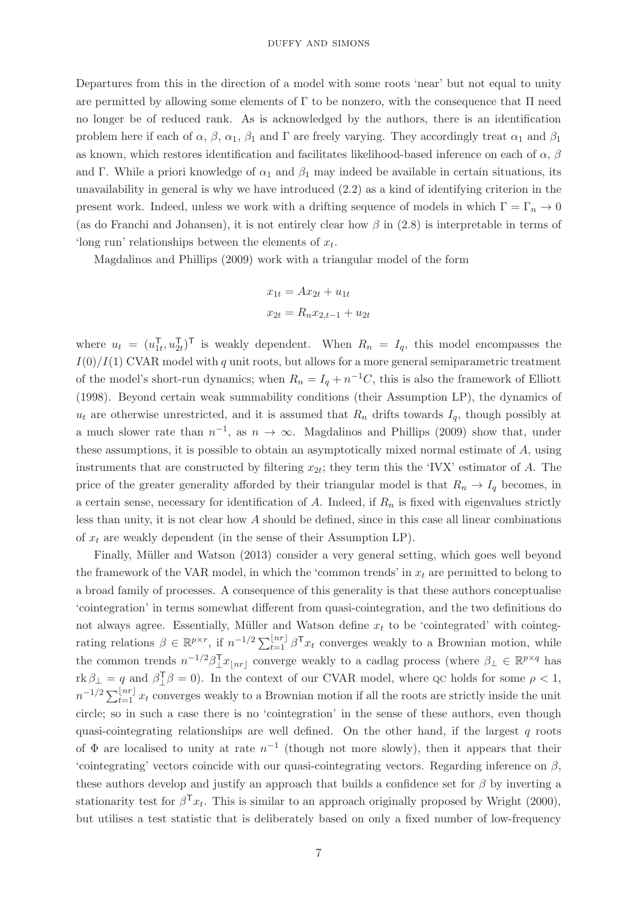#### duffy and simons

Departures from this in the direction of a model with some roots 'near' but not equal to unity are permitted by allowing some elements of  $\Gamma$  to be nonzero, with the consequence that  $\Pi$  need no longer be of reduced rank. As is acknowledged by the authors, there is an identification problem here if each of  $\alpha$ ,  $\beta$ ,  $\alpha_1$ ,  $\beta_1$  and  $\Gamma$  are freely varying. They accordingly treat  $\alpha_1$  and  $\beta_1$ as known, which restores identification and facilitates likelihood-based inference on each of  $\alpha$ ,  $\beta$ and Γ. While a priori knowledge of  $\alpha_1$  and  $\beta_1$  may indeed be available in certain situations, its unavailability in general is why we have introduced [\(2.2\)](#page-4-1) as a kind of identifying criterion in the present work. Indeed, unless we work with a drifting sequence of models in which  $\Gamma = \Gamma_n \to 0$ (as do [Franchi and Johansen\)](#page-17-4), it is not entirely clear how  $\beta$  in [\(2.8\)](#page-7-1) is interpretable in terms of ['long run' relationships betw](#page-17-3)een the elements of  $x_t$ .

Magdalinos and Phillips [\(2009](#page-17-3)) work with a triangular model of the form

$$
x_{1t} = Ax_{2t} + u_{1t}
$$

$$
x_{2t} = R_n x_{2,t-1} + u_{2t}
$$

where  $u_t = (u_{1t}^{\mathsf{T}})$  $_{1t}^{\mathsf{T}}, u_{2t}^{\mathsf{T}}$  is weakly dependent. When  $R_n = I_q$ , this model encompasses the  $I(0)/I(1)$  CVAR model with q unit roots, but allows for a more general semiparametric treatment of the model's short-run dynamics; when  $R_n = I_q + n^{-1}C$ , this is also the framework of [Elliott](#page-17-2) [\(1998\)](#page-17-2). Beyond certain weak summability conditions (their Assumption LP), the dynamics of  $u_t$  are otherwise unrestricted, and it is assumed that  $R_n$  drifts towards  $I_q$ , though possibly at a much slower rate than  $n^{-1}$ , as  $n \to \infty$ . [Magdalinos and Phillips \(2009\)](#page-17-3) show that, under these assumptions, it is possible to obtain an asymptotically mixed normal estimate of A, using instruments that are constructed by filtering  $x_{2t}$ ; they term this the 'IVX' estimator of A. The price of the greater generality afforded by their triangular model is that  $R_n \to I_q$  becomes, in a certain sense, necessary for identification of A. Indeed, if  $R_n$  is fixed with eigenvalues strictly less than unity, it is not clear how A should be defined, since in this case all linear combinations of  $x_t$  are weakly dependent (in the sense of their Assumption LP).

Finally, Müller and Watson (2013) consider a very general setting, which goes well beyond the framework of the VAR model, in which the 'common trends' in  $x_t$  are permitted to belong to a broad family of processes. A consequence of this generality is that these authors conceptualise 'cointegration' in terms somewhat different from quasi-cointegration, and the two definitions do not always agree. Essentially, Müller and Watson define  $x_t$  to be 'cointegrated' with cointegrating relations  $\beta \in \mathbb{R}^{p \times r}$ , if  $n^{-1/2} \sum_{t=1}^{\lfloor nr \rfloor} \beta^{\mathsf{T}} x_t$  converges weakly to a Brownian motion, while the common trends  $n^{-1/2}\beta_1^{\mathsf{T}}$  $\mathcal{I}_{\perp}^{T} x_{\lfloor nr \rfloor}$  converge weakly to a cadlag process (where  $\beta_{\perp} \in \mathbb{R}^{p \times q}$  has  $\mathrm{rk}\,\beta_{\perp} = q$  and  $\beta_{\perp}^{\mathsf{T}}$  $\frac{1}{2}\beta = 0$ ). In the context of our CVAR model, where [QC](#page-6-0) holds for some  $\rho < 1$ ,  $n^{-1/2} \sum_{t=1}^{\lfloor nr \rfloor} x_t$  converges weakly to a Brownian motion if all the roots are strictly inside the unit circle; so in such a case there is no 'cointegration' in the sense of these authors, even though quasi-cointegrating relationships are well defined. On the other hand, if the largest  $q$  roots of  $\Phi$  are localised to unity at rate  $n^{-1}$  (though not more slowly), then it appears that their 'cointegrating' vectors coincide with our quasi-cointegrating vectors. Regarding inference on  $\beta$ , these authors develop and justify an approach that builds a confidence set for  $\beta$  by inverting a stationarity test for  $\beta^{\mathsf{T}} x_t$ . This is similar to an approach originally proposed by [Wright \(2000\)](#page-18-2), but utilises a test statistic that is deliberately based on only a fixed number of low-frequency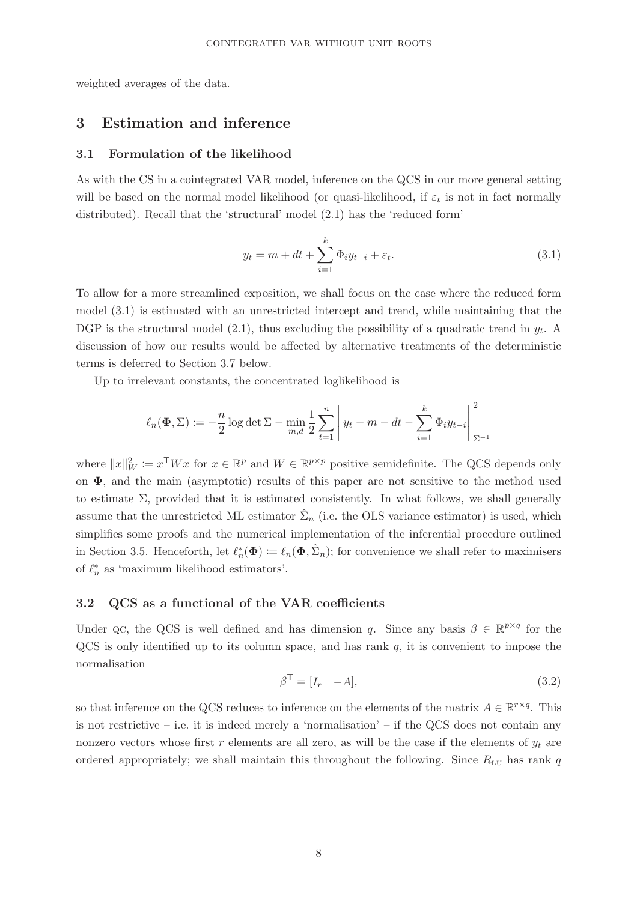<span id="page-9-0"></span>weighted averages of the data.

## <span id="page-9-1"></span>3 Estimation and inference

#### 3.1 Formulation of the likelihood

As with the CS in a cointegrated VAR model, inference on the QCS in our more general setting will be based on the normal model likelihood (or quasi-likelihood, if  $\varepsilon_t$  is not in fact normally distributed). Recall that the 'structural' model [\(2.1\)](#page-3-3) has the 'reduced form'

<span id="page-9-3"></span>
$$
y_t = m + dt + \sum_{i=1}^k \Phi_i y_{t-i} + \varepsilon_t.
$$
\n(3.1)

To allow for a more streamlined exposition, we shall focus on the case where the reduced form model [\(3.1\)](#page-9-3) is estimated with an unrestricted intercept and trend, while maintaining that the DGP is the structural model  $(2.1)$ , thus excluding the possibility of a quadratic trend in  $y_t$ . A discussion of how our results would be affected by alternative treatments of the deterministic terms is deferred to Section [3.7](#page-15-0) below.

Up to irrelevant constants, the concentrated loglikelihood is

$$
\ell_n(\Phi, \Sigma) := -\frac{n}{2} \log \det \Sigma - \min_{m,d} \frac{1}{2} \sum_{t=1}^n \left\| y_t - m - dt - \sum_{i=1}^k \Phi_i y_{t-i} \right\|_{\Sigma^{-1}}^2
$$

where  $||x||_W^2 := x^{\mathsf{T}} W x$  for  $x \in \mathbb{R}^p$  and  $W \in \mathbb{R}^{p \times p}$  positive semidefinite. The QCS depends only on  $\Phi$ , and the main (asymptotic) results of this paper are not sensitive to the method used to estimate  $\Sigma$ , provided that it is estimated consistently. In what follows, we shall generally assume that the unrestricted ML estimator  $\hat{\Sigma}_n$  (i.e. the OLS variance estimator) is used, which simplifies some proofs and the numerical implementation of the inferential procedure outlined in Section [3.5.](#page-14-0) Henceforth, let  $\ell_n^*(\Phi) \coloneqq \ell_n(\Phi, \hat{\Sigma}_n)$ ; for convenience we shall refer to maximisers of  $\ell_n^*$  as 'maximum likelihood estimators'.

#### <span id="page-9-2"></span>3.2 QCS as a functional of the VAR coefficients

Under [QC](#page-6-0), the QCS is well defined and has dimension q. Since any basis  $\beta \in \mathbb{R}^{p \times q}$  for the  $QCS$  is only identified up to its column space, and has rank  $q$ , it is convenient to impose the normalisation

<span id="page-9-4"></span>
$$
\beta^{\mathsf{T}} = [I_r \quad -A],\tag{3.2}
$$

so that inference on the QCS reduces to inference on the elements of the matrix  $A \in \mathbb{R}^{r \times q}$ . This is not restrictive – i.e. it is indeed merely a 'normalisation' – if the QCS does not contain any nonzero vectors whose first r elements are all zero, as will be the case if the elements of  $y_t$  are ordered appropriately; we shall maintain this throughout the following. Since  $R_{\text{LU}}$  has rank q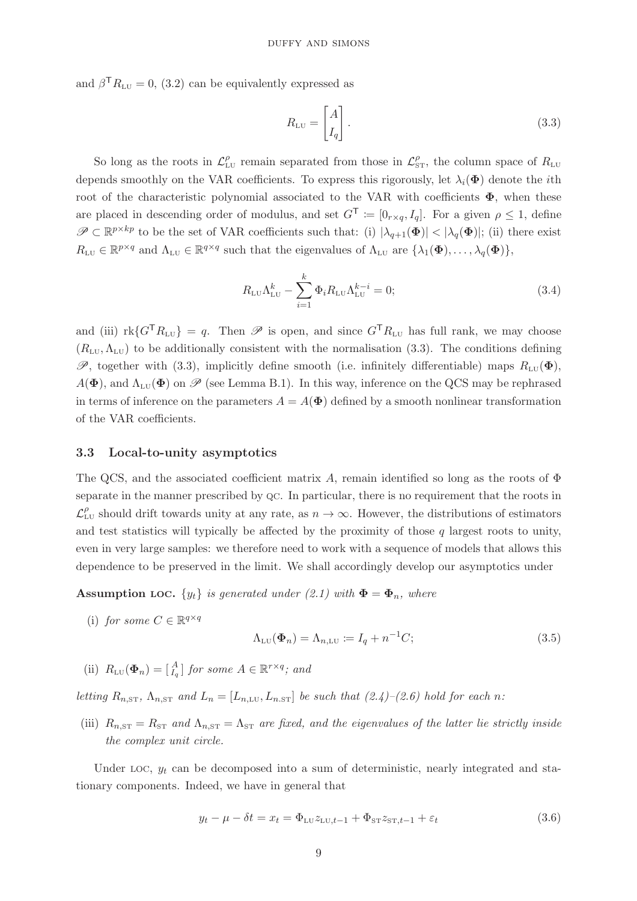and  $\beta^{\mathsf{T}} R_{\text{\tiny LU}} = 0$ , [\(3.2\)](#page-9-4) can be equivalently expressed as

<span id="page-10-1"></span>
$$
R_{\text{LU}} = \begin{bmatrix} A \\ I_q \end{bmatrix} . \tag{3.3}
$$

So long as the roots in  $\mathcal{L}_{\text{LU}}^{\rho}$  remain separated from those in  $\mathcal{L}_{ST}^{\rho}$ , the column space of  $R_{\text{LU}}$ depends smoothly on the VAR coefficients. To express this rigorously, let  $\lambda_i(\Phi)$  denote the *i*th root of the characteristic polynomial associated to the VAR with coefficients  $\Phi$ , when these are placed in descending order of modulus, and set  $G^{\mathsf{T}} \coloneqq [0_{r \times q}, I_q]$ . For a given  $\rho \leq 1$ , define  $\mathscr{P} \subset \mathbb{R}^{p \times kp}$  to be the set of VAR coefficients such that: (i)  $|\lambda_{q+1}(\Phi)| < |\lambda_q(\Phi)|$ ; (ii) there exist  $R_{\text{LU}} \in \mathbb{R}^{p \times q}$  and  $\Lambda_{\text{LU}} \in \mathbb{R}^{q \times q}$  such that the eigenvalues of  $\Lambda_{\text{LU}}$  are  $\{\lambda_1(\Phi), \ldots, \lambda_q(\Phi)\},$ 

$$
R_{\text{LU}}\Lambda_{\text{LU}}^k - \sum_{i=1}^k \Phi_i R_{\text{LU}}\Lambda_{\text{LU}}^{k-i} = 0; \tag{3.4}
$$

and (iii)  $rk\{G^{T}R_{LU}\}=q$ . Then  $\mathscr P$  is open, and since  $G^{T}R_{LU}$  has full rank, we may choose  $(R<sub>LU</sub>, A<sub>LU</sub>)$  to be additionally consistent with the normalisation [\(3.3\)](#page-10-1). The conditions defining P, together with [\(3.3\)](#page-10-1), implicitly define smooth (i.e. infinitely differentiable) maps  $R_{\text{LU}}(\Phi)$ ,  $A(\Phi)$ , and  $\Lambda_{\text{LU}}(\Phi)$  on  $\mathscr{P}$  (see Lemma [B.1\)](#page-24-1). In this way, inference on the QCS may be rephrased in terms of inference on the parameters  $A = A(\Phi)$  defined by a smooth nonlinear transformation of the VAR coefficients.

#### <span id="page-10-0"></span>3.3 Local-to-unity asymptotics

The QCS, and the associated coefficient matrix A, remain identified so long as the roots of  $\Phi$ separate in the manner prescribed by [QC](#page-6-0). In particular, there is no requirement that the roots in  $\mathcal{L}_{\text{LU}}^{\rho}$  should drift towards unity at any rate, as  $n \to \infty$ . However, the distributions of estimators and test statistics will typically be affected by the proximity of those  $q$  largest roots to unity, even in very large samples: we therefore need to work with a sequence of models that allows this dependence to be preserved in the limit. We shall accordingly develop our asymptotics under

<span id="page-10-2"></span>Assumption LOC.  $\{y_t\}$  is generated under [\(2.1\)](#page-3-3) with  $\Phi = \Phi_n$ , where

(i) for some  $C \in \mathbb{R}^{q \times q}$ 

<span id="page-10-4"></span>
$$
\Lambda_{\text{LU}}(\Phi_n) = \Lambda_{n,\text{LU}} := I_q + n^{-1}C; \tag{3.5}
$$

(ii)  $R_{\text{LU}}(\Phi_n) = \begin{bmatrix} A \\ I_q \end{bmatrix}$  for some  $A \in \mathbb{R}^{r \times q}$ ; and

letting  $R_{n,\text{ST}}, \Lambda_{n,\text{ST}}$  and  $L_n = [L_{n,\text{LU}}, L_{n,\text{ST}}]$  be such that  $(2.4)$ – $(2.6)$  hold for each n:

(iii)  $R_{n,\text{ST}} = R_{\text{ST}}$  and  $\Lambda_{n,\text{ST}} = \Lambda_{\text{ST}}$  are fixed, and the eigenvalues of the latter lie strictly inside the complex unit circle.

Under [LOC](#page-10-2),  $y_t$  can be decomposed into a sum of deterministic, nearly integrated and stationary components. Indeed, we have in general that

<span id="page-10-3"></span>
$$
y_t - \mu - \delta t = x_t = \Phi_{\text{LU}} z_{\text{LU},t-1} + \Phi_{\text{ST}} z_{\text{ST},t-1} + \varepsilon_t \tag{3.6}
$$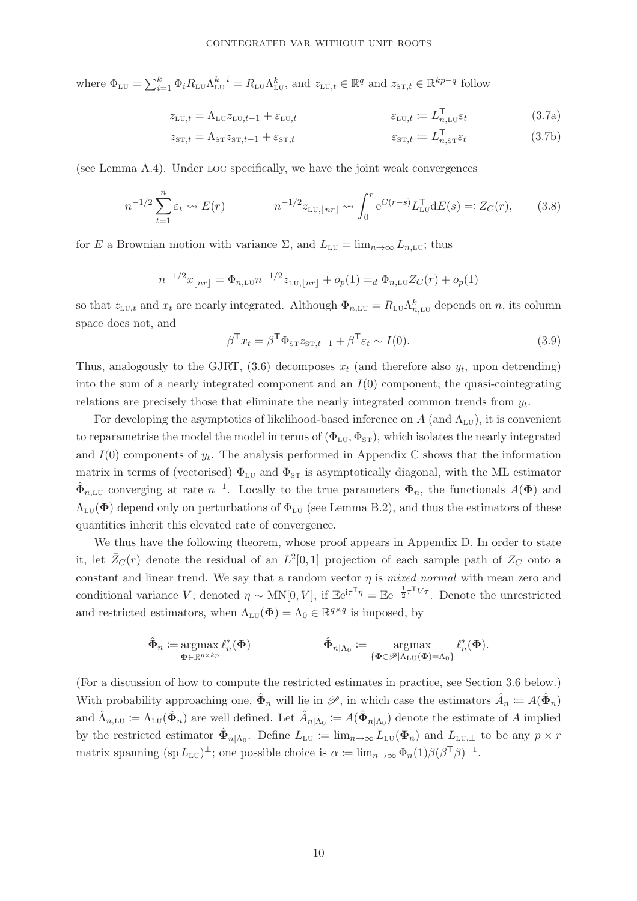where  $\Phi_{\text{LU}} = \sum_{i=1}^k \Phi_i R_{\text{LU}} \Lambda_{\text{LU}}^{k-i} = R_{\text{LU}} \Lambda_{\text{LU}}^k$ , and  $z_{\text{LU},t} \in \mathbb{R}^q$  and  $z_{\text{ST},t} \in \mathbb{R}^{kp-q}$  follow

<span id="page-11-1"></span><span id="page-11-0"></span>
$$
z_{\text{LU},t} = \Lambda_{\text{LU}} z_{\text{LU},t-1} + \varepsilon_{\text{LU},t} \qquad \qquad \varepsilon_{\text{LU},t} := L_{n,\text{LU}}^{\mathsf{T}} \varepsilon_t \qquad (3.7a)
$$

$$
z_{ST,t} = \Lambda_{ST} z_{ST,t-1} + \varepsilon_{ST,t}
$$
\n
$$
\varepsilon_{ST,t} := L_{n,ST}^{\mathsf{T}} \varepsilon_t
$$
\n(3.7b)

(see Lemma [A.4\)](#page-21-1). Under [LOC](#page-10-2) specifically, we have the joint weak convergences

$$
n^{-1/2} \sum_{t=1}^{n} \varepsilon_t \rightsquigarrow E(r) \qquad n^{-1/2} z_{\text{LU},\lfloor nr \rfloor} \rightsquigarrow \int_0^r e^{C(r-s)} L_{\text{LU}}^\mathsf{T} dE(s) =: Z_C(r), \qquad (3.8)
$$

for E a Brownian motion with variance  $\Sigma$ , and  $L_{\text{LU}} = \lim_{n\to\infty} L_{n,\text{LU}}$ ; thus

$$
n^{-1/2}x_{\lfloor nr\rfloor} = \Phi_{n,\text{LU}} n^{-1/2} z_{\text{LU},\lfloor nr\rfloor} + o_p(1) =_d \Phi_{n,\text{LU}} Z_C(r) + o_p(1)
$$

so that  $z_{\text{LU},t}$  and  $x_t$  are nearly integrated. Although  $\Phi_{n,\text{LU}} = R_{\text{LU}} \Lambda_{n,\text{LU}}^k$  depends on n, its column space does not, and

<span id="page-11-2"></span>
$$
\beta^{\mathsf{T}} x_t = \beta^{\mathsf{T}} \Phi_{\text{ST}} z_{\text{ST},t-1} + \beta^{\mathsf{T}} \varepsilon_t \sim I(0). \tag{3.9}
$$

Thus, analogously to the GJRT,  $(3.6)$  decomposes  $x_t$  (and therefore also  $y_t$ , upon detrending) into the sum of a nearly integrated component and an  $I(0)$  component; the quasi-cointegrating relations are precisely those that eliminate the nearly integrated common trends from  $y_t$ .

For developing the asymptotics of likelihood-based inference on A (and  $\Lambda_{\text{LU}}$ ), it is convenient to reparametrise the model the model in terms of  $(\Phi_{\text{LU}}, \Phi_{\text{ST}})$ , which isolates the nearly integrated and  $I(0)$  components of  $y_t$ . The analysis performed in Appendix [C](#page-29-0) shows that the information matrix in terms of (vectorised)  $\Phi_{\text{LU}}$  and  $\Phi_{\text{ST}}$  is asymptotically diagonal, with the ML estimator  $\hat{\Phi}_{n,\text{LU}}$  converging at rate  $n^{-1}$ . Locally to the true parameters  $\Phi_n$ , the functionals  $A(\Phi)$  and  $\Lambda_{\text{LU}}(\Phi)$  depend only on perturbations of  $\Phi_{\text{LU}}$  (see Lemma [B.2\)](#page-24-2), and thus the estimators of these quantities inherit this elevated rate of convergence.

We thus have the following theorem, whose proof appears in Appendix [D.](#page-35-0) In order to state it, let  $\bar{Z}_C(r)$  denote the residual of an  $L^2[0,1]$  projection of each sample path of  $Z_C$  onto a constant and linear trend. We say that a random vector  $\eta$  is mixed normal with mean zero and conditional variance V, denoted  $\eta \sim MN[0, V]$ , if  $\mathbb{E}e^{i\tau^T \eta} = \mathbb{E}e^{-\frac{1}{2}\tau^T V \tau}$ . Denote the unrestricted and restricted estimators, when  $\Lambda_{LU}(\Phi) = \Lambda_0 \in \mathbb{R}^{q \times q}$  is imposed, by

$$
\hat{\Phi}_n := \operatorname*{argmax}_{\Phi \in \mathbb{R}^{p \times kp}} \ell_n^*(\Phi) \qquad \hat{\Phi}_{n|\Lambda_0} := \operatorname*{argmax}_{\{\Phi \in \mathcal{P}|\Lambda_{\mathrm{LU}}(\Phi) = \Lambda_0\}} \ell_n^*(\Phi).
$$

(For a discussion of how to compute the restricted estimates in practice, see Section [3.6](#page-14-1) below.) With probability approaching one,  $\hat{\Phi}_n$  will lie in  $\mathscr{P}$ , in which case the estimators  $\hat{A}_n := A(\hat{\Phi}_n)$ and  $\hat{\Lambda}_{n,\text{LU}} \coloneqq \Lambda_{\text{LU}}(\hat{\Phi}_n)$  are well defined. Let  $\hat{A}_{n|\Lambda_0} \coloneqq A(\hat{\Phi}_{n|\Lambda_0})$  denote the estimate of A implied by the restricted estimator  $\hat{\Phi}_{n|\Lambda_0}$ . Define  $L_{\text{LU}} \coloneqq \lim_{n\to\infty} L_{\text{LU}}(\Phi_n)$  and  $L_{\text{LU},\perp}$  to be any  $p \times r$ matrix spanning  $(\text{sp } L_{\text{LU}})^{\perp}$ ; one possible choice is  $\alpha := \lim_{n \to \infty} \Phi_n(1) \beta (\beta^{\mathsf{T}} \beta)^{-1}$ .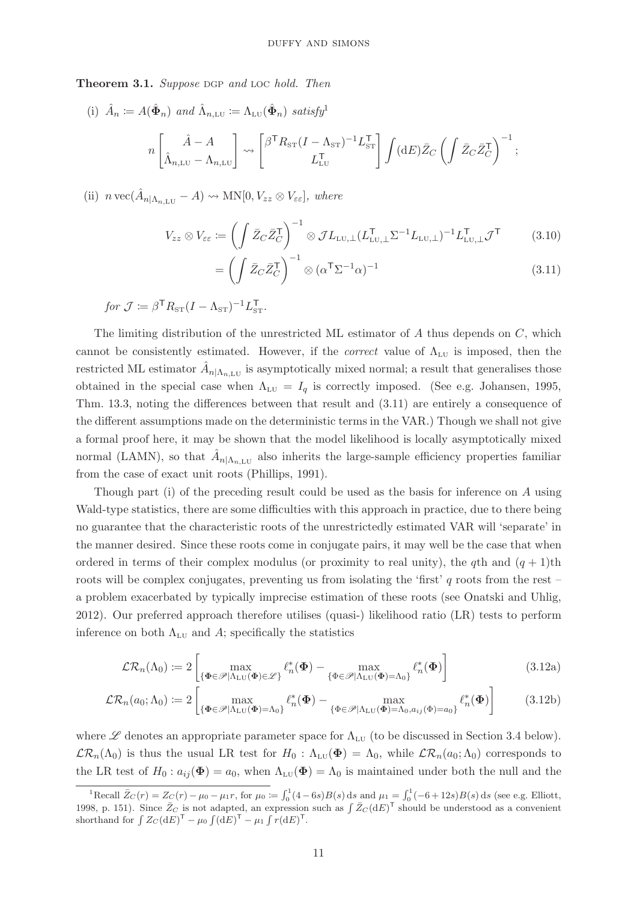<span id="page-12-3"></span>**Theorem 3.1.** Suppose [DGP](#page-3-4) and [LOC](#page-10-2) hold. Then

(i) 
$$
\hat{A}_n := A(\hat{\Phi}_n)
$$
 and  $\hat{\Lambda}_{n,\text{LU}} := \Lambda_{\text{LU}}(\hat{\Phi}_n)$  satisfy<sup>1</sup>  

$$
n \begin{bmatrix} \hat{A} - A \\ \hat{\Lambda}_{n,\text{LU}} - \Lambda_{n,\text{LU}} \end{bmatrix} \leadsto \begin{bmatrix} \beta^{\mathsf{T}} R_{\text{ST}} (I - \Lambda_{\text{ST}})^{-1} L_{\text{ST}}^{\mathsf{T}} \\ L_{\text{LU}}^{\mathsf{T}} \end{bmatrix} \int (\mathrm{d}E) \bar{Z}_C \left( \int \bar{Z}_C \bar{Z}_C^{\mathsf{T}} \right)^{-1};
$$

(ii)  $n \text{vec}(\hat{A}_{n | \Lambda_{n, \text{LU}}} - A) \rightsquigarrow \text{MN}[0, V_{zz} \otimes V_{\varepsilon \varepsilon}],$  where

$$
V_{zz} \otimes V_{\varepsilon\varepsilon} := \left(\int \bar{Z}_C \bar{Z}_C^\mathsf{T}\right)^{-1} \otimes \mathcal{J}L_{\text{LU},\perp}(L_{\text{LU},\perp}^\mathsf{T} \Sigma^{-1} L_{\text{LU},\perp})^{-1} L_{\text{LU},\perp}^\mathsf{T} \mathcal{J}^\mathsf{T}
$$
(3.10)

<span id="page-12-4"></span><span id="page-12-1"></span>
$$
= \left(\int \bar{Z}_C \bar{Z}_C^\mathsf{T}\right)^{-1} \otimes (\alpha^\mathsf{T} \Sigma^{-1} \alpha)^{-1} \tag{3.11}
$$

for  $\mathcal{J} \coloneqq \beta^{\mathsf{T}} R_{\mathrm{ST}} (I - \Lambda_{\mathrm{ST}})^{-1} L_{\mathrm{ST}}^{\mathsf{T}}$ .

The limiting distribution of the unrestricted ML estimator of  $A$  thus depends on  $C$ , which cannot be consistently estimated. However, if the *correct* value of  $\Lambda_{\text{LU}}$  is imposed, then the restricted ML estimator  $\hat{A}_{n|\Lambda_{n,\text{LU}}}$  is asymptotically mixed normal; a result that generalises those obtained in the special case when  $\Lambda_{\text{LU}} = I_q$  is correctly imposed. (See e.g. [Johansen, 1995](#page-17-1), Thm. 13.3, noting the differences between that result and [\(3.11\)](#page-12-1) are entirely a consequence of the different assumptions made on the deterministic terms in the VAR.) Though we shall not give a formal proof here, it may be shown that the model likelihood is locally asymptotically mixed normal (LAMN), so that  $\hat{A}_{n|\Lambda_{n,\text{LU}}}$  also inherits the large-sample efficiency properties familiar from the case of exact unit roots [\(Phillips, 1991\)](#page-18-7).

Though part (i) of the preceding result could be used as the basis for inference on A using Wald-type statistics, there are some difficulties with this approach in practice, due to there being no guarantee that the characteristic roots of the unrestrictedly estimated VAR will 'separate' in the manner desired. Since these roots come in conjugate pairs, it may well be the case that when ordered in terms of their complex modulus (or proximity to real unity), the qth and  $(q + 1)$ th roots will be complex conjugates, preventing us from isolating the 'first'  $q$  roots from the rest – a problem exacerbated by typically imprecise estimation of these roots (see [Onatski and Uhlig](#page-18-8), [2012\)](#page-18-8). Our preferred approach therefore utilises (quasi-) likelihood ratio (LR) tests to perform inference on both  $\Lambda_{\text{LU}}$  and A; specifically the statistics

<span id="page-12-2"></span>
$$
\mathcal{LR}_n(\Lambda_0) := 2 \left[ \max_{\{\boldsymbol{\Phi} \in \mathcal{P} | \Lambda_{\mathrm{LU}}(\boldsymbol{\Phi}) \in \mathcal{L}\}} \ell_n^*(\boldsymbol{\Phi}) - \max_{\{\boldsymbol{\Phi} \in \mathcal{P} | \Lambda_{\mathrm{LU}}(\boldsymbol{\Phi}) = \Lambda_0\}} \ell_n^*(\boldsymbol{\Phi}) \right]
$$
(3.12a)

$$
\mathcal{LR}_n(a_0; \Lambda_0) := 2 \left[ \max_{\{\boldsymbol{\Phi} \in \mathcal{P} | \Lambda_{\mathrm{LU}}(\boldsymbol{\Phi}) = \Lambda_0\}} \ell_n^*(\boldsymbol{\Phi}) - \max_{\{\boldsymbol{\Phi} \in \mathcal{P} | \Lambda_{\mathrm{LU}}(\boldsymbol{\Phi}) = \Lambda_0, a_{ij}(\boldsymbol{\Phi}) = a_0\}} \ell_n^*(\boldsymbol{\Phi}) \right]
$$
(3.12b)

where  $\mathscr L$  denotes an appropriate parameter space for  $\Lambda_{\text{LU}}$  (to be discussed in Section [3.4](#page-13-0) below).  $\mathcal{LR}_n(\Lambda_0)$  is thus the usual LR test for  $H_0 : \Lambda_{\text{LU}}(\Phi) = \Lambda_0$ , while  $\mathcal{LR}_n(a_0; \Lambda_0)$  corresponds to the LR test of  $H_0: a_{ij}(\Phi) = a_0$ , when  $\Lambda_{LU}(\Phi) = \Lambda_0$  is maintained under both the null and the

<span id="page-12-0"></span> ${}^{1}$ Recall  $\bar{Z}_{C}(r) = Z_{C}(r) - \mu_{0} - \mu_{1}r$ , for  $\mu_{0} := \int_{0}^{1} (4 - 6s)B(s) ds$  and  $\mu_{1} = \int_{0}^{1} (-6 + 12s)B(s) ds$  (see e.g. [Elliott,](#page-17-2) [1998](#page-17-2), p. 151). Since  $\bar{Z}_C$  is not adapted, an expression such as  $\int \bar{Z}_C (\mathrm{d}E)^T$  should be understood as a convenient shorthand for  $\int Z_C (\mathrm{d}E)^{\mathsf{T}} - \mu_0 \int (\mathrm{d}E)^{\mathsf{T}} - \mu_1 \int r (\mathrm{d}E)^{\mathsf{T}}$ .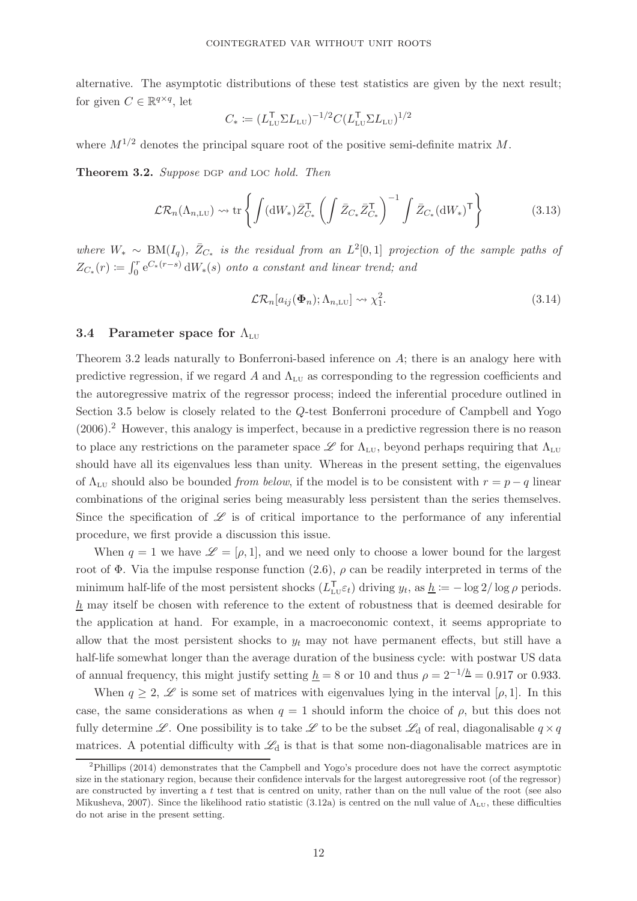alternative. The asymptotic distributions of these test statistics are given by the next result; for given  $C \in \mathbb{R}^{q \times q}$ , let

$$
C_*\coloneqq (L_\text{\tiny LU}^\mathsf{T}\Sigma L_\text{\tiny LU})^{-1/2}C(L_\text{\tiny LU}^\mathsf{T}\Sigma L_\text{\tiny LU})^{1/2}
$$

where  $M^{1/2}$  denotes the principal square root of the positive semi-definite matrix M.

<span id="page-13-1"></span>Theorem 3.2. Suppose [DGP](#page-3-4) and [LOC](#page-10-2) hold. Then

$$
\mathcal{LR}_n(\Lambda_{n,\text{LU}}) \rightsquigarrow \text{tr}\left\{ \int (\text{d}W_*) \bar{Z}_{C_*}^\mathsf{T} \left( \int \bar{Z}_{C_*} \bar{Z}_{C_*}^\mathsf{T} \right)^{-1} \int \bar{Z}_{C_*} (\text{d}W_*)^\mathsf{T} \right\} \tag{3.13}
$$

where  $W_* \sim BM(I_q)$ ,  $\bar{Z}_{C_*}$  is the residual from an  $L^2[0,1]$  projection of the sample paths of  $Z_{C_*}(r) := \int_0^r e^{C_*(r-s)} dW_*(s)$  onto a constant and linear trend; and

<span id="page-13-4"></span><span id="page-13-3"></span>
$$
\mathcal{LR}_n[a_{ij}(\Phi_n);\Lambda_{n,\text{LU}}] \leadsto \chi_1^2. \tag{3.14}
$$

#### <span id="page-13-0"></span>3.4 Parameter space for  $\Lambda_{\text{LU}}$

Theorem [3.2](#page-13-1) leads naturally to Bonferroni-based inference on  $A$ ; there is an analogy here with predictive regression, if we regard A and  $\Lambda_{\text{LU}}$  as corresponding to the regression coefficients and the autoregressive matrix of the regressor process; indeed the inferential procedure outlined in Section [3.5](#page-14-0) below is closely related to the Q-test Bonferroni procedure of [Campbell and Yogo](#page-17-6) [\(2006\)](#page-17-6).[2](#page-13-2) However, this analogy is imperfect, because in a predictive regression there is no reason to place any restrictions on the parameter space  $\mathscr L$  for  $\Lambda$ <sub>LU</sub>, beyond perhaps requiring that  $\Lambda$ <sub>LU</sub> should have all its eigenvalues less than unity. Whereas in the present setting, the eigenvalues of  $\Lambda_{\text{LU}}$  should also be bounded *from below*, if the model is to be consistent with  $r = p - q$  linear combinations of the original series being measurably less persistent than the series themselves. Since the specification of  $\mathscr L$  is of critical importance to the performance of any inferential procedure, we first provide a discussion this issue.

When  $q = 1$  we have  $\mathscr{L} = [\rho, 1]$ , and we need only to choose a lower bound for the largest root of  $\Phi$ . Via the impulse response function [\(2.6\)](#page-5-2),  $\rho$  can be readily interpreted in terms of the minimum half-life of the most persistent shocks  $(L_{\text{LU}}^{\text{T}} \varepsilon_t)$  driving  $y_t$ , as  $\underline{h} := -\log 2/\log \rho$  periods. h may itself be chosen with reference to the extent of robustness that is deemed desirable for the application at hand. For example, in a macroeconomic context, it seems appropriate to allow that the most persistent shocks to  $y_t$  may not have permanent effects, but still have a half-life somewhat longer than the average duration of the business cycle: with postwar US data of annual frequency, this might justify setting  $\underline{h} = 8$  or 10 and thus  $\rho = 2^{-1}/\underline{h} = 0.917$  or 0.933.

When  $q \geq 2$ ,  $\mathscr L$  is some set of matrices with eigenvalues lying in the interval [ $\rho$ , 1]. In this case, the same considerations as when  $q = 1$  should inform the choice of  $\rho$ , but this does not fully determine L. One possibility is to take L to be the subset  $\mathcal{L}_d$  of real, diagonalisable  $q \times q$ matrices. A potential difficulty with  $\mathscr{L}_{d}$  is that is that some non-diagonalisable matrices are in

<span id="page-13-2"></span><sup>2</sup>[Phillips \(2014\)](#page-18-5) demonstrates that the [Campbell and Yogo](#page-17-6)'s procedure does not have the correct asymptotic size in the stationary region, because their confidence intervals for the largest autoregressive root (of the regressor) are constructed by inverting a  $t$  test that is centred on unity, rather than on the null value of the root (see also [Mikusheva, 2007](#page-18-9)). Since the likelihood ratio statistic [\(3.12a\)](#page-12-2) is centred on the null value of  $\Lambda_{\text{LU}}$ , these difficulties do not arise in the present setting.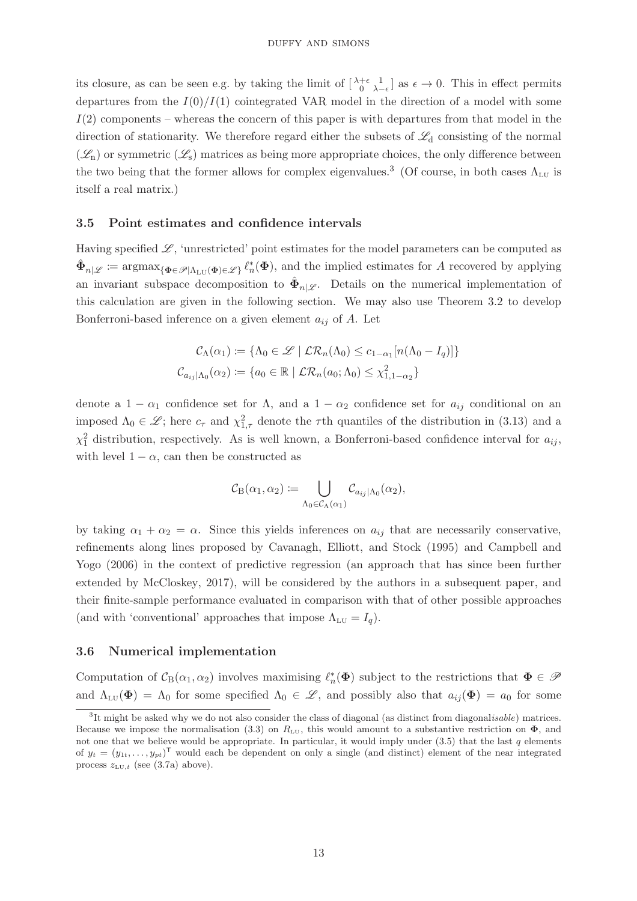its closure, as can be seen e.g. by taking the limit of  $\begin{bmatrix} \lambda+\epsilon & 1 \\ 0 & \lambda-\epsilon \end{bmatrix}$  as  $\epsilon \to 0$ . This in effect permits departures from the  $I(0)/I(1)$  cointegrated VAR model in the direction of a model with some  $I(2)$  components – whereas the concern of this paper is with departures from that model in the direction of stationarity. We therefore regard either the subsets of  $\mathscr{L}_{d}$  consisting of the normal  $(\mathscr{L}_n)$  or symmetric  $(\mathscr{L}_s)$  matrices as being more appropriate choices, the only difference between the two being that the former allows for complex eigenvalues.<sup>[3](#page-14-2)</sup> (Of course, in both cases  $\Lambda_{\text{LU}}$  is itself a real matrix.)

#### <span id="page-14-0"></span>3.5 Point estimates and confidence intervals

Having specified  $\mathscr{L}$ , 'unrestricted' point estimates for the model parameters can be computed as  $\hat{\Phi}_{n|\mathscr{L}} \coloneqq \operatorname{argmax}_{\{\Phi \in \mathscr{P} | \Lambda_{\mathrm{LU}}(\Phi) \in \mathscr{L}\}} \ell_n^*(\Phi)$ , and the implied estimates for A recovered by applying an invariant subspace decomposition to  $\hat{\Phi}_{n|\mathscr{L}}$ . Details on the numerical implementation of this calculation are given in the following section. We may also use Theorem [3.2](#page-13-1) to develop Bonferroni-based inference on a given element  $a_{ij}$  of A. Let

$$
\mathcal{C}_{\Lambda}(\alpha_1) := \{ \Lambda_0 \in \mathcal{L} \mid \mathcal{LR}_n(\Lambda_0) \le c_{1-\alpha_1} [n(\Lambda_0 - I_q)] \}
$$
  

$$
\mathcal{C}_{a_{ij}|\Lambda_0}(\alpha_2) := \{ a_0 \in \mathbb{R} \mid \mathcal{LR}_n(a_0; \Lambda_0) \le \chi^2_{1,1-\alpha_2} \}
$$

denote a  $1 - \alpha_1$  confidence set for  $\Lambda$ , and a  $1 - \alpha_2$  confidence set for  $a_{ij}$  conditional on an imposed  $\Lambda_0 \in \mathscr{L}$ ; here  $c_{\tau}$  and  $\chi^2_{1,\tau}$  denote the  $\tau$ th quantiles of the distribution in [\(3.13\)](#page-13-3) and a  $\chi_1^2$  distribution, respectively. As is well known, a Bonferroni-based confidence interval for  $a_{ij}$ , with level  $1 - \alpha$ , can then be constructed as

$$
\mathcal{C}_{\mathrm{B}}(\alpha_1,\alpha_2) \coloneqq \bigcup_{\Lambda_0 \in \mathcal{C}_{\Lambda}(\alpha_1)} \mathcal{C}_{a_{ij}|\Lambda_0}(\alpha_2),
$$

by taking  $\alpha_1 + \alpha_2 = \alpha$ . Since this yields inferences on  $a_{ij}$  that are necessarily conservative, refin[ements along lines proposed by](#page-17-6) [Cavanagh, Elliott, and Stock \(1995](#page-17-5)[\) and](#page-17-6) Campbell and Yogo [\(2006\)](#page-17-6) in the context of predictive regression (an approach that has since been further extended by [McCloskey](#page-18-10), [2017](#page-18-10)), will be considered by the authors in a subsequent paper, and their finite-sample performance evaluated in comparison with that of other possible approaches (and with 'conventional' approaches that impose  $\Lambda_{\text{LU}} = I_q$ ).

#### <span id="page-14-1"></span>3.6 Numerical implementation

Computation of  $C_B(\alpha_1, \alpha_2)$  involves maximising  $\ell_n^*(\Phi)$  subject to the restrictions that  $\Phi \in \mathscr{P}$ and  $\Lambda_{\text{LU}}(\Phi) = \Lambda_0$  for some specified  $\Lambda_0 \in \mathscr{L}$ , and possibly also that  $a_{ij}(\Phi) = a_0$  for some

<span id="page-14-2"></span> ${}^{3}$ It might be asked why we do not also consider the class of diagonal (as distinct from diagonalisable) matrices. Because we impose the normalisation [\(3.3\)](#page-10-1) on  $R_{\text{LU}}$ , this would amount to a substantive restriction on  $\Phi$ , and not one that we believe would be appropriate. In particular, it would imply under  $(3.5)$  that the last q elements of  $y_t = (y_{1t}, \ldots, y_{pt})^T$  would each be dependent on only a single (and distinct) element of the near integrated process  $z_{\text{LU},t}$  (see [\(3.7a\)](#page-11-0) above).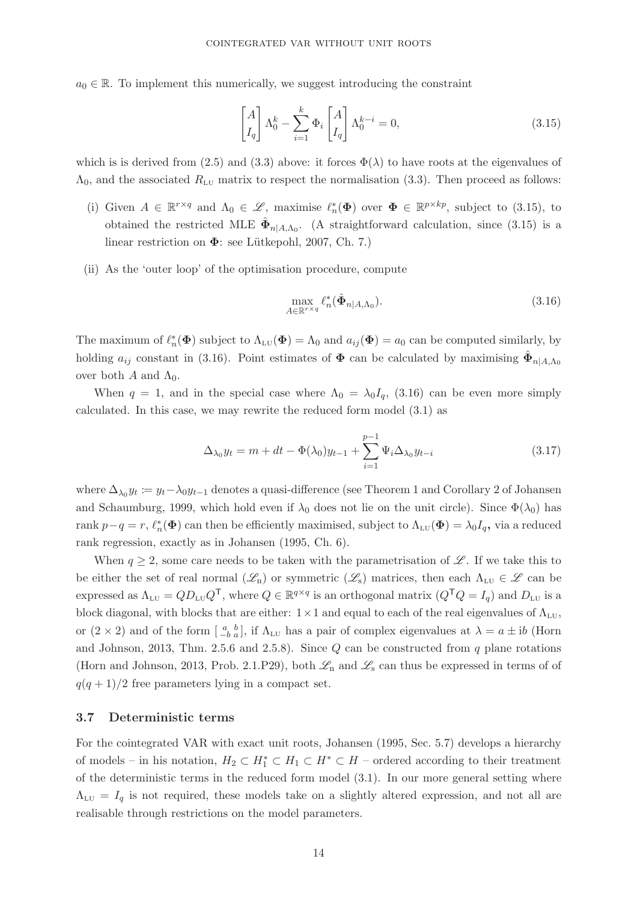$a_0 \in \mathbb{R}$ . To implement this numerically, we suggest introducing the constraint

<span id="page-15-1"></span>
$$
\begin{bmatrix} A \\ I_q \end{bmatrix} \Lambda_0^k - \sum_{i=1}^k \Phi_i \begin{bmatrix} A \\ I_q \end{bmatrix} \Lambda_0^{k-i} = 0, \tag{3.15}
$$

which is is derived from [\(2.5\)](#page-5-3) and [\(3.3\)](#page-10-1) above: it forces  $\Phi(\lambda)$  to have roots at the eigenvalues of  $\Lambda_0$ , and the associated  $R_{\text{LU}}$  matrix to respect the normalisation [\(3.3\)](#page-10-1). Then proceed as follows:

- (i) Given  $A \in \mathbb{R}^{r \times q}$  and  $\Lambda_0 \in \mathscr{L}$ , maximise  $\ell_n^*(\Phi)$  over  $\Phi \in \mathbb{R}^{p \times kp}$ , subject to [\(3.15\)](#page-15-1), to obtained the restricted MLE  $\hat{\Phi}_{n|A,\Lambda_0}$ . (A straightforward calculation, since [\(3.15\)](#page-15-1) is a linear restriction on  $\Phi$ : see Lütkepohl, 2007, Ch. 7.)
- (ii) As the 'outer loop' of the optimisation procedure, compute

<span id="page-15-2"></span>
$$
\max_{A \in \mathbb{R}^{r \times q}} l_n^*(\hat{\Phi}_{n|A,\Lambda_0}).\tag{3.16}
$$

The maximum of  $\ell_n^*(\Phi)$  subject to  $\Lambda_{\text{LU}}(\Phi) = \Lambda_0$  and  $a_{ij}(\Phi) = a_0$  can be computed similarly, by holding  $a_{ij}$  constant in [\(3.16\)](#page-15-2). Point estimates of  $\Phi$  can be calculated by maximising  $\hat{\Phi}_{n|A,\Lambda_0}$ over both A and  $\Lambda_0$ .

When  $q = 1$ , and in the special case where  $\Lambda_0 = \lambda_0 I_q$ , [\(3.16\)](#page-15-2) can be even more simply calculated. In this case, we may rewrite the reduced form model [\(3.1\)](#page-9-3) as

$$
\Delta_{\lambda_0} y_t = m + dt - \Phi(\lambda_0) y_{t-1} + \sum_{i=1}^{p-1} \Psi_i \Delta_{\lambda_0} y_{t-i}
$$
\n(3.17)

where  $\Delta_{\lambda_0} y_t \coloneqq y_t - \lambda_0 y_{t-1}$  [denotes a quasi-difference \(see Theorem 1 and Corollary 2 of](#page-17-12) Johansen and Schaumburg, [1999,](#page-17-12) which hold even if  $\lambda_0$  does not lie on the unit circle). Since  $\Phi(\lambda_0)$  has rank  $p-q = r$ ,  $\ell_n^*(\Phi)$  can then be efficiently maximised, subject to  $\Lambda_{\text{LU}}(\Phi) = \lambda_0 I_q$ , via a reduced rank regression, exactly as in [Johansen \(1995,](#page-17-1) Ch. 6).

When  $q \geq 2$ , some care needs to be taken with the parametrisation of  $\mathscr{L}$ . If we take this to be either the set of real normal  $(\mathscr{L}_n)$  or symmetric  $(\mathscr{L}_s)$  matrices, then each  $\Lambda_{LU} \in \mathscr{L}$  can be expressed as  $\Lambda_{\text{LU}} = Q D_{\text{LU}} Q^{\mathsf{T}}$ , where  $Q \in \mathbb{R}^{q \times q}$  is an orthogonal matrix  $(Q^{\mathsf{T}} Q = I_q)$  and  $D_{\text{LU}}$  is a block diagonal, with blocks that are either:  $1 \times 1$  and equal to each of the real eigenvalues of  $\Lambda_{\text{LU}}$ , or  $(2 \times 2)$  and of the form  $\begin{bmatrix} a & b \\ -b & a \end{bmatrix}$ , if  $\Lambda$ <sub>LU</sub> [has a pair of complex eigenvalues at](#page-17-14)  $\lambda = a \pm ib$  (Horn and Johnson, [2013](#page-17-14), Thm. 2.5.6 and 2.5.8). Since  $Q$  can be constructed from  $q$  plane rotations [\(Horn and Johnson](#page-17-14), [2013](#page-17-14), Prob. 2.1.P29), both  $\mathcal{L}_n$  and  $\mathcal{L}_s$  can thus be expressed in terms of of  $q(q+1)/2$  free parameters lying in a compact set.

#### <span id="page-15-0"></span>3.7 Deterministic terms

For the cointegrated VAR with exact unit roots, [Johansen \(1995](#page-17-1), Sec. 5.7) develops a hierarchy of models – in his notation,  $H_2 \subset H_1^* \subset H_1 \subset H^* \subset H$  – ordered according to their treatment of the deterministic terms in the reduced form model [\(3.1\)](#page-9-3). In our more general setting where  $\Lambda_{\text{LU}} = I_q$  is not required, these models take on a slightly altered expression, and not all are realisable through restrictions on the model parameters.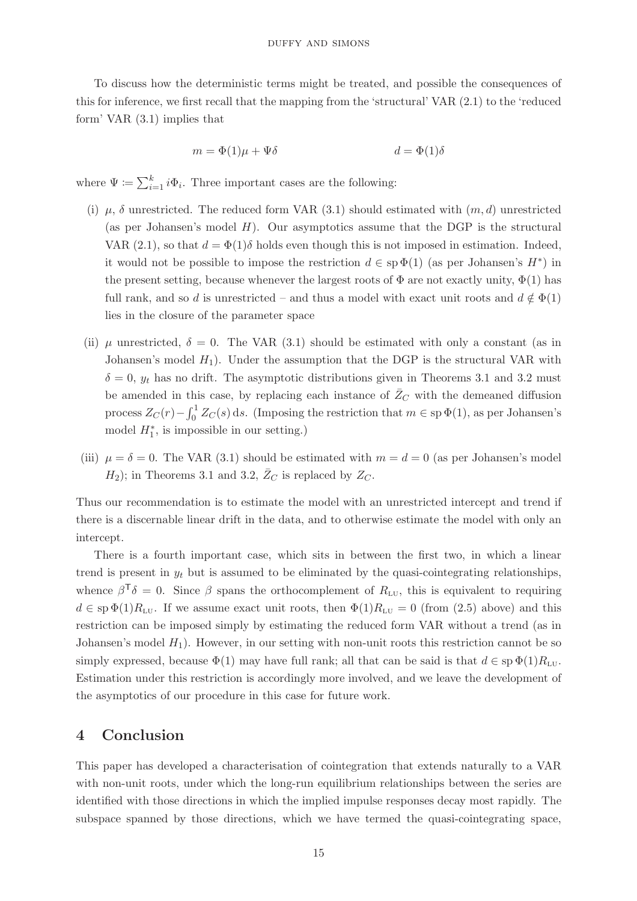To discuss how the deterministic terms might be treated, and possible the consequences of this for inference, we first recall that the mapping from the 'structural' VAR [\(2.1\)](#page-3-3) to the 'reduced form' VAR [\(3.1\)](#page-9-3) implies that

$$
m = \Phi(1)\mu + \Psi\delta \qquad d = \Phi(1)\delta
$$

where  $\Psi := \sum_{i=1}^{k} i \Phi_i$ . Three important cases are the following:

- (i)  $\mu$ ,  $\delta$  unrestricted. The reduced form VAR [\(3.1\)](#page-9-3) should estimated with  $(m, d)$  unrestricted (as per Johansen's model  $H$ ). Our asymptotics assume that the DGP is the structural VAR [\(2.1\)](#page-3-3), so that  $d = \Phi(1)\delta$  holds even though this is not imposed in estimation. Indeed, it would not be possible to impose the restriction  $d \in sp \Phi(1)$  (as per Johansen's  $H^*$ ) in the present setting, because whenever the largest roots of  $\Phi$  are not exactly unity,  $\Phi(1)$  has full rank, and so d is unrestricted – and thus a model with exact unit roots and  $d \notin \Phi(1)$ lies in the closure of the parameter space
- (ii)  $\mu$  unrestricted,  $\delta = 0$ . The VAR [\(3.1\)](#page-9-3) should be estimated with only a constant (as in Johansen's model  $H_1$ ). Under the assumption that the DGP is the structural VAR with  $\delta = 0$ ,  $y_t$  has no drift. The asymptotic distributions given in Theorems [3.1](#page-12-3) and [3.2](#page-13-1) must be amended in this case, by replacing each instance of  $\bar{Z}_C$  with the demeaned diffusion process  $Z_C(r) - \int_0^1 Z_C(s) ds$ . (Imposing the restriction that  $m \in sp \Phi(1)$ , as per Johansen's model  $H_1^*$ , is impossible in our setting.)
- (iii)  $\mu = \delta = 0$ . The VAR [\(3.1\)](#page-9-3) should be estimated with  $m = d = 0$  (as per Johansen's model  $H_2$ ); in Theorems [3.1](#page-12-3) and [3.2,](#page-13-1)  $\bar{Z}_C$  is replaced by  $Z_C$ .

Thus our recommendation is to estimate the model with an unrestricted intercept and trend if there is a discernable linear drift in the data, and to otherwise estimate the model with only an intercept.

There is a fourth important case, which sits in between the first two, in which a linear trend is present in  $y_t$  but is assumed to be eliminated by the quasi-cointegrating relationships, whence  $\beta^{\mathsf{T}}\delta = 0$ . Since  $\beta$  spans the orthocomplement of  $R_{\text{LU}}$ , this is equivalent to requiring  $d \in sp \Phi(1)R_{\text{LU}}$ . If we assume exact unit roots, then  $\Phi(1)R_{\text{LU}} = 0$  (from [\(2.5\)](#page-5-3) above) and this restriction can be imposed simply by estimating the reduced form VAR without a trend (as in Johansen's model  $H_1$ ). However, in our setting with non-unit roots this restriction cannot be so simply expressed, because  $\Phi(1)$  may have full rank; all that can be said is that  $d \in sp \Phi(1)R_{\text{LU}}$ . Estimation under this restriction is accordingly more involved, and we leave the development of the asymptotics of our procedure in this case for future work.

## <span id="page-16-0"></span>4 Conclusion

This paper has developed a characterisation of cointegration that extends naturally to a VAR with non-unit roots, under which the long-run equilibrium relationships between the series are identified with those directions in which the implied impulse responses decay most rapidly. The subspace spanned by those directions, which we have termed the quasi-cointegrating space,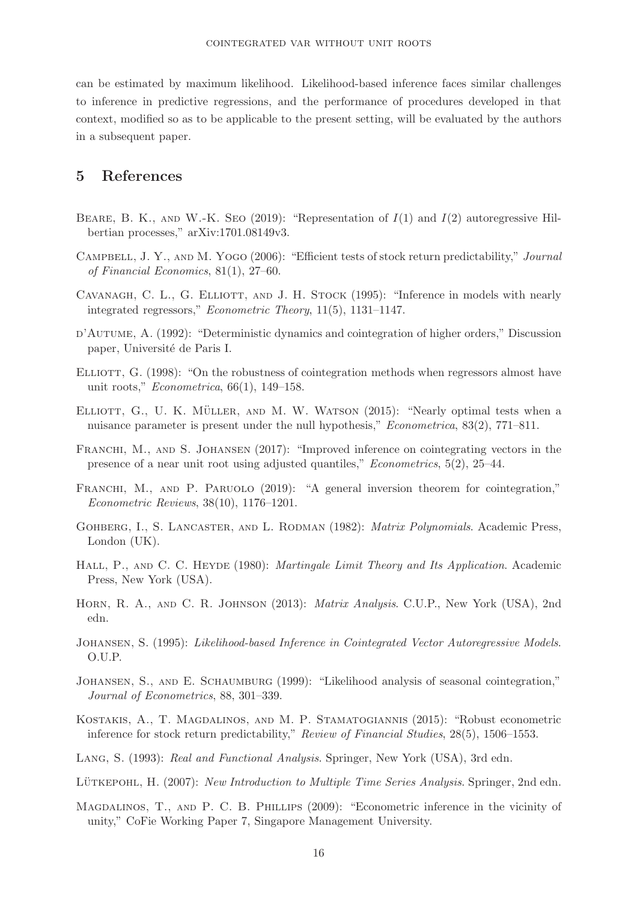can be estimated by maximum likelihood. Likelihood-based inference faces similar challenges to inference in predictive regressions, and the performance of procedures developed in that context, modified so as to be applicable to the present setting, will be evaluated by the authors in a subsequent paper.

## <span id="page-17-0"></span>5 References

- <span id="page-17-9"></span>BEARE, B. K., AND W.-K. SEO (2019): "Representation of  $I(1)$  and  $I(2)$  autoregressive Hilbertian processes," arXiv:1701.08149v3.
- <span id="page-17-6"></span>CAMPBELL, J. Y., AND M. YOGO (2006): "Efficient tests of stock return predictability," Journal of Financial Economics, 81(1), 27–60.
- <span id="page-17-5"></span>CAVANAGH, C. L., G. ELLIOTT, AND J. H. STOCK (1995): "Inference in models with nearly integrated regressors," Econometric Theory, 11(5), 1131–1147.
- <span id="page-17-11"></span>d'Autume, A. (1992): "Deterministic dynamics and cointegration of higher orders," Discussion paper, Université de Paris I.
- <span id="page-17-2"></span>ELLIOTT, G. (1998): "On the robustness of cointegration methods when regressors almost have unit roots," Econometrica, 66(1), 149–158.
- <span id="page-17-8"></span>ELLIOTT, G., U. K. MÜLLER, AND M. W. WATSON  $(2015)$ : "Nearly optimal tests when a nuisance parameter is present under the null hypothesis," *Econometrica*, 83(2), 771–811.
- <span id="page-17-4"></span>FRANCHI, M., AND S. JOHANSEN (2017): "Improved inference on cointegrating vectors in the presence of a near unit root using adjusted quantiles," Econometrics, 5(2), 25–44.
- <span id="page-17-10"></span>FRANCHI, M., AND P. PARUOLO (2019): "A general inversion theorem for cointegration," Econometric Reviews, 38(10), 1176–1201.
- <span id="page-17-15"></span>GOHBERG, I., S. LANCASTER, AND L. RODMAN (1982): *Matrix Polynomials.* Academic Press, London (UK).
- <span id="page-17-17"></span>HALL, P., AND C. C. HEYDE (1980): *Martingale Limit Theory and Its Application*. Academic Press, New York (USA).
- <span id="page-17-14"></span>Horn, R. A., and C. R. Johnson (2013): Matrix Analysis. C.U.P., New York (USA), 2nd edn.
- <span id="page-17-1"></span>Johansen, S. (1995): Likelihood-based Inference in Cointegrated Vector Autoregressive Models. O.U.P.
- <span id="page-17-12"></span>JOHANSEN, S., AND E. SCHAUMBURG (1999): "Likelihood analysis of seasonal cointegration," Journal of Econometrics, 88, 301–339.
- <span id="page-17-7"></span>Kostakis, A., T. Magdalinos, and M. P. Stamatogiannis (2015): "Robust econometric inference for stock return predictability," Review of Financial Studies, 28(5), 1506–1553.
- <span id="page-17-16"></span>Lang, S. (1993): Real and Functional Analysis. Springer, New York (USA), 3rd edn.
- <span id="page-17-13"></span>LÜTKEPOHL, H. (2007): New Introduction to Multiple Time Series Analysis. Springer, 2nd edn.
- <span id="page-17-3"></span>Magdalinos, T., and P. C. B. Phillips (2009): "Econometric inference in the vicinity of unity," CoFie Working Paper 7, Singapore Management University.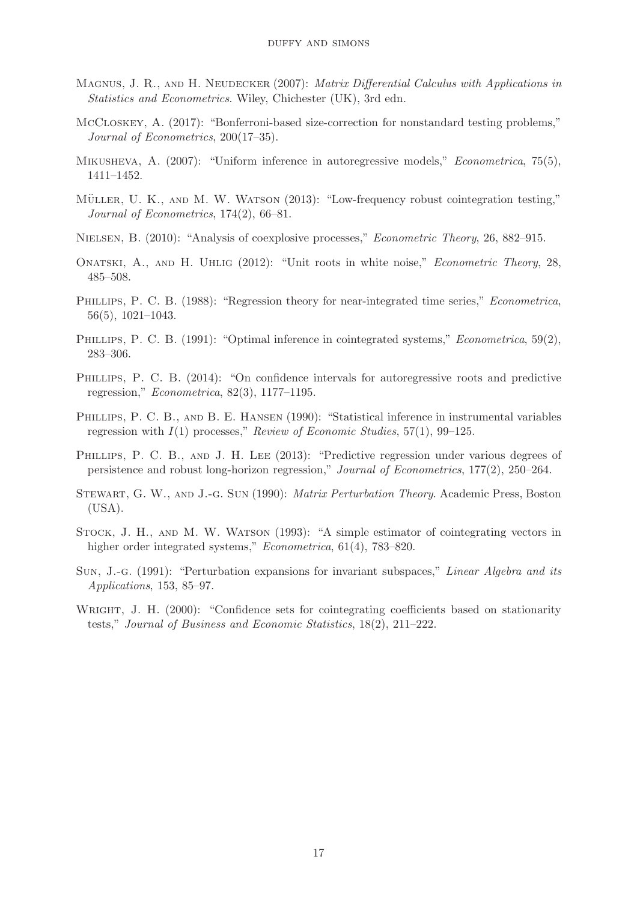- <span id="page-18-13"></span>MAGNUS, J. R., AND H. NEUDECKER (2007): Matrix Differential Calculus with Applications in Statistics and Econometrics. Wiley, Chichester (UK), 3rd edn.
- <span id="page-18-10"></span>McCloskey, A. (2017): "Bonferroni-based size-correction for nonstandard testing problems," Journal of Econometrics, 200(17–35).
- <span id="page-18-9"></span>Mikusheva, A. (2007): "Uniform inference in autoregressive models," Econometrica, 75(5), 1411–1452.
- <span id="page-18-3"></span>MÜLLER, U. K., AND M. W. WATSON  $(2013)$ : "Low-frequency robust cointegration testing," Journal of Econometrics, 174(2), 66–81.
- <span id="page-18-6"></span>NIELSEN, B. (2010): "Analysis of coexplosive processes," *Econometric Theory*, 26, 882–915.
- <span id="page-18-8"></span>ONATSKI, A., AND H. UHLIG (2012): "Unit roots in white noise," *Econometric Theory*, 28, 485–508.
- <span id="page-18-14"></span>PHILLIPS, P. C. B. (1988): "Regression theory for near-integrated time series," *Econometrica*, 56(5), 1021–1043.
- <span id="page-18-7"></span>PHILLIPS, P. C. B. (1991): "Optimal inference in cointegrated systems," *Econometrica*, 59(2), 283–306.
- <span id="page-18-5"></span>PHILLIPS, P. C. B.  $(2014)$ : "On confidence intervals for autoregressive roots and predictive regression," Econometrica, 82(3), 1177–1195.
- <span id="page-18-0"></span>PHILLIPS, P. C. B., AND B. E. HANSEN (1990): "Statistical inference in instrumental variables regression with  $I(1)$  processes," Review of Economic Studies, 57(1), 99–125.
- <span id="page-18-4"></span>PHILLIPS, P. C. B., AND J. H. LEE (2013): "Predictive regression under various degrees of persistence and robust long-horizon regression," Journal of Econometrics, 177(2), 250–264.
- <span id="page-18-11"></span>Stewart, G. W., and J.-g. Sun (1990): Matrix Perturbation Theory. Academic Press, Boston (USA).
- <span id="page-18-1"></span>STOCK, J. H., AND M. W. WATSON (1993): "A simple estimator of cointegrating vectors in higher order integrated systems," *Econometrica*, 61(4), 783–820.
- <span id="page-18-12"></span>Sun, J.-g. (1991): "Perturbation expansions for invariant subspaces," Linear Algebra and its Applications, 153, 85–97.
- <span id="page-18-2"></span>WRIGHT, J. H. (2000): "Confidence sets for cointegrating coefficients based on stationarity tests," Journal of Business and Economic Statistics, 18(2), 211–222.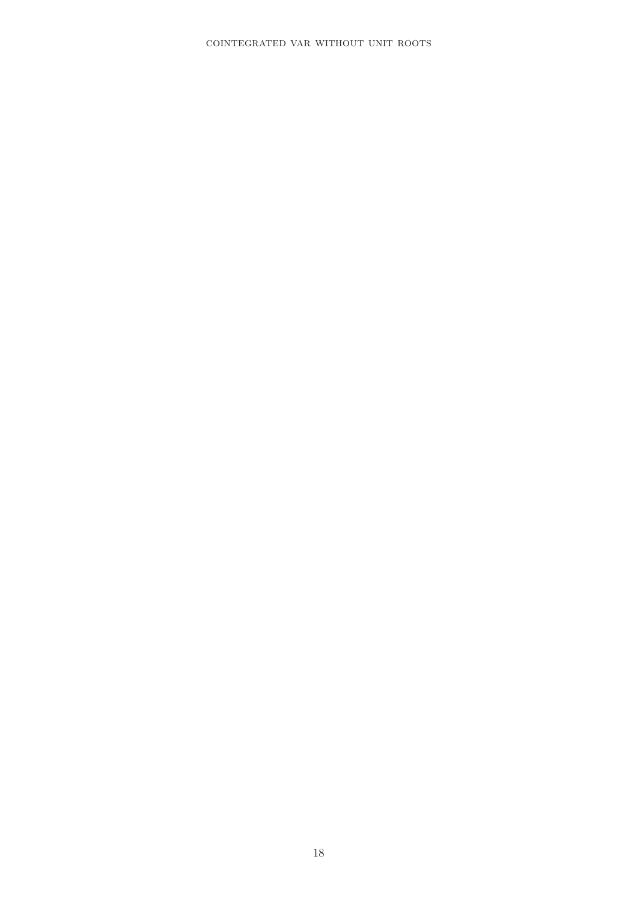### cointegrated var without unit roots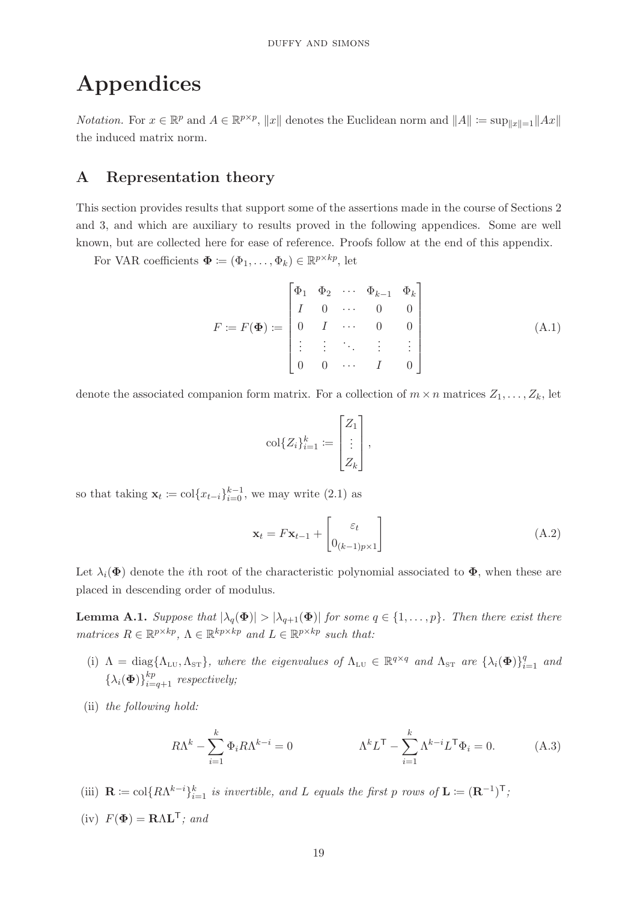## <span id="page-20-0"></span>Appendices

*Notation.* For  $x \in \mathbb{R}^p$  and  $A \in \mathbb{R}^{p \times p}$ ,  $||x||$  denotes the Euclidean norm and  $||A|| := \sup_{||x||=1} ||Ax||$ the induced matrix norm.

## <span id="page-20-1"></span>A Representation theory

This section provides results that support some of the assertions made in the course of Sections [2](#page-3-0) and [3,](#page-9-0) and which are auxiliary to results proved in the following appendices. Some are well known, but are collected here for ease of reference. Proofs follow at the end of this appendix.

For VAR coefficients  $\boldsymbol{\Phi} \coloneqq (\Phi_1, \dots, \Phi_k) \in \mathbb{R}^{p \times kp}$ , let

$$
F := F(\Phi) := \begin{bmatrix} \Phi_1 & \Phi_2 & \cdots & \Phi_{k-1} & \Phi_k \\ I & 0 & \cdots & 0 & 0 \\ 0 & I & \cdots & 0 & 0 \\ \vdots & \vdots & \ddots & \vdots & \vdots \\ 0 & 0 & \cdots & I & 0 \end{bmatrix}
$$
(A.1)

denote the associated companion form matrix. For a collection of  $m \times n$  matrices  $Z_1, \ldots, Z_k$ , let

$$
col{Zi}i=1k := \begin{bmatrix} Z_1 \\ \vdots \\ Z_k \end{bmatrix},
$$

so that taking  $\mathbf{x}_t := \text{col}\{x_{t-i}\}_{i=0}^{k-1}$ , we may write  $(2.1)$  as

<span id="page-20-6"></span>
$$
\mathbf{x}_{t} = F\mathbf{x}_{t-1} + \begin{bmatrix} \varepsilon_{t} \\ 0_{(k-1)p \times 1} \end{bmatrix}
$$
 (A.2)

Let  $\lambda_i(\Phi)$  denote the *i*th root of the characteristic polynomial associated to  $\Phi$ , when these are placed in descending order of modulus.

<span id="page-20-3"></span><span id="page-20-2"></span>**Lemma A.1.** Suppose that  $|\lambda_q(\Phi)| > |\lambda_{q+1}(\Phi)|$  for some  $q \in \{1, ..., p\}$ . Then there exist there matrices  $R \in \mathbb{R}^{p \times kp}$ ,  $\Lambda \in \mathbb{R}^{kp \times kp}$  and  $L \in \mathbb{R}^{p \times kp}$  such that:

- (i)  $\Lambda = \text{diag}\{\Lambda_{\text{LU}}, \Lambda_{\text{ST}}\}$ , where the eigenvalues of  $\Lambda_{\text{LU}} \in \mathbb{R}^{q \times q}$  and  $\Lambda_{\text{ST}}$  are  $\{\lambda_i(\Phi)\}_{i=1}^q$  and  $\{\lambda_i(\mathbf{\Phi})\}_{i=q+1}^{kp}$  respectively;
- <span id="page-20-4"></span>(ii) the following hold:

$$
R\Lambda^k - \sum_{i=1}^k \Phi_i R \Lambda^{k-i} = 0 \qquad \Lambda^k L^{\mathsf{T}} - \sum_{i=1}^k \Lambda^{k-i} L^{\mathsf{T}} \Phi_i = 0. \qquad (A.3)
$$

<span id="page-20-7"></span><span id="page-20-5"></span>(iii)  $\mathbf{R} \coloneqq \text{col}\{R\Lambda^{k-i}\}_{i=1}^k$  is invertible, and L equals the first p rows of  $\mathbf{L} \coloneqq (\mathbf{R}^{-1})^{\mathsf{T}}$ ;

(iv)  $F(\mathbf{\Phi}) = \mathbf{R} \Lambda \mathbf{L}^{\mathsf{T}}$ ; and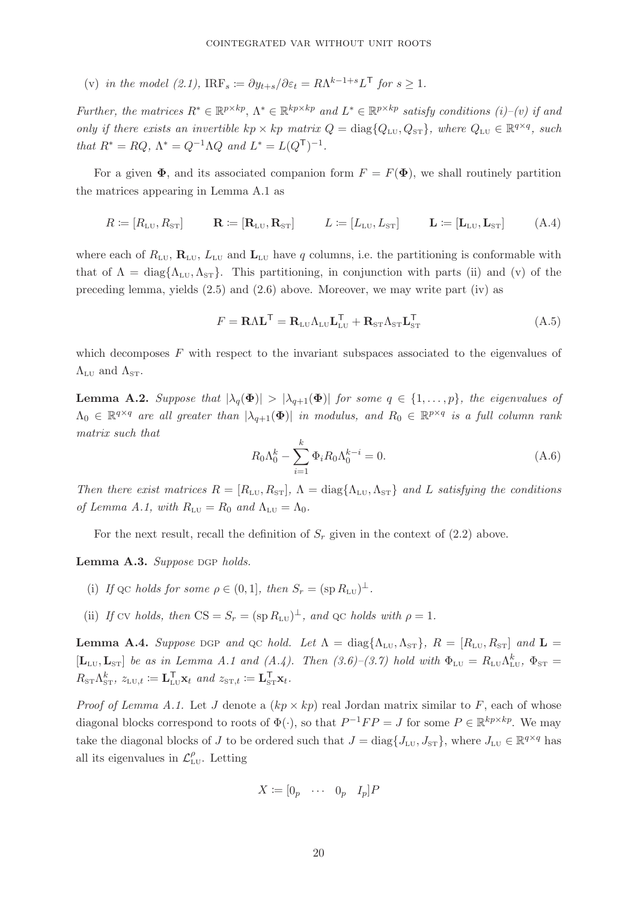<span id="page-21-2"></span>(v) in the model [\(2.1\)](#page-3-3),  $\text{IRF}_s \coloneqq \partial y_{t+s} / \partial \varepsilon_t = R \Lambda^{k-1+s} L^{\mathsf{T}}$  for  $s \geq 1$ .

Further, the matrices  $R^* \in \mathbb{R}^{p \times kp}$ ,  $\Lambda^* \in \mathbb{R}^{kp \times kp}$  and  $L^* \in \mathbb{R}^{p \times kp}$  satisfy conditions  $(i)$ – $(v)$  if and only if there exists an invertible  $kp \times kp$  matrix  $Q = \text{diag}\{Q_{LU}, Q_{ST}\}\$ , where  $Q_{LU} \in \mathbb{R}^{q \times q}$ , such that  $R^* = RQ$ ,  $\Lambda^* = Q^{-1}\Lambda Q$  and  $L^* = L(Q^{\mathsf{T}})^{-1}$ .

For a given  $\Phi$ , and its associated companion form  $F = F(\Phi)$ , we shall routinely partition the matrices appearing in Lemma [A.1](#page-20-2) as

$$
R \coloneqq [R_{\text{LU}}, R_{\text{ST}}] \qquad \mathbf{R} \coloneqq [\mathbf{R}_{\text{LU}}, \mathbf{R}_{\text{ST}}] \qquad \quad L \coloneqq [L_{\text{LU}}, L_{\text{ST}}] \qquad \quad \mathbf{L} \coloneqq [\mathbf{L}_{\text{LU}}, \mathbf{L}_{\text{ST}}] \qquad \quad \text{(A.4)}
$$

where each of  $R_{\text{LU}}$ ,  $\mathbf{R}_{\text{LU}}$ ,  $L_{\text{LU}}$  and  $\mathbf{L}_{\text{LU}}$  have q columns, i.e. the partitioning is conformable with that of  $\Lambda = \text{diag}\{\Lambda_{\text{LU}}, \Lambda_{\text{ST}}\}$ . This partitioning, in conjunction with parts [\(ii\)](#page-20-4) and [\(v\)](#page-21-2) of the preceding lemma, yields [\(2.5\)](#page-5-3) and [\(2.6\)](#page-5-2) above. Moreover, we may write part [\(iv\)](#page-20-5) as

<span id="page-21-6"></span><span id="page-21-3"></span>
$$
F = \mathbf{R}\Lambda\mathbf{L}^{\mathsf{T}} = \mathbf{R}_{\text{LU}}\Lambda_{\text{LU}}\mathbf{L}_{\text{LU}}^{\mathsf{T}} + \mathbf{R}_{\text{ST}}\Lambda_{\text{ST}}\mathbf{L}_{\text{ST}}^{\mathsf{T}}
$$
(A.5)

which decomposes  $F$  with respect to the invariant subspaces associated to the eigenvalues of  $\Lambda_{\text{LU}}$  and  $\Lambda_{\text{ST}}$ .

<span id="page-21-4"></span>**Lemma A.2.** Suppose that  $|\lambda_q(\Phi)| > |\lambda_{q+1}(\Phi)|$  for some  $q \in \{1, ..., p\}$ , the eigenvalues of  $\Lambda_0 \in \mathbb{R}^{q \times q}$  are all greater than  $|\lambda_{q+1}(\mathbf{\Phi})|$  in modulus, and  $R_0 \in \mathbb{R}^{p \times q}$  is a full column rank matrix such that

<span id="page-21-5"></span>
$$
R_0 \Lambda_0^k - \sum_{i=1}^k \Phi_i R_0 \Lambda_0^{k-i} = 0.
$$
 (A.6)

Then there exist matrices  $R = [R_{\text{LU}}, R_{\text{ST}}], \Lambda = \text{diag}\{\Lambda_{\text{LU}}, \Lambda_{\text{ST}}\}\$ and L satisfying the conditions of Lemma [A.1,](#page-20-2) with  $R_{\text{LU}} = R_0$  and  $\Lambda_{\text{LU}} = \Lambda_0$ .

For the next result, recall the definition of  $S_r$  given in the context of [\(2.2\)](#page-4-1) above.

<span id="page-21-0"></span>Lemma A.3. Suppose [DGP](#page-3-4) holds.

- (i) If  $\text{QC}$  $\text{QC}$  $\text{QC}$  holds for some  $\rho \in (0,1]$ , then  $S_r = (\text{sp } R_{\text{LU}})^{\perp}$ .
- (ii) If cv holds, then  $CS = S_r = (\text{sp } R_{\text{LU}})^{\perp}$ , and  $\text{QC}$  $\text{QC}$  $\text{QC}$  holds with  $\rho = 1$ .

<span id="page-21-1"></span>**Lemma A.4.** Suppose [DGP](#page-3-4) and [QC](#page-6-0) hold. Let  $\Lambda = diag\{\Lambda_{\text{LU}}, \Lambda_{\text{ST}}\}, R = [R_{\text{LU}}, R_{\text{ST}}]$  and  $\mathbf{L} =$  $[\mathbf{L}_{\text{LU}}, \mathbf{L}_{\text{ST}}]$  be as in Lemma [A.1](#page-20-2) and [\(A.4\)](#page-21-3). Then [\(3.6\)](#page-10-3)–[\(3.7\)](#page-11-1) hold with  $\Phi_{\text{LU}} = R_{\text{LU}} \Lambda_{\text{LU}}^k$ ,  $\Phi_{\text{ST}} =$  $R_{\text{ST}} \Lambda_{\text{ST}}^k$ ,  $z_{\text{LU},t} := \mathbf{L}_{\text{LU}}^{\mathsf{T}} \mathbf{x}_t$  and  $z_{\text{ST},t} := \mathbf{L}_{\text{ST}}^{\mathsf{T}} \mathbf{x}_t$ .

*Proof of Lemma [A.1.](#page-20-2)* Let J denote a  $(kp \times kp)$  real Jordan matrix similar to F, each of whose diagonal blocks correspond to roots of  $\Phi(\cdot)$ , so that  $P^{-1}FP = J$  for some  $P \in \mathbb{R}^{kp \times kp}$ . We may take the diagonal blocks of J to be ordered such that  $J = diag\{J_{\text{LU}}, J_{\text{ST}}\}$ , where  $J_{\text{LU}} \in \mathbb{R}^{q \times q}$  has all its eigenvalues in  $\mathcal{L}_{\text{LU}}^{\rho}$ . Letting

$$
X \coloneqq [0_p \quad \cdots \quad 0_p \quad I_p]P
$$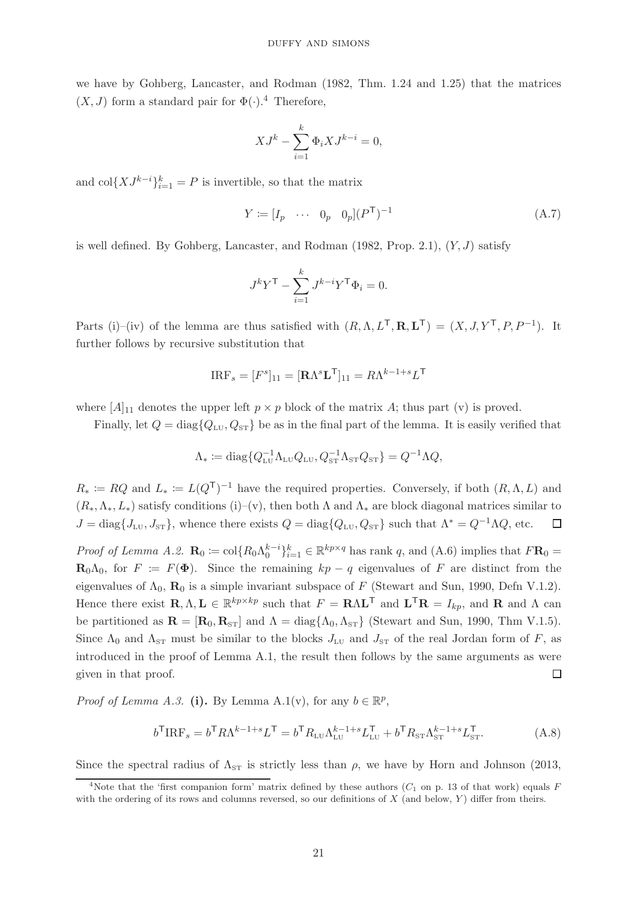we have by [Gohberg, Lancaster, and Rodman \(1982](#page-17-15), Thm. 1.24 and 1.25) that the matrices  $(X, J)$  form a standard pair for  $\Phi(\cdot)$ .<sup>[4](#page-22-0)</sup> Therefore,

$$
XJ^k - \sum_{i=1}^k \Phi_i X J^{k-i} = 0,
$$

and  $\text{col}\lbrace XJ^{k-i}\rbrace_{i=1}^k = P$  is invertible, so that the matrix

$$
Y \coloneqq [I_p \quad \cdots \quad 0_p \quad 0_p] (P^{\mathsf{T}})^{-1} \tag{A.7}
$$

is well defined. By Gohberg, Lancaster, and Rodman  $(1982, Prop. 2.1), (Y, J)$  satisfy

$$
J^k Y^{\mathsf{T}} - \sum_{i=1}^k J^{k-i} Y^{\mathsf{T}} \Phi_i = 0.
$$

Parts [\(i\)–](#page-20-3)[\(iv\)](#page-20-5) of the lemma are thus satisfied with  $(R, \Lambda, L^{\mathsf{T}}, \mathbf{R}, \mathbf{L}^{\mathsf{T}}) = (X, J, Y^{\mathsf{T}}, P, P^{-1})$ . It further follows by recursive substitution that

$$
\text{IRF}_s = [F^s]_{11} = [\mathbf{R}\Lambda^s \mathbf{L}^\mathsf{T}]_{11} = R\Lambda^{k-1+s} L^\mathsf{T}
$$

where  $[A]_{11}$  denotes the upper left  $p \times p$  block of the matrix A; thus part [\(v\)](#page-21-2) is proved.

Finally, let  $Q = diag\{Q_{\text{LU}}, Q_{\text{ST}}\}$  be as in the final part of the lemma. It is easily verified that

$$
\Lambda_* := \text{diag}\{Q_{\text{LU}}^{-1} \Lambda_{\text{LU}} Q_{\text{LU}}, Q_{\text{ST}}^{-1} \Lambda_{\text{ST}} Q_{\text{ST}}\} = Q^{-1} \Lambda Q,
$$

 $R_* := RQ$  and  $L_* := L(Q^{\mathsf{T}})^{-1}$  have the required properties. Conversely, if both  $(R, \Lambda, L)$  and  $(R_*,\Lambda_*,L_*)$  satisfy conditions [\(i\)](#page-20-3)[–\(v\),](#page-21-2) then both  $\Lambda$  and  $\Lambda_*$  are block diagonal matrices similar to  $J = \text{diag}\{J_{\text{LU}}, J_{\text{ST}}\}\$ , whence there exists  $Q = \text{diag}\{Q_{\text{LU}}, Q_{\text{ST}}\}\$  such that  $\Lambda^* = Q^{-1}\Lambda Q$ , etc.  $\Box$ 

*Proof of Lemma [A.2.](#page-21-4)*  $\mathbf{R}_0 \coloneqq \text{col}\{R_0 \Lambda_0^{k-i}\}_{i=1}^k \in \mathbb{R}^{kp \times q}$  has rank q, and [\(A.6\)](#page-21-5) implies that  $F\mathbf{R}_0 =$  $\mathbf{R}_0\Lambda_0$ , for  $F := F(\Phi)$ . Since the remaining  $kp - q$  eigenvalues of F are distinct from the eigenvalues of  $\Lambda_0$ ,  $\mathbf{R}_0$  is a simple invariant subspace of F [\(Stewart and Sun, 1990,](#page-18-11) Defn V.1.2). Hence there exist  $\mathbf{R}, \Lambda, \mathbf{L} \in \mathbb{R}^{kp \times kp}$  such that  $F = \mathbf{R} \Lambda \mathbf{L}^{\mathsf{T}}$  and  $\mathbf{L}^{\mathsf{T}} \mathbf{R} = I_{kp}$ , and  $\mathbf{R}$  and  $\Lambda$  can be partitioned as  $\mathbf{R} = [\mathbf{R}_0, \mathbf{R}_{ST}]$  and  $\Lambda = \text{diag}\{\Lambda_0, \Lambda_{ST}\}\$  [\(Stewart and Sun](#page-18-11), [1990,](#page-18-11) Thm V.1.5). Since  $\Lambda_0$  and  $\Lambda_{ST}$  must be similar to the blocks  $J_{\text{LU}}$  and  $J_{ST}$  of the real Jordan form of F, as introduced in the proof of Lemma [A.1,](#page-20-2) the result then follows by the same arguments as were given in that proof.  $\Box$ 

*Proof of Lemma [A.3.](#page-21-0)* (i). By Lemma [A.1](#page-20-2)[\(v\),](#page-21-2) for any  $b \in \mathbb{R}^p$ ,

<span id="page-22-1"></span>
$$
b^{\mathsf{T}} \text{IRF}_s = b^{\mathsf{T}} R \Lambda^{k-1+s} L^{\mathsf{T}} = b^{\mathsf{T}} R_{\text{LU}} \Lambda_{\text{LU}}^{k-1+s} L_{\text{LU}}^{\mathsf{T}} + b^{\mathsf{T}} R_{\text{ST}} \Lambda_{\text{ST}}^{k-1+s} L_{\text{ST}}^{\mathsf{T}}.
$$
 (A.8)

Since the spectral radius of  $\Lambda_{ST}$  is strictly less than  $\rho$ , we have by [Horn and Johnson \(2013](#page-17-14),

<span id="page-22-0"></span><sup>&</sup>lt;sup>4</sup>Note that the 'first companion form' matrix defined by these authors  $(C_1$  on p. 13 of that work) equals F with the ordering of its rows and columns reversed, so our definitions of  $X$  (and below,  $Y$ ) differ from theirs.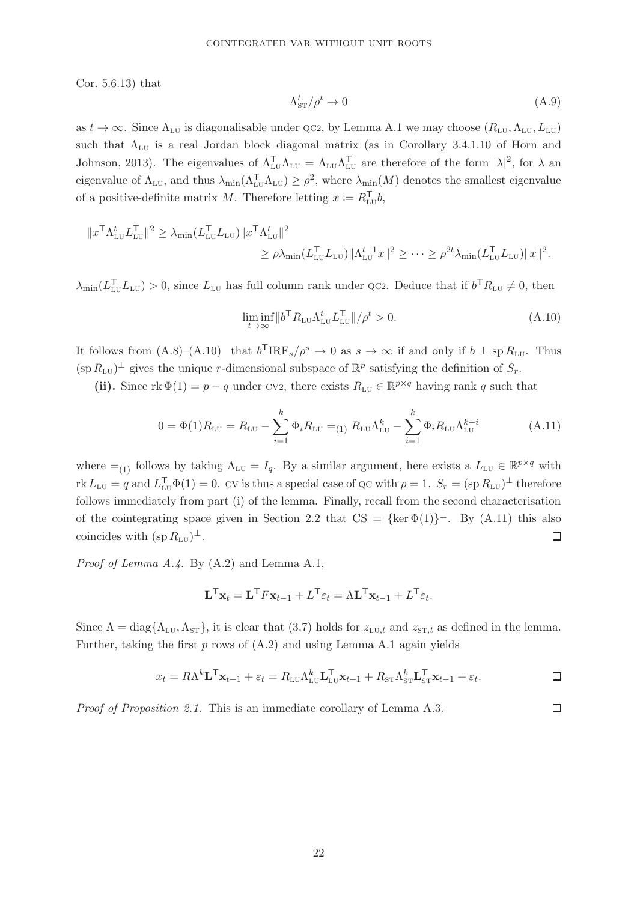Cor. 5.6.13) that

$$
\Lambda_{\rm ST}^t / \rho^t \to 0 \tag{A.9}
$$

as  $t \to \infty$ . Since  $\Lambda_{\text{LU}}$  is diagonalisable under [QC](#page-6-0)[2](#page-6-2), by Lemma [A.1](#page-20-2) we may choose  $(R_{\text{LU}}, \Lambda_{\text{LU}}, L_{\text{LU}})$ such that  $\Lambda_{\text{LU}}$  [is a real Jordan block diagonal matrix \(as in Corollary 3.4.1.10 of](#page-17-14) Horn and Johnson, [2013\)](#page-17-14). The eigenvalues of  $\Lambda_{\text{LU}}^{\text{T}} \Lambda_{\text{LU}} = \Lambda_{\text{LU}} \Lambda_{\text{LU}}^{\text{T}}$  are therefore of the form  $|\lambda|^2$ , for  $\lambda$  and eigenvalue of  $\Lambda_{\text{LU}}$ , and thus  $\lambda_{\text{min}}(\Lambda_{\text{LU}}^{\text{T}} \Lambda_{\text{LU}}) \geq \rho^2$ , where  $\lambda_{\text{min}}(M)$  denotes the smallest eigenvalue of a positive-definite matrix M. Therefore letting  $x := R_{\text{LU}}^{\mathsf{T}} b$ ,

$$
||x^{\mathsf{T}} \Lambda_{\text{LU}}^t L_{\text{LU}}^{\mathsf{T}}||^2 \geq \lambda_{\min}(L_{\text{LU}}^{\mathsf{T}} L_{\text{LU}}) ||x^{\mathsf{T}} \Lambda_{\text{LU}}^t ||^2
$$
  

$$
\geq \rho \lambda_{\min}(L_{\text{LU}}^{\mathsf{T}} L_{\text{LU}}) ||\Lambda_{\text{LU}}^{t-1} x ||^2 \geq \cdots \geq \rho^{2t} \lambda_{\min}(L_{\text{LU}}^{\mathsf{T}} L_{\text{LU}}) ||x||^2.
$$

 $\lambda_{\min}(L_{\text{LU}}^{\text{T}}L_{\text{LU}}) > 0$ , since  $L_{\text{LU}}$  has full column rank under [QC](#page-6-0)[2](#page-6-2). Deduce that if  $b^{\text{T}}R_{\text{LU}} \neq 0$ , then

<span id="page-23-0"></span>
$$
\liminf_{t \to \infty} \|b^{\mathsf{T}} R_{\text{LU}} \Lambda_{\text{LU}}^t L_{\text{LU}}^{\mathsf{T}}\| / \rho^t > 0. \tag{A.10}
$$

It follows from  $(A.8)$ – $(A.10)$  that  $b^{\mathsf{T}} \text{IRF}_s/\rho^s \to 0$  as  $s \to \infty$  if and only if  $b \perp sp R_{\text{LU}}$ . Thus  $(\text{sp } R_{\text{LU}})^{\perp}$  gives the unique r-dimensional subspace of  $\mathbb{R}^p$  satisfying the definition of  $S_r$ .

(ii). Since  $\text{rk } \Phi(1) = p - q$  under [CV](#page-4-0)[2](#page-4-3), there exists  $R_{\text{LU}} \in \mathbb{R}^{p \times q}$  having rank q such that

<span id="page-23-1"></span>
$$
0 = \Phi(1)R_{\text{LU}} = R_{\text{LU}} - \sum_{i=1}^{k} \Phi_i R_{\text{LU}} = (1) R_{\text{LU}} \Lambda_{\text{LU}}^k - \sum_{i=1}^{k} \Phi_i R_{\text{LU}} \Lambda_{\text{LU}}^{k-i}
$$
(A.11)

where  $=_{(1)}$  follows by taking  $\Lambda_{LU} = I_q$ . By a similar argument, here exists a  $L_{LU} \in \mathbb{R}^{p \times q}$  with  $\text{rk } L_{\text{LU}} = q \text{ and } L_{\text{LU}}^{\text{T}} \Phi(1) = 0.$  [CV](#page-4-0) is thus a special case of [QC](#page-6-0) with  $\rho = 1$ .  $S_r = (\text{sp } R_{\text{LU}})^{\perp}$  therefore follows immediately from part (i) of the lemma. Finally, recall from the second characterisation of the cointegrating space given in Section [2.2](#page-3-2) that  $CS = {\ker \Phi(1)}^{\perp}$ . By [\(A.11\)](#page-23-1) this also coincides with  $(\text{sp } R_{\text{LU}})^{\perp}$ .  $\Box$ 

Proof of Lemma [A.4.](#page-21-1) By [\(A.2\)](#page-20-6) and Lemma [A.1,](#page-20-2)

$$
\mathbf{L}^{\mathsf{T}}\mathbf{x}_t = \mathbf{L}^{\mathsf{T}} F \mathbf{x}_{t-1} + L^{\mathsf{T}} \varepsilon_t = \Lambda \mathbf{L}^{\mathsf{T}} \mathbf{x}_{t-1} + L^{\mathsf{T}} \varepsilon_t.
$$

Since  $\Lambda = \text{diag}\{\Lambda_{\text{LU}}, \Lambda_{\text{ST}}\}\$ , it is clear that [\(3.7\)](#page-11-1) holds for  $z_{\text{LU},t}$  and  $z_{\text{ST},t}$  as defined in the lemma. Further, taking the first  $p$  rows of  $(A.2)$  and using Lemma [A.1](#page-20-2) again yields

$$
x_t = R\Lambda^k \mathbf{L}^\mathsf{T} \mathbf{x}_{t-1} + \varepsilon_t = R_{\text{LU}} \Lambda_{\text{LU}}^k \mathbf{L}_{\text{LU}}^\mathsf{T} \mathbf{x}_{t-1} + R_{\text{ST}} \Lambda_{\text{ST}}^k \mathbf{L}_{\text{ST}}^\mathsf{T} \mathbf{x}_{t-1} + \varepsilon_t.
$$

 $\Box$ 

Proof of Proposition [2.1.](#page-6-3) This is an immediate corollary of Lemma [A.3.](#page-21-0)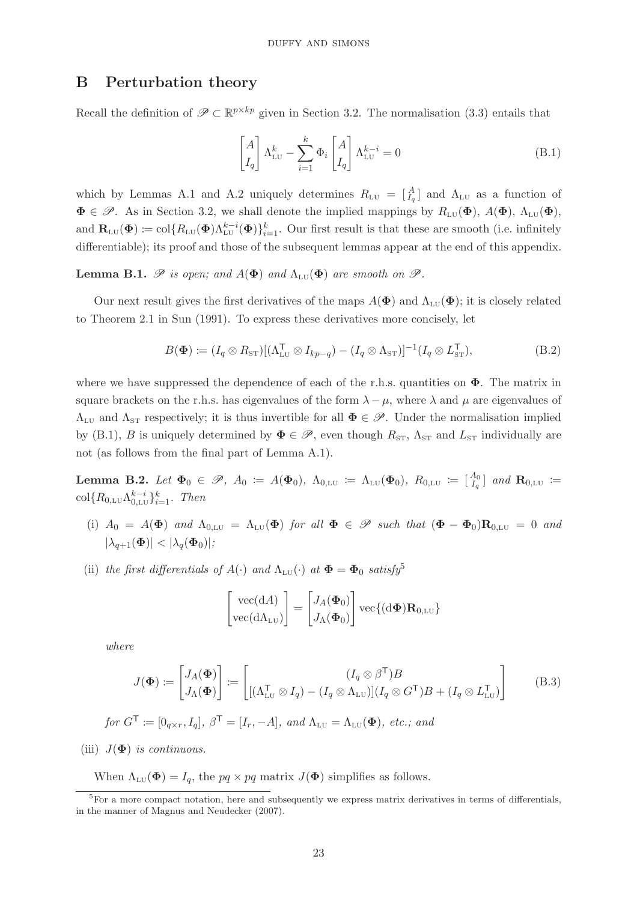## <span id="page-24-0"></span>B Perturbation theory

Recall the definition of  $\mathscr{P} \subset \mathbb{R}^{p \times kp}$  given in Section [3.2.](#page-10-1) The normalisation [\(3.3\)](#page-10-1) entails that

<span id="page-24-3"></span>
$$
\begin{bmatrix} A \\ I_q \end{bmatrix} \Lambda_{\text{LU}}^k - \sum_{i=1}^k \Phi_i \begin{bmatrix} A \\ I_q \end{bmatrix} \Lambda_{\text{LU}}^{k-i} = 0
$$
 (B.1)

which by Lemmas [A.1](#page-20-2) and [A.2](#page-21-4) uniquely determines  $R_{\text{LU}} = \begin{bmatrix} A \\ I_q \end{bmatrix}$  and  $\Lambda_{\text{LU}}$  as a function of  $\Phi \in \mathscr{P}$ . As in Section [3.2,](#page-9-2) we shall denote the implied mappings by  $R_{\text{LU}}(\Phi)$ ,  $A(\Phi)$ ,  $\Lambda_{\text{LU}}(\Phi)$ , and  $\mathbf{R}_{\text{LU}}(\Phi) \coloneqq \text{col}\{R_{\text{LU}}(\Phi)\Lambda_{\text{LU}}^{k-i}(\Phi)\}_{i=1}^k$ . Our first result is that these are smooth (i.e. infinitely differentiable); its proof and those of the subsequent lemmas appear at the end of this appendix.

<span id="page-24-1"></span>**Lemma B.1.**  $\mathscr P$  is open; and  $A(\Phi)$  and  $\Lambda_{LU}(\Phi)$  are smooth on  $\mathscr P$ .

Our next result gives the first derivatives of the maps  $A(\Phi)$  and  $\Lambda_{\text{LU}}(\Phi)$ ; it is closely related to Theorem 2.1 in [Sun \(1991](#page-18-12)). To express these derivatives more concisely, let

<span id="page-24-6"></span>
$$
B(\mathbf{\Phi}) \coloneqq (I_q \otimes R_{ST})[(\Lambda_{LU}^{\mathsf{T}} \otimes I_{kp-q}) - (I_q \otimes \Lambda_{ST})]^{-1}(I_q \otimes L_{ST}^{\mathsf{T}}),
$$
(B.2)

where we have suppressed the dependence of each of the r.h.s. quantities on  $\Phi$ . The matrix in square brackets on the r.h.s. has eigenvalues of the form  $\lambda - \mu$ , where  $\lambda$  and  $\mu$  are eigenvalues of  $\Lambda_{\text{LU}}$  and  $\Lambda_{\text{ST}}$  respectively; it is thus invertible for all  $\Phi \in \mathscr{P}$ . Under the normalisation implied by [\(B.1\)](#page-24-3), B is uniquely determined by  $\Phi \in \mathscr{P}$ , even though  $R_{ST}$ ,  $\Lambda_{ST}$  and  $L_{ST}$  individually are not (as follows from the final part of Lemma [A.1\)](#page-20-2).

<span id="page-24-2"></span>Lemma B.2. Let  $\Phi_0 \in \mathscr{P}$ ,  $A_0 \coloneqq A(\Phi_0)$ ,  $\Lambda_{0,\texttt{LU}} \coloneqq \Lambda_{\texttt{LU}}(\Phi_0)$ ,  $R_{0,\texttt{LU}} \coloneqq \left[\begin{smallmatrix} A_0 \ I_q \end{smallmatrix}\right]$  and  $\mathbf{R}_{0,\texttt{LU}} \coloneqq$  $\mathrm{col}\{R_{0,\mathrm{LU}}\Lambda_{0,\mathrm{LU}}^{k-i}\}_{i=1}^k$ . Then

- <span id="page-24-8"></span><span id="page-24-7"></span>(i)  $A_0 = A(\Phi)$  and  $\Lambda_{0,\text{LU}} = \Lambda_{\text{LU}}(\Phi)$  for all  $\Phi \in \mathscr{P}$  such that  $(\Phi - \Phi_0)R_{0,\text{LU}} = 0$  and  $|\lambda_{q+1}(\mathbf{\Phi})| < |\lambda_q(\mathbf{\Phi}_0)|;$
- (ii) the first differentials of  $A(\cdot)$  and  $\Lambda_{LU}(\cdot)$  at  $\Phi = \Phi_0$  satisfy<sup>[5](#page-24-4)</sup>

$$
\begin{bmatrix} \text{vec}(\mathrm{d}A) \\ \text{vec}(\mathrm{d}\Lambda_{\text{LU}}) \end{bmatrix} = \begin{bmatrix} J_A(\boldsymbol{\Phi}_0) \\ J_\Lambda(\boldsymbol{\Phi}_0) \end{bmatrix} \text{vec}\{(\mathrm{d}\boldsymbol{\Phi})\mathbf{R}_{0,\text{LU}}\}
$$

where

<span id="page-24-5"></span>
$$
J(\Phi) := \begin{bmatrix} J_A(\Phi) \\ J_\Lambda(\Phi) \end{bmatrix} := \begin{bmatrix} (I_q \otimes \beta^\mathsf{T})B \\ [(\Lambda_{\text{LU}}^\mathsf{T} \otimes I_q) - (I_q \otimes \Lambda_{\text{LU}})](I_q \otimes G^\mathsf{T})B + (I_q \otimes L_{\text{LU}}^\mathsf{T}) \end{bmatrix}
$$
(B.3)

for 
$$
G^{\mathsf{T}} := [0_{q \times r}, I_q], \beta^{\mathsf{T}} = [I_r, -A],
$$
 and  $\Lambda_{LU} = \Lambda_{LU}(\Phi)$ , etc.; and

<span id="page-24-9"></span>(iii)  $J(\Phi)$  is continuous.

When  $\Lambda_{\text{LU}}(\Phi) = I_q$ , the  $pq \times pq$  matrix  $J(\Phi)$  simplifies as follows.

<span id="page-24-4"></span> ${}^{5}$ For a more compact notation, here and subsequently we express matrix derivatives in terms of differentials, in the manner of [Magnus and Neudecker \(2007\)](#page-18-13).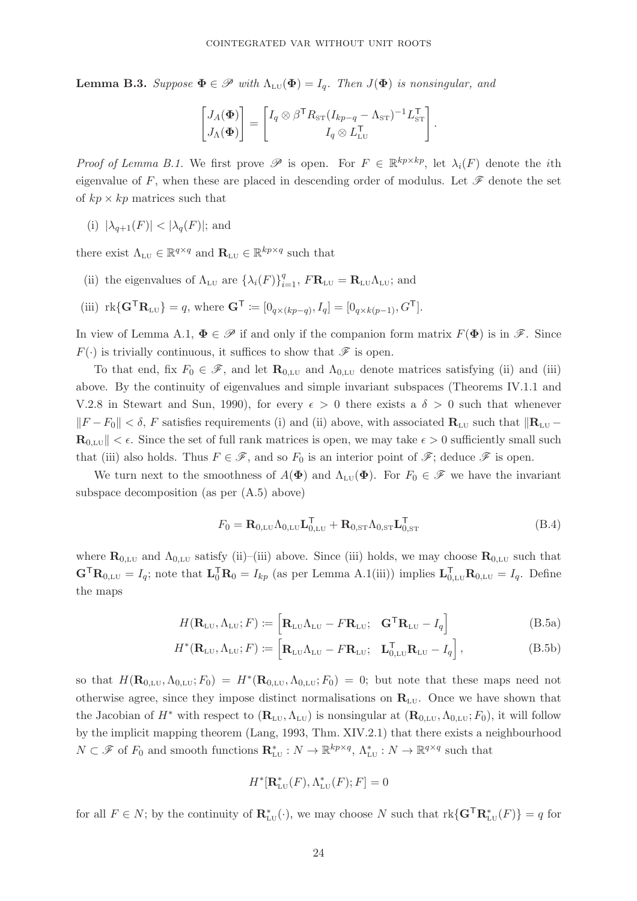<span id="page-25-2"></span>**Lemma B.3.** Suppose  $\Phi \in \mathscr{P}$  with  $\Lambda_{LU}(\Phi) = I_q$ . Then  $J(\Phi)$  is nonsingular, and

$$
\begin{bmatrix} J_A(\mathbf{\Phi}) \\ J_\Lambda(\mathbf{\Phi}) \end{bmatrix} = \begin{bmatrix} I_q \otimes \beta^\mathsf{T} R_{\mathrm{ST}} (I_{kp-q} - \Lambda_{\mathrm{ST}})^{-1} L_{\mathrm{ST}}^\mathsf{T} \\ I_q \otimes L_{\mathrm{LU}}^\mathsf{T} \end{bmatrix}.
$$

*Proof of Lemma [B.1.](#page-24-1)* We first prove  $\mathscr P$  is open. For  $F \in \mathbb R^{kp \times kp}$ , let  $\lambda_i(F)$  denote the *i*th eigenvalue of F, when these are placed in descending order of modulus. Let  $\mathscr F$  denote the set of  $kp \times kp$  matrices such that

(i)  $|\lambda_{q+1}(F)| < |\lambda_q(F)|$ ; and

there exist  $\Lambda_{\text{LU}} \in \mathbb{R}^{q \times q}$  and  $\mathbf{R}_{\text{LU}} \in \mathbb{R}^{kp \times q}$  such that

- (ii) the eigenvalues of  $\Lambda_{\text{LU}}$  are  $\{\lambda_i(F)\}_{i=1}^q$ ,  $F\mathbf{R}_{\text{LU}} = \mathbf{R}_{\text{LU}}\Lambda_{\text{LU}}$ ; and
- (iii)  $\mathrm{rk}\{\mathbf{G}^\mathsf{T}\mathbf{R}_{\mathrm{LU}}\}=q$ , where  $\mathbf{G}^\mathsf{T} \coloneqq [0_{q\times (kp-q)},I_q] = [0_{q\times k(p-1)}, G^\mathsf{T}].$

In view of Lemma [A.1,](#page-20-2)  $\Phi \in \mathscr{P}$  if and only if the companion form matrix  $F(\Phi)$  is in  $\mathscr{F}$ . Since  $F(\cdot)$  is trivially continuous, it suffices to show that  $\mathscr F$  is open.

To that end, fix  $F_0 \in \mathscr{F}$ , and let  $\mathbf{R}_{0,\text{LU}}$  and  $\Lambda_{0,\text{LU}}$  denote matrices satisfying (ii) and (iii) above. By the continuity of eigenvalues and simple invariant subspaces (Theorems IV.1.1 and V.2.8 in [Stewart and Sun, 1990](#page-18-11)), for every  $\epsilon > 0$  there exists a  $\delta > 0$  such that whenever  $||F - F_0|| < \delta$ , F satisfies requirements (i) and (ii) above, with associated  $\mathbf{R}_{\text{LU}}$  such that  $||\mathbf{R}_{\text{LU}} \mathbf{R}_{0,\text{LU}}\| < \epsilon$ . Since the set of full rank matrices is open, we may take  $\epsilon > 0$  sufficiently small such that (iii) also holds. Thus  $F \in \mathscr{F}$ , and so  $F_0$  is an interior point of  $\mathscr{F}$ ; deduce  $\mathscr{F}$  is open.

We turn next to the smoothness of  $A(\Phi)$  and  $\Lambda_{LU}(\Phi)$ . For  $F_0 \in \mathscr{F}$  we have the invariant subspace decomposition (as per [\(A.5\)](#page-21-6) above)

<span id="page-25-0"></span>
$$
F_0 = \mathbf{R}_{0,\text{LU}} \Lambda_{0,\text{LU}} \mathbf{L}_{0,\text{LU}}^{\mathsf{T}} + \mathbf{R}_{0,\text{ST}} \Lambda_{0,\text{ST}} \mathbf{L}_{0,\text{ST}}^{\mathsf{T}}
$$
(B.4)

<span id="page-25-1"></span>where  $\mathbf{R}_{0,\text{LU}}$  and  $\Lambda_{0,\text{LU}}$  satisfy (ii)–(iii) above. Since (iii) holds, we may choose  $\mathbf{R}_{0,\text{LU}}$  such that  $\mathbf{G}^{\mathsf{T}}\mathbf{R}_{0,\text{LU}} = I_q$ ; note that  $\mathbf{L}_0^{\mathsf{T}}\mathbf{R}_0 = I_{kp}$  (as per Lemma [A.1](#page-20-2)[\(iii\)\)](#page-20-7) implies  $\mathbf{L}_{0,\text{LU}}^{\mathsf{T}}\mathbf{R}_{0,\text{LU}} = I_q$ . Define the maps

$$
H(\mathbf{R}_{\text{LU}}, \Lambda_{\text{LU}}; F) := \begin{bmatrix} \mathbf{R}_{\text{LU}} \Lambda_{\text{LU}} - F \mathbf{R}_{\text{LU}}; & \mathbf{G}^{\mathsf{T}} \mathbf{R}_{\text{LU}} - I_q \end{bmatrix}
$$
(B.5a)

$$
H^*(\mathbf{R}_{\text{LU}}, \Lambda_{\text{LU}}; F) := \begin{bmatrix} \mathbf{R}_{\text{LU}} \Lambda_{\text{LU}} - F \mathbf{R}_{\text{LU}}; & \mathbf{L}_{0,\text{LU}}^{\mathsf{T}} \mathbf{R}_{\text{LU}} - I_q \end{bmatrix},
$$
(B.5b)

so that  $H(\mathbf{R}_{0,\text{LU}},\Lambda_{0,\text{LU}};F_0) = H^*(\mathbf{R}_{0,\text{LU}},\Lambda_{0,\text{LU}};F_0) = 0$ ; but note that these maps need not otherwise agree, since they impose distinct normalisations on  $\mathbf{R}_{\text{LU}}$ . Once we have shown that the Jacobian of  $H^*$  with respect to  $(\mathbf{R}_{\text{LU}}, \Lambda_{\text{LU}})$  is nonsingular at  $(\mathbf{R}_{0,\text{LU}}, \Lambda_{0,\text{LU}}; F_0)$ , it will follow by the implicit mapping theorem [\(Lang](#page-17-16), [1993,](#page-17-16) Thm. XIV.2.1) that there exists a neighbourhood  $N \subset \mathscr{F}$  of  $F_0$  and smooth functions  $\mathbf{R}_{\text{\tiny LU}}^* : N \to \mathbb{R}^{kp \times q}$ ,  $\Lambda_{\text{\tiny LU}}^* : N \to \mathbb{R}^{q \times q}$  such that

$$
H^*[\mathbf{R}^*_{\mathrm{LU}}(F),\Lambda^*_{\mathrm{LU}}(F);F]=0
$$

for all  $F \in N$ ; by the continuity of  $\mathbf{R}_{\text{LU}}^* (\cdot)$ , we may choose N such that  $\text{rk}_{\mathbf{G}}^{\mathsf{T}} \mathbf{R}_{\text{LU}}^* (F)$  = q for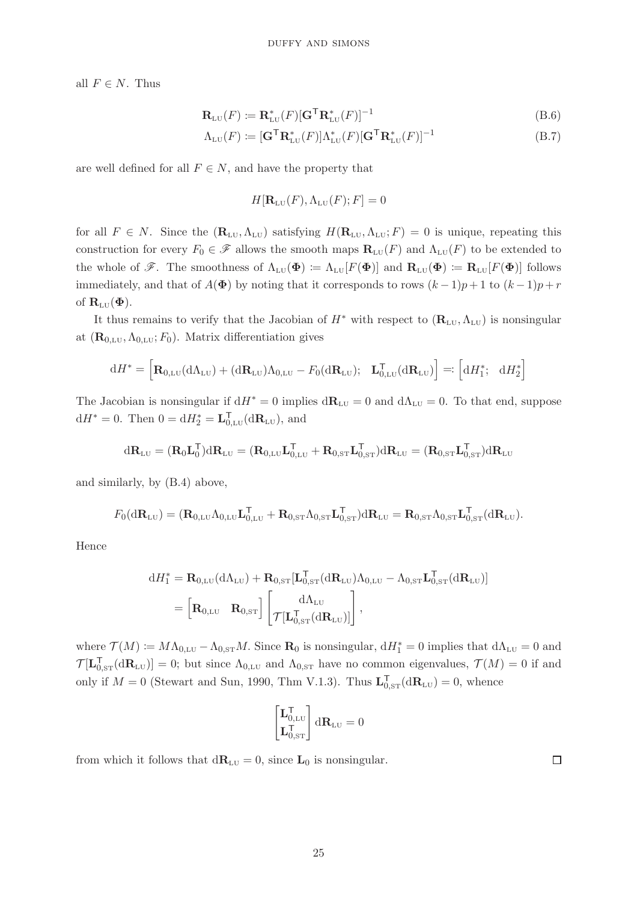all  $F \in N$ . Thus

$$
\mathbf{R}_{\text{LU}}(F) \coloneqq \mathbf{R}_{\text{LU}}^*(F) [\mathbf{G}^\mathsf{T} \mathbf{R}_{\text{LU}}^*(F)]^{-1} \tag{B.6}
$$

$$
\Lambda_{\text{LU}}(F) := [\mathbf{G}^\mathsf{T} \mathbf{R}_{\text{LU}}^*(F)] \Lambda_{\text{LU}}^*(F) [\mathbf{G}^\mathsf{T} \mathbf{R}_{\text{LU}}^*(F)]^{-1} \tag{B.7}
$$

are well defined for all  $F \in N$ , and have the property that

<span id="page-26-1"></span><span id="page-26-0"></span>
$$
H[\mathbf{R}_{\mathrm{LU}}(F), \Lambda_{\mathrm{LU}}(F); F] = 0
$$

for all  $F \in N$ . Since the  $(\mathbf{R}_{\text{LU}}, \Lambda_{\text{LU}})$  satisfying  $H(\mathbf{R}_{\text{LU}}, \Lambda_{\text{LU}}; F) = 0$  is unique, repeating this construction for every  $F_0 \in \mathscr{F}$  allows the smooth maps  $\mathbf{R}_{\text{LU}}(F)$  and  $\Lambda_{\text{LU}}(F)$  to be extended to the whole of  $\mathscr{F}$ . The smoothness of  $\Lambda_{\text{LU}}(\Phi) := \Lambda_{\text{LU}}[F(\Phi)]$  and  $\mathbf{R}_{\text{LU}}(\Phi) := \mathbf{R}_{\text{LU}}[F(\Phi)]$  follows immediately, and that of  $A(\Phi)$  by noting that it corresponds to rows  $(k-1)p+1$  to  $(k-1)p+r$ of  $\mathbf{R}_{\text{LU}}(\mathbf{\Phi})$ .

It thus remains to verify that the Jacobian of  $H^*$  with respect to  $(\mathbf{R}_{\text{LU}}, \Lambda_{\text{LU}})$  is nonsingular at  $(\mathbf{R}_{0,\text{LU}}, \Lambda_{0,\text{LU}}; F_0)$ . Matrix differentiation gives

$$
dH^* = \left[\mathbf{R}_{0,\text{LU}}(d\Lambda_{\text{LU}}) + (d\mathbf{R}_{\text{LU}})\Lambda_{0,\text{LU}} - F_0(d\mathbf{R}_{\text{LU}}); \quad \mathbf{L}_{0,\text{LU}}^{\mathsf{T}}(d\mathbf{R}_{\text{LU}})\right] =: \left[dH_1^*; \quad dH_2^*\right]
$$

The Jacobian is nonsingular if  $dH^* = 0$  implies  $d\mathbf{R}_{\text{LU}} = 0$  and  $d\Lambda_{\text{LU}} = 0$ . To that end, suppose  $dH^* = 0$ . Then  $0 = dH_2^* = \mathbf{L}_{0,\text{LU}}^{\mathsf{T}}(d\mathbf{R}_{\text{LU}})$ , and

$$
\mathrm{d} \mathbf{R}_{\text{LU}} = (\mathbf{R}_{0} \mathbf{L}_{0}^{\mathsf{T}}) \mathrm{d} \mathbf{R}_{\text{LU}} = (\mathbf{R}_{0,\text{LU}} \mathbf{L}_{0,\text{LU}}^{\mathsf{T}} + \mathbf{R}_{0,\text{ST}} \mathbf{L}_{0,\text{ST}}^{\mathsf{T}}) \mathrm{d} \mathbf{R}_{\text{LU}} = (\mathbf{R}_{0,\text{ST}} \mathbf{L}_{0,\text{ST}}^{\mathsf{T}}) \mathrm{d} \mathbf{R}_{\text{LU}}
$$

and similarly, by [\(B.4\)](#page-25-0) above,

$$
\textstyle F_0(\mathrm{d} \mathbf{R}_{\scriptscriptstyle{\mathrm{LU}}}) = (\mathbf{R}_{0,\scriptscriptstyle{\mathrm{LU}}} \Lambda_{0,\scriptscriptstyle{\mathrm{LU}}} \mathbf{L}_{0,\scriptscriptstyle{\mathrm{LU}}}^\mathsf{T} + \mathbf{R}_{0,\scriptscriptstyle{\mathrm{ST}}} \Lambda_{0,\scriptscriptstyle{\mathrm{ST}}} \mathbf{L}_{0,\scriptscriptstyle{\mathrm{ST}}}^\mathsf{T}) \mathrm{d} \mathbf{R}_{\scriptscriptstyle{\mathrm{LU}}} = \mathbf{R}_{0,\scriptscriptstyle{\mathrm{ST}}} \Lambda_{0,\scriptscriptstyle{\mathrm{ST}}} \mathbf{L}_{0,\scriptscriptstyle{\mathrm{ST}}}^\mathsf{T} (\mathrm{d} \mathbf{R}_{\scriptscriptstyle{\mathrm{LU}}}).
$$

Hence

$$
dH_1^* = \mathbf{R}_{0,\text{LU}}(d\Lambda_{\text{LU}}) + \mathbf{R}_{0,\text{ST}}[\mathbf{L}_{0,\text{ST}}^\mathsf{T}(d\mathbf{R}_{\text{LU}})\Lambda_{0,\text{LU}} - \Lambda_{0,\text{ST}}\mathbf{L}_{0,\text{ST}}^\mathsf{T}(d\mathbf{R}_{\text{LU}})]
$$
  
= 
$$
\begin{bmatrix} \mathbf{R}_{0,\text{LU}} & \mathbf{R}_{0,\text{ST}} \end{bmatrix} \begin{bmatrix} d\Lambda_{\text{LU}} \\ \mathcal{T}[\mathbf{L}_{0,\text{ST}}^\mathsf{T}(d\mathbf{R}_{\text{LU}})] \end{bmatrix},
$$

where  $\mathcal{T}(M) \coloneqq M \Lambda_{0,\text{LU}} - \Lambda_{0,\text{ST}} M$ . Since  $\mathbf{R}_0$  is nonsingular,  $dH_1^* = 0$  implies that  $d\Lambda_{\text{LU}} = 0$  and  $\mathcal{T}[\mathbf{L}_{0,\mathrm{ST}}^{T}(\mathrm{d}\mathbf{R}_{\mathrm{LU}})] = 0$ ; but since  $\Lambda_{0,\mathrm{LU}}$  and  $\Lambda_{0,\mathrm{ST}}$  have no common eigenvalues,  $\mathcal{T}(M) = 0$  if and only if  $M = 0$  [\(Stewart and Sun](#page-18-11), [1990](#page-18-11), Thm V.1.3). Thus  $\mathbf{L}_{0,\text{ST}}^{T}(\text{d}\mathbf{R}_{\text{LU}}) = 0$ , whence

$$
\begin{bmatrix} \mathbf{L}_{0,\text{\tiny{LU}}}^{\mathsf{T}} \\ \mathbf{L}_{0,\text{\tiny{ST}}}^{\mathsf{T}} \end{bmatrix} \mathrm{d} \mathbf{R}_{\text{\tiny{LU}}} = 0
$$

from which it follows that  $d\mathbf{R}_{LU} = 0$ , since  $\mathbf{L}_0$  is nonsingular.

25

 $\Box$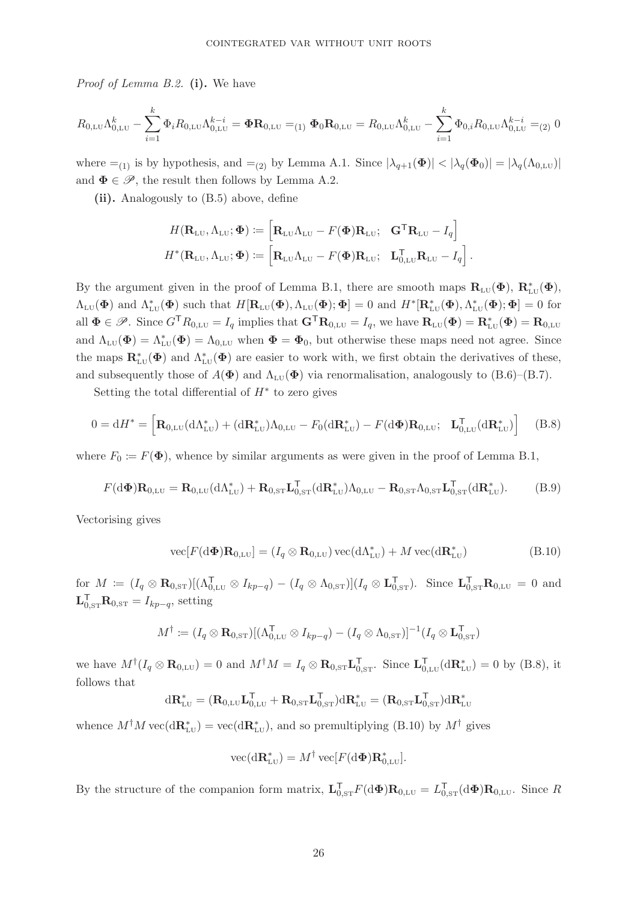Proof of Lemma [B.2.](#page-24-2) (i). We have

$$
R_{0,\text{LU}}\Lambda_{0,\text{LU}}^k - \sum_{i=1}^k \Phi_i R_{0,\text{LU}}\Lambda_{0,\text{LU}}^{k-i} = \Phi \mathbf{R}_{0,\text{LU}} =_{(1)} \Phi_0 \mathbf{R}_{0,\text{LU}} = R_{0,\text{LU}}\Lambda_{0,\text{LU}}^k - \sum_{i=1}^k \Phi_{0,i} R_{0,\text{LU}}\Lambda_{0,\text{LU}}^{k-i} =_{(2)} 0
$$

where  $=_{(1)}$  is by hypothesis, and  $=_{(2)}$  by Lemma [A.1.](#page-20-2) Since  $|\lambda_{q+1}(\Phi)| < |\lambda_q(\Phi_0)| = |\lambda_q(\Lambda_{0,\text{LU}})|$ and  $\Phi \in \mathscr{P}$ , the result then follows by Lemma [A.2.](#page-21-4)

(ii). Analogously to [\(B.5\)](#page-25-1) above, define

$$
H(\mathbf{R}_{\text{LU}}, \Lambda_{\text{LU}}; \boldsymbol{\Phi}) \coloneqq \begin{bmatrix} \mathbf{R}_{\text{LU}} \Lambda_{\text{LU}} - F(\boldsymbol{\Phi}) \mathbf{R}_{\text{LU}}; & \mathbf{G}^\mathsf{T} \mathbf{R}_{\text{LU}} - I_q \end{bmatrix}
$$

$$
H^*(\mathbf{R}_{\text{LU}}, \Lambda_{\text{LU}}; \boldsymbol{\Phi}) \coloneqq \begin{bmatrix} \mathbf{R}_{\text{LU}} \Lambda_{\text{LU}} - F(\boldsymbol{\Phi}) \mathbf{R}_{\text{LU}}; & \mathbf{L}_{0,\text{LU}}^\mathsf{T} \mathbf{R}_{\text{LU}} - I_q \end{bmatrix}.
$$

By the argument given in the proof of Lemma [B.1,](#page-24-1) there are smooth maps  $\mathbf{R}_{\text{LU}}(\Phi)$ ,  $\mathbf{R}^*_{\text{LU}}(\Phi)$ ,  $\Lambda_{\text{LU}}(\mathbf{\Phi})$  and  $\Lambda^*_{\text{LU}}(\mathbf{\Phi})$  such that  $H[\mathbf{R}_{\text{LU}}(\mathbf{\Phi}), \Lambda_{\text{LU}}(\mathbf{\Phi}); \mathbf{\Phi}] = 0$  and  $H^*[\mathbf{R}_{\text{LU}}^*(\mathbf{\Phi}), \Lambda_{\text{LU}}^*(\mathbf{\Phi}); \mathbf{\Phi}] = 0$  for all  $\Phi \in \mathscr{P}$ . Since  $G^{\mathsf{T}} R_{0,\text{LU}} = I_q$  implies that  $\mathbf{G}^{\mathsf{T}} \mathbf{R}_{0,\text{LU}} = I_q$ , we have  $\mathbf{R}_{\text{LU}}(\Phi) = \mathbf{R}_{\text{LU}}^*(\Phi) = \mathbf{R}_{0,\text{LU}}$ and  $\Lambda_{\text{LU}}(\Phi) = \Lambda_{\text{LU}}^*(\Phi) = \Lambda_{0,\text{LU}}$  when  $\Phi = \Phi_0$ , but otherwise these maps need not agree. Since the maps  $\mathbf{R}_{\text{LU}}^*(\boldsymbol{\Phi})$  and  $\Lambda_{\text{LU}}^*(\boldsymbol{\Phi})$  are easier to work with, we first obtain the derivatives of these, and subsequently those of  $A(\Phi)$  and  $\Lambda_{LU}(\Phi)$  via renormalisation, analogously to [\(B.6\)](#page-26-0)–[\(B.7\)](#page-26-1).

Setting the total differential of  $H^*$  to zero gives

<span id="page-27-0"></span>
$$
0 = \mathrm{d}H^* = \left[\mathbf{R}_{0,\mathrm{LU}}(\mathrm{d}\Lambda_{\mathrm{LU}}^*) + (\mathrm{d}\mathbf{R}_{\mathrm{LU}}^*)\Lambda_{0,\mathrm{LU}} - F_0(\mathrm{d}\mathbf{R}_{\mathrm{LU}}^*) - F(\mathrm{d}\Phi)\mathbf{R}_{0,\mathrm{LU}}; \quad \mathbf{L}_{0,\mathrm{LU}}^{\mathsf{T}}(\mathrm{d}\mathbf{R}_{\mathrm{LU}}^*)\right] \tag{B.8}
$$

where  $F_0 \coloneqq F(\Phi)$ , whence by similar arguments as were given in the proof of Lemma [B.1,](#page-24-1)

<span id="page-27-2"></span>
$$
F(\mathrm{d}\Phi)\mathbf{R}_{0,\mathrm{LU}} = \mathbf{R}_{0,\mathrm{LU}}(\mathrm{d}\Lambda_{\mathrm{LU}}^*) + \mathbf{R}_{0,\mathrm{ST}}\mathbf{L}_{0,\mathrm{ST}}^{\mathsf{T}}(\mathrm{d}\mathbf{R}_{\mathrm{LU}}^*)\Lambda_{0,\mathrm{LU}} - \mathbf{R}_{0,\mathrm{ST}}\Lambda_{0,\mathrm{ST}}\mathbf{L}_{0,\mathrm{ST}}^{\mathsf{T}}(\mathrm{d}\mathbf{R}_{\mathrm{LU}}^*).
$$
(B.9)

Vectorising gives

<span id="page-27-1"></span>
$$
\text{vec}[F(\text{d}\Phi)\mathbf{R}_{0,\text{LU}}] = (I_q \otimes \mathbf{R}_{0,\text{LU}})\,\text{vec}(\text{d}\Lambda_{\text{LU}}^*) + M\,\text{vec}(\text{d}\mathbf{R}_{\text{LU}}^*)\tag{B.10}
$$

for  $M := (I_q \otimes \mathbf{R}_{0,sT})[(\Lambda_{0,\text{LU}}^{\mathsf{T}} \otimes I_{kp-q}) - (I_q \otimes \Lambda_{0,sT})](I_q \otimes \mathbf{L}_{0,sT}^{\mathsf{T}})$ . Since  $\mathbf{L}_{0,sT}^{\mathsf{T}}\mathbf{R}_{0,\text{LU}} = 0$  and  $\mathbf{L}_{0,\mathrm{ST}}^{\mathsf{T}}\mathbf{R}_{0,\mathrm{ST}}=I_{kp-q}, \text{ setting}$ 

$$
M^{\dagger} := (I_q \otimes \mathbf{R}_{0,\text{ST}})[(\Lambda_{0,\text{LU}}^{\mathsf{T}} \otimes I_{kp-q}) - (I_q \otimes \Lambda_{0,\text{ST}})]^{-1} (I_q \otimes \mathbf{L}_{0,\text{ST}}^{\mathsf{T}})
$$

we have  $M^{\dagger}(I_q \otimes \mathbf{R}_{0,\text{LU}}) = 0$  and  $M^{\dagger}M = I_q \otimes \mathbf{R}_{0,\text{ST}}\mathbf{L}_{0,\text{ST}}^{\mathsf{T}}$ . Since  $\mathbf{L}_{0,\text{LU}}^{\mathsf{T}}(\text{d}\mathbf{R}_{\text{LU}}^*) = 0$  by [\(B.8\)](#page-27-0), it follows that

$$
\mathrm{d} \mathbf{R}_{\text{\tiny LU}}^* = (\mathbf{R}_{0,\text{\tiny LU}}\mathbf{L}_{0,\text{\tiny LU}}^\textsf{T} + \mathbf{R}_{0,\text{\tiny ST}}\mathbf{L}_{0,\text{\tiny ST}}^\textsf{T})\mathrm{d} \mathbf{R}_{\text{\tiny LU}}^* = (\mathbf{R}_{0,\text{\tiny ST}}\mathbf{L}_{0,\text{\tiny ST}}^\textsf{T})\mathrm{d} \mathbf{R}_{\text{\tiny LU}}^*
$$

whence  $M^{\dagger}M$  vec $(d\mathbf{R}_{\text{LU}}^*)$  = vec $(d\mathbf{R}_{\text{LU}}^*)$ , and so premultiplying [\(B.10\)](#page-27-1) by  $M^{\dagger}$  gives

$$
\text{vec}(\text{d}\mathbf{R}_{\text{LU}}^*) = M^{\dagger} \text{vec}[F(\text{d}\Phi)\mathbf{R}_{0,\text{LU}}^*].
$$

By the structure of the companion form matrix,  $\mathbf{L}_{0,\text{ST}}^{\mathsf{T}}F(\mathrm{d}\Phi)\mathbf{R}_{0,\text{LU}} = L_{0,\text{ST}}^{\mathsf{T}}(\mathrm{d}\Phi)\mathbf{R}_{0,\text{LU}}$ . Since R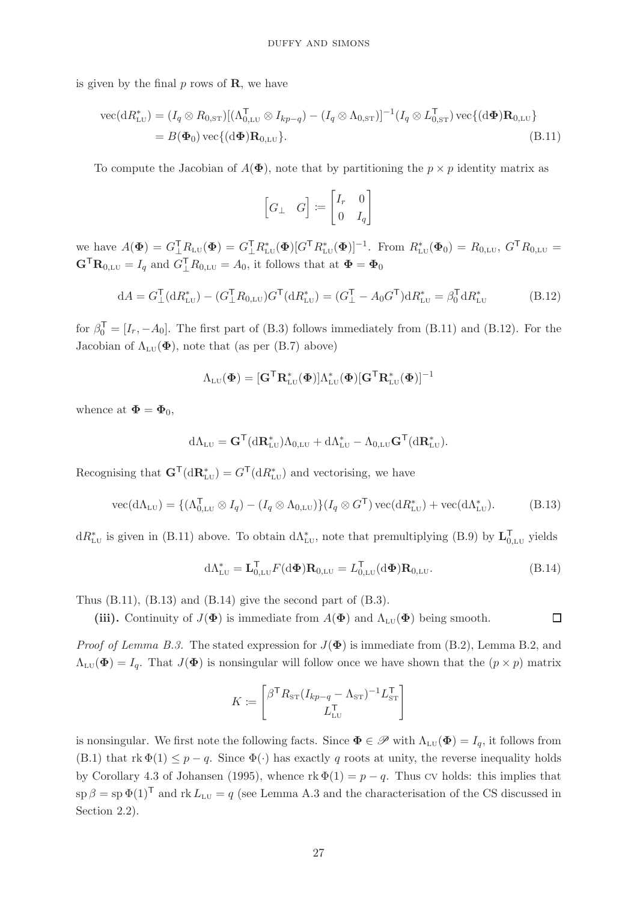is given by the final  $p$  rows of **R**, we have

$$
\begin{split} \text{vec}(\mathrm{d}R_{\text{LU}}^*) &= (I_q \otimes R_{0,\text{ST}})[(\Lambda_{0,\text{LU}}^\mathsf{T} \otimes I_{kp-q}) - (I_q \otimes \Lambda_{0,\text{ST}})]^{-1} (I_q \otimes L_{0,\text{ST}}^\mathsf{T}) \,\text{vec}\{(\mathrm{d}\Phi)\mathbf{R}_{0,\text{LU}}\} \\ &= B(\Phi_0) \,\text{vec}\{(\mathrm{d}\Phi)\mathbf{R}_{0,\text{LU}}\}. \end{split} \tag{B.11}
$$

To compute the Jacobian of  $A(\Phi)$ , note that by partitioning the  $p \times p$  identity matrix as

<span id="page-28-1"></span><span id="page-28-0"></span>
$$
\begin{bmatrix} G_\perp & G \end{bmatrix} := \begin{bmatrix} I_r & 0 \\ 0 & I_q \end{bmatrix}
$$

we have  $A(\Phi) = G_{\perp}^{\mathsf{T}} R_{\text{LU}}^*(\Phi) = G_{\perp}^{\mathsf{T}} R_{\text{LU}}^*(\Phi) [G^{\mathsf{T}} R_{\text{LU}}^*(\Phi)]^{-1}$ . From  $R_{\text{LU}}^*(\Phi_0) = R_{0,\text{LU}}$ ,  $G^{\mathsf{T}} R_{0,\text{LU}} =$  $\mathbf{G}^{\mathsf{T}}\mathbf{R}_{0,\text{LU}} = I_q$  and  $G_{\perp}^{\mathsf{T}}R_{0,\text{LU}} = A_0$ , it follows that at  $\mathbf{\Phi} = \mathbf{\Phi}_0$ 

$$
dA = G_{\perp}^{\mathsf{T}}(dR_{\text{LU}}^*) - (G_{\perp}^{\mathsf{T}}R_{0,\text{LU}})G^{\mathsf{T}}(dR_{\text{LU}}^*) = (G_{\perp}^{\mathsf{T}} - A_0G^{\mathsf{T}})dR_{\text{LU}}^* = \beta_0^{\mathsf{T}}dR_{\text{LU}}^* \tag{B.12}
$$

for  $\beta_0^{\mathsf{T}} = [I_r, -A_0]$ . The first part of [\(B.3\)](#page-24-5) follows immediately from [\(B.11\)](#page-28-0) and [\(B.12\)](#page-28-1). For the Jacobian of  $\Lambda_{LU}(\Phi)$ , note that (as per [\(B.7\)](#page-26-1) above)

$$
\Lambda_{\text{LU}}(\boldsymbol{\Phi}) = [\mathbf{G}^\mathsf{T}\mathbf{R}^*_{\text{LU}}(\boldsymbol{\Phi})] \Lambda^*_{\text{LU}}(\boldsymbol{\Phi}) [\mathbf{G}^\mathsf{T}\mathbf{R}^*_{\text{LU}}(\boldsymbol{\Phi})]^{-1}
$$

whence at  $\Phi = \Phi_0$ ,

$$
\mathrm{d}\Lambda_{\scriptscriptstyle{\mathrm{LU}}}=\mathbf{G}^\mathsf{T}(\mathrm{d}\mathbf{R}_{\scriptscriptstyle{\mathrm{LU}}}^*)\Lambda_{0,\scriptscriptstyle{\mathrm{LU}}}+\mathrm{d}\Lambda_{\scriptscriptstyle{\mathrm{LU}}}^*-\Lambda_{0,\scriptscriptstyle{\mathrm{LU}}}\mathbf{G}^\mathsf{T}(\mathrm{d}\mathbf{R}_{\scriptscriptstyle{\mathrm{LU}}}^*).
$$

Recognising that  $\mathbf{G}^{\mathsf{T}}(\mathrm{d}\mathbf{R}_{\text{LU}}^*) = G^{\mathsf{T}}(\mathrm{d}R_{\text{LU}}^*)$  and vectorising, we have

<span id="page-28-2"></span>
$$
\text{vec}(d\Lambda_{\text{LU}}) = \{ (\Lambda_{0,\text{LU}}^{\mathsf{T}} \otimes I_q) - (I_q \otimes \Lambda_{0,\text{LU}}) \} (I_q \otimes G^{\mathsf{T}}) \,\text{vec}(dR_{\text{LU}}^*) + \text{vec}(d\Lambda_{\text{LU}}^*).
$$
 (B.13)

 $dR_{\text{LU}}^*$  is given in [\(B.11\)](#page-28-0) above. To obtain  $d\Lambda_{\text{LU}}^*$ , note that premultiplying [\(B.9\)](#page-27-2) by  $\mathbf{L}_{0,\text{LU}}^{\mathsf{T}}$  yields

<span id="page-28-3"></span>
$$
d\Lambda_{\text{LU}}^* = \mathbf{L}_{0,\text{LU}}^\mathsf{T} F(d\Phi) \mathbf{R}_{0,\text{LU}} = L_{0,\text{LU}}^\mathsf{T} (d\Phi) \mathbf{R}_{0,\text{LU}}.
$$
 (B.14)

 $\Box$ 

Thus  $(B.11)$ ,  $(B.13)$  and  $(B.14)$  give the second part of  $(B.3)$ .

(iii). Continuity of  $J(\Phi)$  is immediate from  $A(\Phi)$  and  $\Lambda_{LU}(\Phi)$  being smooth.

*Proof of Lemma [B.3.](#page-25-2)* The stated expression for  $J(\Phi)$  is immediate from [\(B.2\)](#page-24-6), Lemma [B.2,](#page-24-2) and  $\Lambda_{\text{LU}}(\Phi) = I_q$ . That  $J(\Phi)$  is nonsingular will follow once we have shown that the  $(p \times p)$  matrix

$$
K \coloneqq \begin{bmatrix} \beta^{\mathsf{T}} R_{\mathrm{ST}} (I_{kp-q} - \Lambda_{\mathrm{ST}})^{-1} L_{\mathrm{ST}}^{\mathsf{T}} \\ L_{\mathrm{LU}}^{\mathsf{T}} \end{bmatrix}
$$

is nonsingular. We first note the following facts. Since  $\Phi \in \mathscr{P}$  with  $\Lambda_{\text{LU}}(\Phi) = I_q$ , it follows from [\(B.1\)](#page-24-3) that  $rk \Phi(1) \leq p - q$ . Since  $\Phi(\cdot)$  has exactly q roots at unity, the reverse inequality holds by Corollary 4.3 of [Johansen \(1995](#page-17-1)), whence  $rk \Phi(1) = p - q$ . Thus [CV](#page-4-0) holds: this implies that  $\sup \beta = \sup \Phi(1)^{\mathsf{T}}$  and  $\text{rk } L_{\text{LU}} = q$  (see Lemma [A.3](#page-21-0) and the characterisation of the CS discussed in Section [2.2\)](#page-3-2).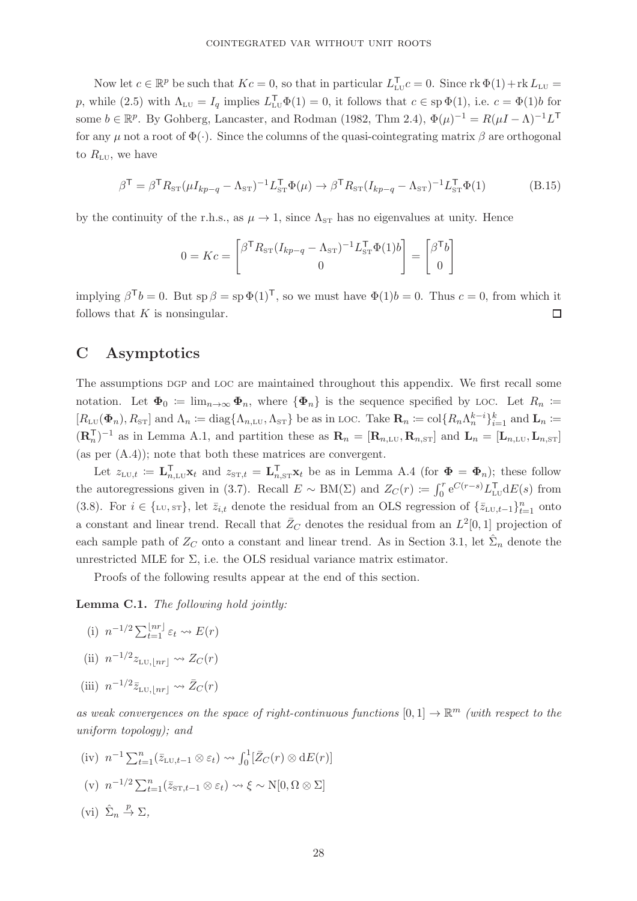Now let  $c \in \mathbb{R}^p$  be such that  $Kc = 0$ , so that in particular  $L_{\text{LU}}^{\text{T}} c = 0$ . Since  $\text{rk } \Phi(1) + \text{rk } L_{\text{LU}} =$ p, while [\(2.5\)](#page-5-3) with  $\Lambda_{\text{LU}} = I_q$  implies  $L_{\text{LU}}^{\text{T}} \Phi(1) = 0$ , it follows that  $c \in sp \Phi(1)$ , i.e.  $c = \Phi(1)b$  for some  $b \in \mathbb{R}^p$ . By [Gohberg, Lancaster, and Rodman \(1982,](#page-17-15) Thm 2.4),  $\Phi(\mu)^{-1} = R(\mu I - \Lambda)^{-1}L^{\mathsf{T}}$ for any  $\mu$  not a root of  $\Phi(\cdot)$ . Since the columns of the quasi-cointegrating matrix  $\beta$  are orthogonal to  $R_{\text{LU}}$ , we have

<span id="page-29-6"></span>
$$
\beta^{\mathsf{T}} = \beta^{\mathsf{T}} R_{\text{ST}} (\mu I_{kp-q} - \Lambda_{\text{ST}})^{-1} L_{\text{ST}}^{\mathsf{T}} \Phi(\mu) \to \beta^{\mathsf{T}} R_{\text{ST}} (I_{kp-q} - \Lambda_{\text{ST}})^{-1} L_{\text{ST}}^{\mathsf{T}} \Phi(1)
$$
(B.15)

by the continuity of the r.h.s., as  $\mu \to 1$ , since  $\Lambda_{ST}$  has no eigenvalues at unity. Hence

$$
0 = Kc = \begin{bmatrix} \beta^{\mathsf{T}} R_{\mathrm{ST}} (I_{kp-q} - \Lambda_{\mathrm{ST}})^{-1} L_{\mathrm{ST}}^{\mathsf{T}} \Phi(1) b \\ 0 \end{bmatrix} = \begin{bmatrix} \beta^{\mathsf{T}} b \\ 0 \end{bmatrix}
$$

implying  $\beta^{\mathsf{T}}b = 0$ . But  $\text{sp } \beta = \text{sp }\Phi(1)^{\mathsf{T}}$ , so we must have  $\Phi(1)b = 0$ . Thus  $c = 0$ , from which it follows that  $K$  is nonsingular.  $\Box$ 

## <span id="page-29-0"></span>C Asymptotics

The assumptions [DGP](#page-3-4) and [LOC](#page-10-2) are maintained throughout this appendix. We first recall some notation. Let  $\Phi_0 := \lim_{n \to \infty} \Phi_n$ , where  $\{\Phi_n\}$  is the sequence specified by [LOC](#page-10-2). Let  $R_n :=$  $[R_{\text{LU}}(\Phi_n), R_{\text{ST}}]$  and  $\Lambda_n := \text{diag}\{\Lambda_{n,\text{LU}}, \Lambda_{\text{ST}}\}$  be as in [LOC](#page-10-2). Take  $\mathbf{R}_n := \text{col}\{R_n \Lambda_n^{k-i}\}_{i=1}^k$  and  $\mathbf{L}_n :=$  $(\mathbf{R}_n^{\mathsf{T}})^{-1}$  as in Lemma [A.1,](#page-20-2) and partition these as  $\mathbf{R}_n = [\mathbf{R}_{n,\text{LU}}, \mathbf{R}_{n,\text{ST}}]$  and  $\mathbf{L}_n = [\mathbf{L}_{n,\text{LU}}, \mathbf{L}_{n,\text{ST}}]$ (as per [\(A.4\)](#page-21-3)); note that both these matrices are convergent.

Let  $z_{\text{LU},t} \coloneqq \mathbf{L}_{n,\text{LU}}^{\mathsf{T}} \mathbf{x}_t$  and  $z_{\text{ST},t} = \mathbf{L}_{n,\text{ST}}^{\mathsf{T}} \mathbf{x}_t$  be as in Lemma [A.4](#page-21-1) (for  $\mathbf{\Phi} = \mathbf{\Phi}_n$ ); these follow the autoregressions given in [\(3.7\)](#page-11-1). Recall  $E \sim BM(\Sigma)$  and  $Z_C(r) \coloneqq \int_0^r e^{C(r-s)} L_{LU}^{\mathsf{T}} dE(s)$  from [\(3.8\)](#page-11-2). For  $i \in \{\text{LU}, \text{ST}\},$  let  $\bar{z}_{i,t}$  denote the residual from an OLS regression of  $\{\bar{z}_{\text{LU},t-1}\}_{t=1}^n$  onto a constant and linear trend. Recall that  $\bar{Z}_C$  denotes the residual from an  $L^2[0,1]$  projection of each sample path of  $Z_C$  onto a constant and linear trend. As in Section [3.1,](#page-9-1) let  $\hat{\Sigma}_n$  denote the unrestricted MLE for  $\Sigma$ , i.e. the OLS residual variance matrix estimator.

Proofs of the following results appear at the end of this section.

<span id="page-29-2"></span><span id="page-29-1"></span>Lemma C.1. The following hold jointly:

(i) 
$$
n^{-1/2} \sum_{t=1}^{\lfloor nr \rfloor} \varepsilon_t \leadsto E(r)
$$
  
\n(ii)  $n^{-1/2} z_{\text{LU},\lfloor nr \rfloor} \leadsto Z_C(r)$   
\n(iii)  $n^{-1/2} \overline{z}_{\text{LU},\lfloor nr \rfloor} \leadsto \overline{Z}_C(r)$ 

as weak convergences on the space of right-continuous functions  $[0,1] \to \mathbb{R}^m$  (with respect to the uniform topology); and

<span id="page-29-5"></span><span id="page-29-4"></span><span id="page-29-3"></span>(iv) 
$$
n^{-1} \sum_{t=1}^{n} (\bar{z}_{\text{LU},t-1} \otimes \varepsilon_t) \rightsquigarrow \int_0^1 [\bar{Z}_C(r) \otimes dE(r)]
$$
  
\n(v)  $n^{-1/2} \sum_{t=1}^{n} (\bar{z}_{\text{ST},t-1} \otimes \varepsilon_t) \rightsquigarrow \xi \sim N[0, \Omega \otimes \Sigma]$   
\n(vi)  $\hat{\Sigma}_n \xrightarrow{p} \Sigma$ ,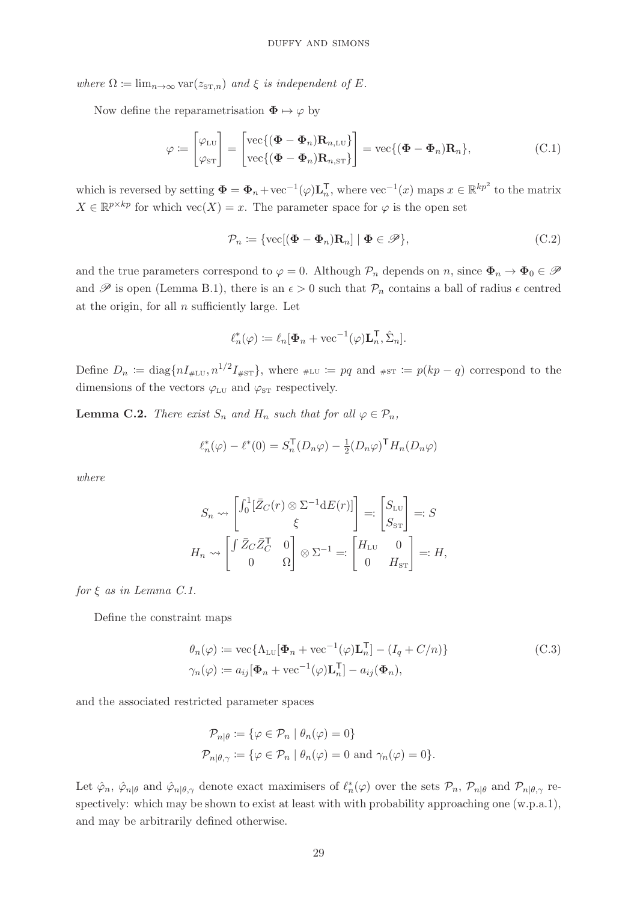where  $\Omega \coloneqq \lim_{n \to \infty} \text{var}(z_{ST,n})$  and  $\xi$  is independent of E.

Now define the reparametrisation  $\Phi \mapsto \varphi$  by

<span id="page-30-0"></span>
$$
\varphi := \begin{bmatrix} \varphi_{\text{LU}} \\ \varphi_{\text{ST}} \end{bmatrix} = \begin{bmatrix} \text{vec}\{(\boldsymbol{\Phi} - \boldsymbol{\Phi}_n) \mathbf{R}_{n,\text{LU}}\} \\ \text{vec}\{(\boldsymbol{\Phi} - \boldsymbol{\Phi}_n) \mathbf{R}_{n,\text{ST}}\} \end{bmatrix} = \text{vec}\{(\boldsymbol{\Phi} - \boldsymbol{\Phi}_n) \mathbf{R}_n\},\tag{C.1}
$$

which is reversed by setting  $\mathbf{\Phi} = \mathbf{\Phi}_n + \text{vec}^{-1}(\varphi) \mathbf{L}_n^{\mathsf{T}}$  $_n^{\mathsf{T}}$ , where vec<sup>-1</sup>(*x*) maps *x* ∈  $\mathbb{R}^{kp^2}$  to the matrix  $X \in \mathbb{R}^{p \times kp}$  for which  $\text{vec}(X) = x$ . The parameter space for  $\varphi$  is the open set

<span id="page-30-2"></span>
$$
\mathcal{P}_n := \{ \text{vec}[(\mathbf{\Phi} - \mathbf{\Phi}_n) \mathbf{R}_n] \mid \mathbf{\Phi} \in \mathscr{P} \},\tag{C.2}
$$

and the true parameters correspond to  $\varphi = 0$ . Although  $\mathcal{P}_n$  depends on n, since  $\Phi_n \to \Phi_0 \in \mathscr{P}$ and  $\mathscr P$  is open (Lemma [B.1\)](#page-24-1), there is an  $\epsilon > 0$  such that  $\mathcal P_n$  contains a ball of radius  $\epsilon$  centred at the origin, for all  $n$  sufficiently large. Let

$$
\ell_n^*(\varphi) := \ell_n[\mathbf{\Phi}_n + \text{vec}^{-1}(\varphi)\mathbf{L}_n^{\mathsf{T}}, \hat{\Sigma}_n].
$$

Define  $D_n \coloneqq \text{diag}\{nI_{\#LU}, n^{1/2}I_{\#ST}\}\$ , where  $\#LU \coloneqq pq$  and  $\#ST \coloneqq p(kp-q)$  correspond to the dimensions of the vectors  $\varphi_{\text{LU}}$  and  $\varphi_{\text{ST}}$  respectively.

<span id="page-30-1"></span>**Lemma C.2.** There exist  $S_n$  and  $H_n$  such that for all  $\varphi \in \mathcal{P}_n$ ,

$$
\ell_n^*(\varphi) - \ell^*(0) = S_n^{\mathsf{T}}(D_n \varphi) - \frac{1}{2}(D_n \varphi)^{\mathsf{T}} H_n(D_n \varphi)
$$

where

$$
S_n \rightsquigarrow \begin{bmatrix} \int_0^1 [\bar{Z}_C(r) \otimes \Sigma^{-1} dE(r)] \\ \xi \end{bmatrix} =: \begin{bmatrix} S_{\text{LU}} \\ S_{\text{ST}} \end{bmatrix} =: S
$$

$$
H_n \rightsquigarrow \begin{bmatrix} \int \bar{Z}_C \bar{Z}_C^\mathsf{T} & 0 \\ 0 & \Omega \end{bmatrix} \otimes \Sigma^{-1} =: \begin{bmatrix} H_{\text{LU}} & 0 \\ 0 & H_{\text{ST}} \end{bmatrix} =: H,
$$

for  $\xi$  as in Lemma [C.1.](#page-29-1)

Define the constraint maps

$$
\theta_n(\varphi) \coloneqq \text{vec}\{\Lambda_{\text{LU}}[\mathbf{\Phi}_n + \text{vec}^{-1}(\varphi)\mathbf{L}_n^{\mathsf{T}}] - (I_q + C/n)\}\
$$
  

$$
\gamma_n(\varphi) \coloneqq a_{ij}[\mathbf{\Phi}_n + \text{vec}^{-1}(\varphi)\mathbf{L}_n^{\mathsf{T}}] - a_{ij}(\mathbf{\Phi}_n),
$$
 (C.3)

and the associated restricted parameter spaces

$$
\mathcal{P}_{n|\theta} \coloneqq \{ \varphi \in \mathcal{P}_n \mid \theta_n(\varphi) = 0 \}
$$
  

$$
\mathcal{P}_{n|\theta,\gamma} \coloneqq \{ \varphi \in \mathcal{P}_n \mid \theta_n(\varphi) = 0 \text{ and } \gamma_n(\varphi) = 0 \}.
$$

Let  $\hat{\varphi}_n$ ,  $\hat{\varphi}_{n|\theta}$  and  $\hat{\varphi}_{n|\theta,\gamma}$  denote exact maximisers of  $\ell_n^*(\varphi)$  over the sets  $\mathcal{P}_n$ ,  $\mathcal{P}_{n|\theta}$  and  $\mathcal{P}_{n|\theta,\gamma}$  respectively: which may be shown to exist at least with with probability approaching one (w.p.a.1), and may be arbitrarily defined otherwise.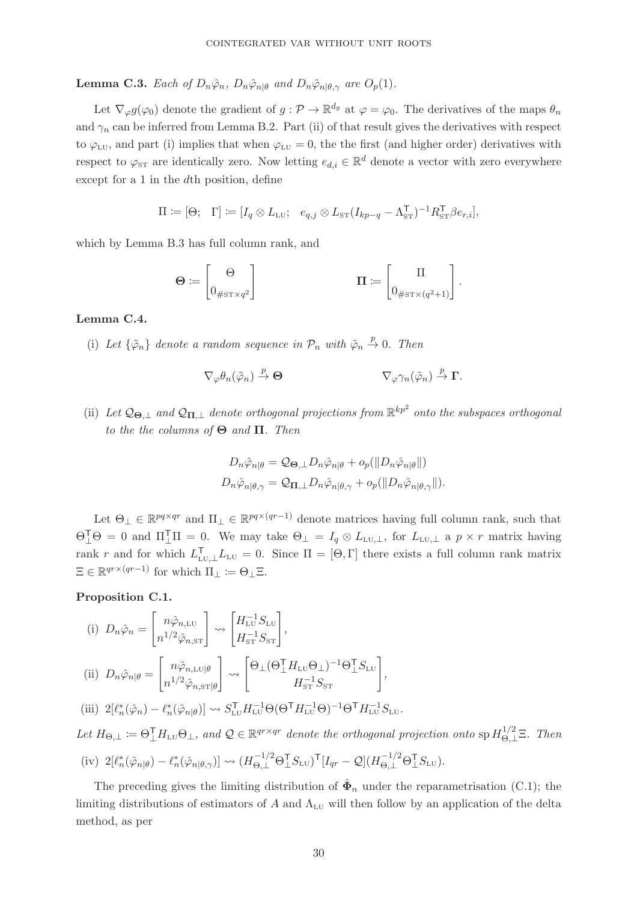### <span id="page-31-0"></span>**Lemma C.3.** Each of  $D_n\hat{\varphi}_n$ ,  $D_n\hat{\varphi}_{n|\theta}$  and  $D_n\hat{\varphi}_{n|\theta,\gamma}$  are  $O_p(1)$ .

Let  $\nabla_{\varphi} g(\varphi_0)$  denote the gradient of  $g: \mathcal{P} \to \mathbb{R}^{d_g}$  at  $\varphi = \varphi_0$ . The derivatives of the maps  $\theta_n$ and  $\gamma_n$  can be inferred from Lemma [B.2.](#page-24-2) Part [\(ii\)](#page-24-7) of that result gives the derivatives with respect to  $\varphi_{\text{LU}}$ , and part [\(i\)](#page-24-8) implies that when  $\varphi_{\text{LU}} = 0$ , the the first (and higher order) derivatives with respect to  $\varphi_{ST}$  are identically zero. Now letting  $e_{d,i} \in \mathbb{R}^d$  denote a vector with zero everywhere except for a 1 in the dth position, define

$$
\Pi \coloneqq [\Theta; \quad \Gamma] \coloneqq [I_q \otimes L_{\texttt{LU}}; \quad e_{q,j} \otimes L_{\texttt{ST}} (I_{kp-q} - \Lambda_{\texttt{ST}}^{\mathsf{T}})^{-1} R_{\texttt{ST}}^{\mathsf{T}} \beta e_{r,i}],
$$

which by Lemma [B.3](#page-25-2) has full column rank, and

$$
\Theta \coloneqq \begin{bmatrix} \Theta \\ 0_{\# \text{ST} \times q^2} \end{bmatrix} \qquad \qquad \Pi \coloneqq \begin{bmatrix} \Pi \\ 0_{\# \text{ST} \times (q^2+1)} \end{bmatrix}.
$$

#### <span id="page-31-4"></span><span id="page-31-1"></span>Lemma C.4.

(i) Let  $\{\tilde{\varphi}_n\}$  denote a random sequence in  $\mathcal{P}_n$  with  $\tilde{\varphi}_n \stackrel{p}{\rightarrow} 0$ . Then

$$
\nabla_{\varphi} \theta_n(\tilde{\varphi}_n) \stackrel{p}{\rightarrow} \Theta \qquad \qquad \nabla_{\varphi} \gamma_n(\tilde{\varphi}_n) \stackrel{p}{\rightarrow} \Gamma.
$$

<span id="page-31-3"></span>(ii) Let  $\mathcal{Q}_{\Theta,\perp}$  and  $\mathcal{Q}_{\Pi,\perp}$  denote orthogonal projections from  $\mathbb{R}^{kp^2}$  onto the subspaces orthogonal to the the columns of  $\Theta$  and  $\Pi$ . Then

$$
D_n \hat{\varphi}_{n|\theta} = \mathcal{Q}_{\Theta,\perp} D_n \hat{\varphi}_{n|\theta} + o_p(||D_n \hat{\varphi}_{n|\theta}||)
$$
  

$$
D_n \hat{\varphi}_{n|\theta,\gamma} = \mathcal{Q}_{\Pi,\perp} D_n \hat{\varphi}_{n|\theta,\gamma} + o_p(||D_n \hat{\varphi}_{n|\theta,\gamma}||).
$$

Let  $\Theta_{\perp} \in \mathbb{R}^{pq \times qr}$  and  $\Pi_{\perp} \in \mathbb{R}^{pq \times (qr-1)}$  denote matrices having full column rank, such that  $\Theta_{\perp}^{\mathsf{T}}\Theta = 0$  and  $\Pi_{\perp}^{\mathsf{T}}\Pi = 0$ . We may take  $\Theta_{\perp} = I_q \otimes L_{\text{LU},\perp}$ , for  $L_{\text{LU},\perp}$  a  $p \times r$  matrix having rank r and for which  $L_{\text{LU},\perp}^{\text{T}}L_{\text{LU}}=0$ . Since  $\Pi = [\Theta,\Gamma]$  there exists a full column rank matrix  $\Xi \in \mathbb{R}^{qr \times (qr-1)}$  for which  $\Pi_{\perp} \coloneqq \Theta_{\perp} \Xi$ .

#### <span id="page-31-5"></span><span id="page-31-2"></span>Proposition C.1.

<span id="page-31-6"></span>(i) 
$$
D_n \hat{\varphi}_n = \begin{bmatrix} n \hat{\varphi}_{n,\text{LU}} \\ n^{1/2} \hat{\varphi}_{n,\text{ST}} \end{bmatrix} \leadsto \begin{bmatrix} H_{\text{LU}}^{-1} S_{\text{LU}} \\ H_{\text{ST}}^{-1} S_{\text{ST}} \end{bmatrix},
$$
  
\n(ii)  $D_n \hat{\varphi}_{n|\theta} = \begin{bmatrix} n \hat{\varphi}_{n,\text{LU}} | \theta \\ n^{1/2} \hat{\varphi}_{n,\text{ST}} | \theta \end{bmatrix} \leadsto \begin{bmatrix} \Theta_{\perp} (\Theta_{\perp}^{\mathsf{T}} H_{\text{LU}} \Theta_{\perp})^{-1} \Theta_{\perp}^{\mathsf{T}} S_{\text{LU}} \\ H_{\text{ST}}^{-1} S_{\text{ST}} \end{bmatrix},$ 

<span id="page-31-7"></span>(iii) 
$$
2[\ell_n^*(\hat{\varphi}_n) - \ell_n^*(\hat{\varphi}_{n|\theta})] \rightsquigarrow S_{\text{LU}}^\mathsf{T} H_{\text{LU}}^{-1} \Theta (\Theta^\mathsf{T} H_{\text{LU}}^{-1} \Theta)^{-1} \Theta^\mathsf{T} H_{\text{LU}}^{-1} S_{\text{LU}}.
$$

<span id="page-31-8"></span>Let  $H_{\Theta,\perp} \coloneqq \Theta \cdot \prod H_{\text{LU}} \Theta_{\perp}$ , and  $\mathcal{Q} \in \mathbb{R}^{qr \times qr}$  denote the orthogonal projection onto  $\text{sp } H_{\Theta,\perp}^{1/2} \Xi$ . Then  $^{-1/2}$  $^{-1/2}$ 

(iv) 
$$
2[\ell_n^*(\hat{\varphi}_{n|\theta}) - \ell_n^*(\hat{\varphi}_{n|\theta,\gamma})] \rightsquigarrow (H_{\Theta,\perp}^{-1/2} \Theta_{\perp}^{\mathsf{T}} S_{\text{LU}})^{\mathsf{T}} [I_{qr} - \mathcal{Q}] (H_{\Theta,\perp}^{-1/2} \Theta_{\perp}^{\mathsf{T}} S_{\text{LU}}).
$$

The preceding gives the limiting distribution of  $\hat{\Phi}_n$  under the reparametrisation [\(C.1\)](#page-30-0); the limiting distributions of estimators of A and  $\Lambda_{\text{LU}}$  will then follow by an application of the delta method, as per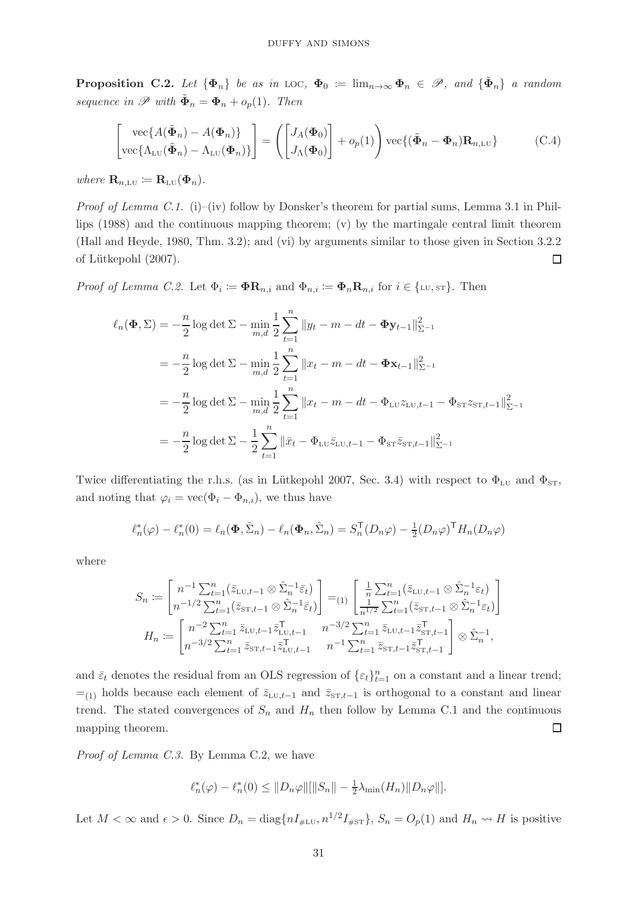<span id="page-32-0"></span>**Proposition C.2.** Let  $\{\Phi_n\}$  be as in [LOC](#page-10-2),  $\Phi_0 \coloneqq \lim_{n\to\infty} \Phi_n \in \mathscr{P}$ , and  $\{\tilde{\Phi}_n\}$  a random sequence in  $\mathscr P$  with  $\tilde{\Phi}_n = \Phi_n + o_p(1)$ . Then

<span id="page-32-1"></span>
$$
\begin{bmatrix}\n\operatorname{vec}\{A(\tilde{\Phi}_n) - A(\Phi_n)\} \\
\operatorname{vec}\{\Lambda_{\text{LU}}(\tilde{\Phi}_n) - \Lambda_{\text{LU}}(\Phi_n)\}\n\end{bmatrix} = \left(\begin{bmatrix}\nJ_A(\Phi_0) \\
J_\Lambda(\Phi_0)\n\end{bmatrix} + o_p(1)\right) \operatorname{vec}\{(\tilde{\Phi}_n - \Phi_n)\mathbf{R}_{n,\text{LU}}\}\n\tag{C.4}
$$

where  $\mathbf{R}_{n,\text{LU}} \coloneqq \mathbf{R}_{\text{LU}}(\mathbf{\Phi}_n)$ .

Proof of Lemma [C.1.](#page-29-1) [\(i\)–](#page-29-2)[\(iv\)](#page-29-3) [follow by Donsker's theorem for partial sums, Lemma 3.1 in](#page-18-14) Phillips [\(1988](#page-18-14)) and the continuous mapping theorem; [\(v\)](#page-29-4) by the martingale central limit theorem [\(Hall and Heyde, 1980,](#page-17-17) Thm. 3.2); and [\(vi\)](#page-29-5) by arguments similar to those given in Section 3.2.2 of Lütkepohl (2007).  $\Box$ 

*Proof of Lemma [C.2.](#page-30-1)* Let  $\Phi_i := \mathbf{\Phi} \mathbf{R}_{n,i}$  and  $\Phi_{n,i} := \mathbf{\Phi}_n \mathbf{R}_{n,i}$  for  $i \in \{\text{iv}, \text{sr}\}\$ . Then

$$
\ell_n(\Phi, \Sigma) = -\frac{n}{2} \log \det \Sigma - \min_{m,d} \frac{1}{2} \sum_{t=1}^n ||y_t - m - dt - \Phi \mathbf{y}_{t-1}||_{\Sigma^{-1}}^2
$$
  
\n
$$
= -\frac{n}{2} \log \det \Sigma - \min_{m,d} \frac{1}{2} \sum_{t=1}^n ||x_t - m - dt - \Phi \mathbf{x}_{t-1}||_{\Sigma^{-1}}^2
$$
  
\n
$$
= -\frac{n}{2} \log \det \Sigma - \min_{m,d} \frac{1}{2} \sum_{t=1}^n ||x_t - m - dt - \Phi \mathbf{x}_{t-1}||_{\Sigma^{-1}}^2 - \Phi \mathbf{x}_{t-1}||_{\Sigma^{-1}}^2
$$
  
\n
$$
= -\frac{n}{2} \log \det \Sigma - \frac{1}{2} \sum_{t=1}^n ||\bar{x}_t - \Phi \mathbf{x}_{t-1}||_{\Sigma(t,t-1)}^2 - \Phi \mathbf{x}_{t-1}||_{\Sigma^{-1}}^2
$$

Twice differentiating the r.h.s. (as in Lütkepohl 2007, Sec. 3.4) with respect to  $\Phi_{\text{LU}}$  and  $\Phi_{\text{ST}}$ , and noting that  $\varphi_i = \text{vec}(\Phi_i - \Phi_{n,i})$ , we thus have

$$
\ell_n^*(\varphi) - \ell_n^*(0) = \ell_n(\Phi, \hat{\Sigma}_n) - \ell_n(\Phi_n, \hat{\Sigma}_n) = S_n^{\mathsf{T}}(D_n\varphi) - \frac{1}{2}(D_n\varphi)^{\mathsf{T}}H_n(D_n\varphi)
$$

where

$$
S_n := \begin{bmatrix} n^{-1} \sum_{t=1}^n (\bar{z}_{\text{LU},t-1} \otimes \hat{\Sigma}_n^{-1} \bar{\varepsilon}_t) \\ n^{-1/2} \sum_{t=1}^n (\bar{z}_{\text{ST},t-1} \otimes \hat{\Sigma}_n^{-1} \bar{\varepsilon}_t) \end{bmatrix} = (1) \begin{bmatrix} \frac{1}{n} \sum_{t=1}^n (\bar{z}_{\text{LU},t-1} \otimes \hat{\Sigma}_n^{-1} \varepsilon_t) \\ \frac{1}{n^{1/2}} \sum_{t=1}^n (\bar{z}_{\text{ST},t-1} \otimes \hat{\Sigma}_n^{-1} \varepsilon_t) \end{bmatrix}
$$

$$
H_n := \begin{bmatrix} n^{-2} \sum_{t=1}^n \bar{z}_{\text{LU},t-1} \bar{z}_{\text{LU},t-1}^\mathsf{T} & n^{-3/2} \sum_{t=1}^n \bar{z}_{\text{LU},t-1} \bar{z}_{\text{ST},t-1}^\mathsf{T} \\ n^{-3/2} \sum_{t=1}^n \bar{z}_{\text{ST},t-1} \bar{z}_{\text{LT},t-1}^\mathsf{T} & n^{-1} \sum_{t=1}^n \bar{z}_{\text{ST},t-1} \bar{z}_{\text{ST},t-1}^\mathsf{T} \end{bmatrix} \otimes \hat{\Sigma}_n^{-1},
$$

and  $\bar{\varepsilon}_t$  denotes the residual from an OLS regression of  $\{\varepsilon_t\}_{t=1}^n$  on a constant and a linear trend;  $=$ (1) holds because each element of  $\bar{z}_{\text{LU},t-1}$  and  $\bar{z}_{\text{ST},t-1}$  is orthogonal to a constant and linear trend. The stated convergences of  $S_n$  and  $H_n$  then follow by Lemma [C.1](#page-29-1) and the continuous mapping theorem.  $\Box$ 

Proof of Lemma [C.3.](#page-31-0) By Lemma [C.2,](#page-30-1) we have

$$
\ell_n^*(\varphi) - \ell_n^*(0) \leq ||D_n\varphi||[||S_n|| - \frac{1}{2}\lambda_{\min}(H_n)||D_n\varphi||].
$$

Let  $M < \infty$  and  $\epsilon > 0$ . Since  $D_n = \text{diag}\{nI_{\#LU}, n^{1/2}I_{\#ST}\}, S_n = O_p(1)$  and  $H_n \rightsquigarrow H$  is positive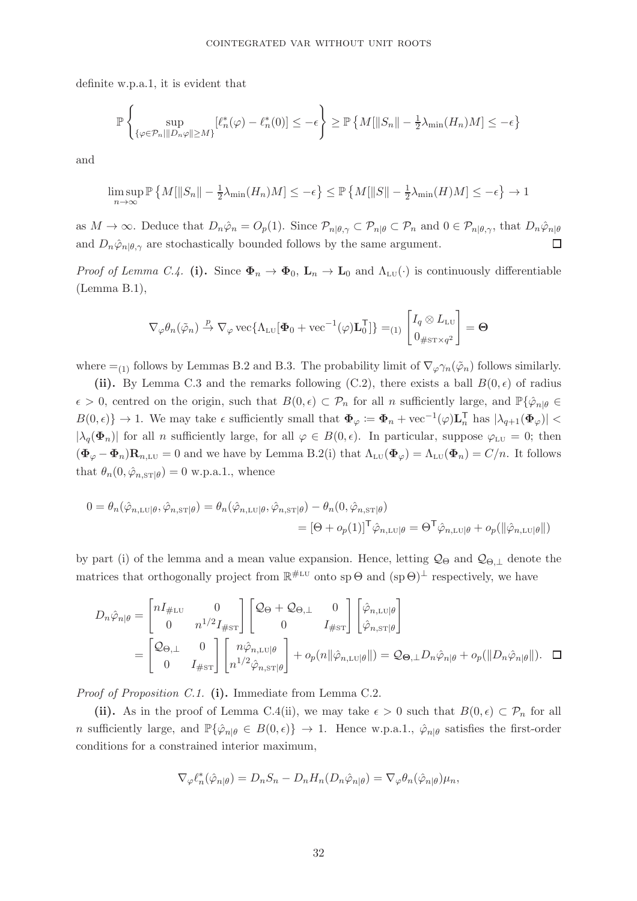definite w.p.a.1, it is evident that

$$
\mathbb{P}\left\{\sup_{\{\varphi\in\mathcal{P}_n\|\|D_n\varphi\|\geq M\}}\left[\ell_n^*(\varphi)-\ell_n^*(0)\right]\leq -\epsilon\right\}\geq \mathbb{P}\left\{M[\|S_n\|-\frac{1}{2}\lambda_{\min}(H_n)M\right]\leq -\epsilon\right\}
$$

and

$$
\limsup_{n \to \infty} \mathbb{P} \left\{ M \left[ ||S_n|| - \frac{1}{2} \lambda_{\min}(H_n) M \right] \le -\epsilon \right\} \le \mathbb{P} \left\{ M \left[ ||S|| - \frac{1}{2} \lambda_{\min}(H) M \right] \le -\epsilon \right\} \to 1
$$

as  $M \to \infty$ . Deduce that  $D_n \hat{\varphi}_n = O_p(1)$ . Since  $\mathcal{P}_{n | \theta, \gamma} \subset \mathcal{P}_{n | \theta} \subset \mathcal{P}_n$  and  $0 \in \mathcal{P}_{n | \theta, \gamma}$ , that  $D_n \hat{\varphi}_{n | \theta}$ and  $D_n \hat{\varphi}_{n|\theta,\gamma}$  are stochastically bounded follows by the same argument.  $\Box$ 

Proof of Lemma [C.4.](#page-31-1) (i). Since  $\Phi_n \to \Phi_0$ ,  $\mathbf{L}_n \to \mathbf{L}_0$  and  $\Lambda_{\text{LU}}(\cdot)$  is continuously differentiable (Lemma [B.1\)](#page-24-1),

$$
\nabla_{\varphi} \theta_n(\tilde{\varphi}_n) \stackrel{p}{\to} \nabla_{\varphi} \text{vec}\{\Lambda_{\text{LU}}[\Phi_0 + \text{vec}^{-1}(\varphi)\mathbf{L}_0^{\top}]\} =_{(1)} \begin{bmatrix} I_q \otimes L_{\text{LU}} \\ 0_{\# \text{ST} \times q^2} \end{bmatrix} = \Theta
$$

where  $=_{(1)}$  follows by Lemmas [B.2](#page-24-2) and [B.3.](#page-25-2) The probability limit of  $\nabla_{\varphi} \gamma_n(\tilde{\varphi}_n)$  follows similarly.

(ii). By Lemma [C.3](#page-31-0) and the remarks following [\(C.2\)](#page-30-2), there exists a ball  $B(0, \epsilon)$  of radius  $\epsilon > 0$ , centred on the origin, such that  $B(0, \epsilon) \subset \mathcal{P}_n$  for all n sufficiently large, and  $\mathbb{P}\{\hat{\varphi}_{n|\theta}\in\mathbb{P}\}$  $B(0, \epsilon)$   $\} \to 1$ . We may take  $\epsilon$  sufficiently small that  $\Phi_{\varphi} := \Phi_n + \text{vec}^{-1}(\varphi) \mathbf{L}_n^{\mathsf{T}}$  has  $|\lambda_{q+1}(\Phi_{\varphi})|$  $|\lambda_q(\Phi_n)|$  for all n sufficiently large, for all  $\varphi \in B(0,\epsilon)$ . In particular, suppose  $\varphi_{\text{LU}} = 0$ ; then  $(\Phi_{\varphi}-\Phi_n)\mathbf{R}_{n,\text{LU}}=0$  and we have by Lemma [B.2](#page-24-2)[\(i\)](#page-24-8) that  $\Lambda_{\text{LU}}(\Phi_{\varphi})=\Lambda_{\text{LU}}(\Phi_n)=C/n$ . It follows that  $\theta_n(0, \hat{\varphi}_{n,ST|\theta}) = 0$  w.p.a.1., whence

$$
0 = \theta_n(\hat{\varphi}_{n,\text{LU}|\theta}, \hat{\varphi}_{n,\text{ST}|\theta}) = \theta_n(\hat{\varphi}_{n,\text{LU}|\theta}, \hat{\varphi}_{n,\text{ST}|\theta}) - \theta_n(0, \hat{\varphi}_{n,\text{ST}|\theta})
$$
  
= 
$$
[\Theta + o_p(1)]^{\mathsf{T}} \hat{\varphi}_{n,\text{LU}|\theta} = \Theta^{\mathsf{T}} \hat{\varphi}_{n,\text{LU}|\theta} + o_p(||\hat{\varphi}_{n,\text{LU}|\theta}||)
$$

by part (i) of the lemma and a mean value expansion. Hence, letting  $\mathcal{Q}_{\Theta}$  and  $\mathcal{Q}_{\Theta,\perp}$  denote the matrices that orthogonally project from  $\mathbb{R}^{\#LU}$  onto  $sp \Theta$  and  $(sp \Theta)^{\perp}$  respectively, we have

$$
D_n \hat{\varphi}_{n|\theta} = \begin{bmatrix} nI_{\#LU} & 0 \\ 0 & n^{1/2}I_{\#ST} \end{bmatrix} \begin{bmatrix} \mathcal{Q}_{\Theta} + \mathcal{Q}_{\Theta,\perp} & 0 \\ 0 & I_{\#ST} \end{bmatrix} \begin{bmatrix} \hat{\varphi}_{n,\text{LU}|\theta} \\ \hat{\varphi}_{n,\text{ST}|\theta} \end{bmatrix}
$$
  
= 
$$
\begin{bmatrix} \mathcal{Q}_{\Theta,\perp} & 0 \\ 0 & I_{\#ST} \end{bmatrix} \begin{bmatrix} n\hat{\varphi}_{n,\text{LU}|\theta} \\ n^{1/2} \hat{\varphi}_{n,\text{ST}|\theta} \end{bmatrix} + o_p(n||\hat{\varphi}_{n,\text{LU}|\theta}||) = \mathcal{Q}_{\Theta,\perp} D_n \hat{\varphi}_{n|\theta} + o_p(||D_n \hat{\varphi}_{n|\theta}||). \quad \Box
$$

Proof of Proposition [C.1.](#page-31-2) (i). Immediate from Lemma [C.2.](#page-30-1)

(ii). As in the proof of Lemma [C.4](#page-31-1)[\(ii\),](#page-31-3) we may take  $\epsilon > 0$  such that  $B(0, \epsilon) \subset \mathcal{P}_n$  for all *n* sufficiently large, and  $\mathbb{P}\{\hat{\varphi}_{n|\theta} \in B(0,\epsilon)\}\to 1$ . Hence w.p.a.1.,  $\hat{\varphi}_{n|\theta}$  satisfies the first-order conditions for a constrained interior maximum,

$$
\nabla_{\varphi} \ell_n^* (\hat{\varphi}_{n | \theta}) = D_n S_n - D_n H_n (D_n \hat{\varphi}_{n | \theta}) = \nabla_{\varphi} \theta_n (\hat{\varphi}_{n | \theta}) \mu_n,
$$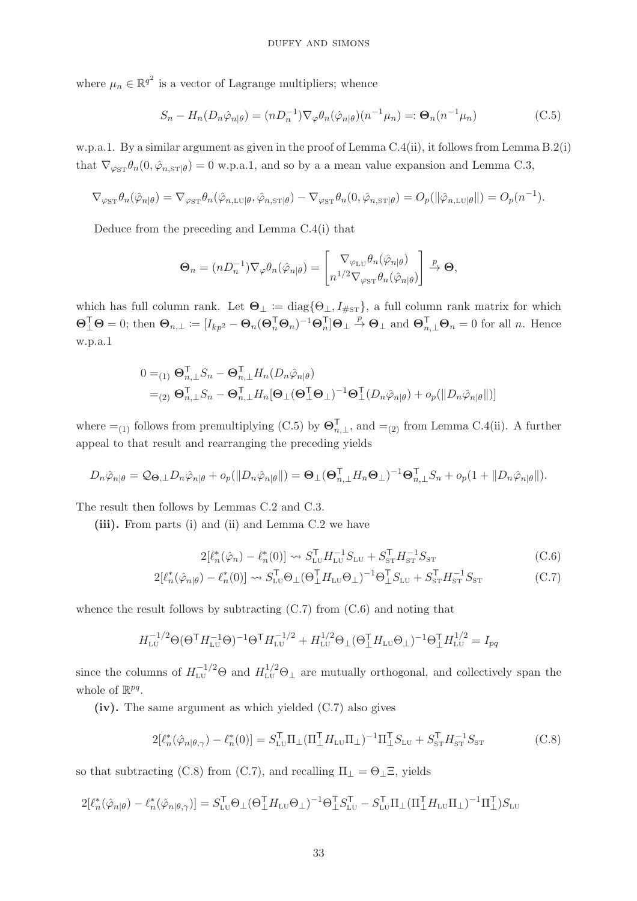where  $\mu_n \in \mathbb{R}^{q^2}$  is a vector of Lagrange multipliers; whence

<span id="page-34-0"></span>
$$
S_n - H_n(D_n \hat{\varphi}_{n|\theta}) = (nD_n^{-1}) \nabla_{\varphi} \theta_n(\hat{\varphi}_{n|\theta}) (n^{-1} \mu_n) =: \Theta_n(n^{-1} \mu_n)
$$
(C.5)

w.p.a.1. By a similar argument as given in the proof of Lemma [C.4](#page-31-1)[\(ii\),](#page-31-3) it follows from Lemma [B.2](#page-24-2)[\(i\)](#page-24-8) that  $\nabla_{\varphi_{ST}} \theta_n(0, \hat{\varphi}_{n,\text{ST}|\theta}) = 0$  w.p.a.1, and so by a a mean value expansion and Lemma [C.3,](#page-31-0)

$$
\nabla_{\varphi_{ST}} \theta_n(\hat{\varphi}_{n|\theta}) = \nabla_{\varphi_{ST}} \theta_n(\hat{\varphi}_{n,\text{LU}|\theta}, \hat{\varphi}_{n,\text{ST}|\theta}) - \nabla_{\varphi_{ST}} \theta_n(0, \hat{\varphi}_{n,\text{ST}|\theta}) = O_p(||\hat{\varphi}_{n,\text{LU}|\theta}||) = O_p(n^{-1}).
$$

Deduce from the preceding and Lemma [C.4](#page-31-1)[\(i\)](#page-31-4) that

$$
\mathbf{\Theta}_n = (nD_n^{-1}) \nabla_{\varphi} \theta_n(\hat{\varphi}_{n|\theta}) = \begin{bmatrix} \nabla_{\varphi_{\text{LU}}} \theta_n(\hat{\varphi}_{n|\theta}) \\ n^{1/2} \nabla_{\varphi_{\text{ST}}} \theta_n(\hat{\varphi}_{n|\theta}) \end{bmatrix} \xrightarrow{p} \mathbf{\Theta},
$$

which has full column rank. Let  $\Theta_{\perp} := \text{diag}\{\Theta_{\perp}, I_{\#ST}\}\$ , a full column rank matrix for which  $\Theta_{\perp}^{\mathsf{T}}\Theta=0$ ; then  $\Theta_{n,\perp}:=[I_{kp^2}-\Theta_n(\Theta_n^{\mathsf{T}}\Theta_n)^{-1}\Theta_n^{\mathsf{T}}]\Theta_{\perp}\stackrel{p}{\to}\Theta_{\perp}$  and  $\Theta_{n,\perp}^{\mathsf{T}}\Theta_n=0$  for all n. Hence w.p.a.1

$$
0 =_{(1)} \mathbf{\Theta}_{n,\perp}^{\mathsf{T}} S_n - \mathbf{\Theta}_{n,\perp}^{\mathsf{T}} H_n(D_n \hat{\varphi}_{n|\theta})
$$
  
=
$$
_{(2)} \mathbf{\Theta}_{n,\perp}^{\mathsf{T}} S_n - \mathbf{\Theta}_{n,\perp}^{\mathsf{T}} H_n[\mathbf{\Theta}_{\perp}(\mathbf{\Theta}_{\perp}^{\mathsf{T}} \mathbf{\Theta}_{\perp})^{-1} \mathbf{\Theta}_{\perp}^{\mathsf{T}} (D_n \hat{\varphi}_{n|\theta}) + o_p(||D_n \hat{\varphi}_{n|\theta}||)]
$$

where  $=_{(1)}$  follows from premultiplying [\(C.5\)](#page-34-0) by  $\Theta_{n,\perp}^{\mathsf{T}}$ , and  $=_{(2)}$  from Lemma [C.4](#page-31-1)[\(ii\).](#page-31-3) A further appeal to that result and rearranging the preceding yields

$$
D_n\hat{\varphi}_{n|\theta} = \mathcal{Q}_{\Theta,\perp}D_n\hat{\varphi}_{n|\theta} + o_p(||D_n\hat{\varphi}_{n|\theta}||) = \Theta_\perp(\Theta_{n,\perp}^\mathsf{T} H_n\Theta_\perp)^{-1}\Theta_{n,\perp}^\mathsf{T} S_n + o_p(1 + ||D_n\hat{\varphi}_{n|\theta}||).
$$

The result then follows by Lemmas [C.2](#page-30-1) and [C.3.](#page-31-0)

(iii). From parts (i) and (ii) and Lemma [C.2](#page-30-1) we have

<span id="page-34-2"></span><span id="page-34-1"></span>
$$
2[\ell_n^*(\hat{\varphi}_n) - \ell_n^*(0)] \leadsto S_{\text{LU}}^\mathsf{T} H_{\text{LU}}^{-1} S_{\text{LU}} + S_{\text{ST}}^\mathsf{T} H_{\text{ST}}^{-1} S_{\text{ST}} \tag{C.6}
$$

$$
2[\ell_n^*(\hat{\varphi}_{n|\theta}) - \ell_n^*(0)] \rightsquigarrow S_{\text{LU}}^\mathsf{T} \Theta_\perp (\Theta_\perp^\mathsf{T} H_{\text{LU}} \Theta_\perp)^{-1} \Theta_\perp^\mathsf{T} S_{\text{LU}} + S_{\text{ST}}^\mathsf{T} H_{\text{ST}}^{-1} S_{\text{ST}}
$$
(C.7)

whence the result follows by subtracting  $(C.7)$  from  $(C.6)$  and noting that

$$
H_{\text{LU}}^{-1/2}\Theta(\Theta^{\mathsf{T}}H_{\text{LU}}^{-1}\Theta)^{-1}\Theta^{\mathsf{T}}H_{\text{LU}}^{-1/2} + H_{\text{LU}}^{1/2}\Theta_{\perp}(\Theta_{\perp}^{\mathsf{T}}H_{\text{LU}}\Theta_{\perp})^{-1}\Theta_{\perp}^{\mathsf{T}}H_{\text{LU}}^{1/2} = I_{pq}
$$

since the columns of  $H_{\text{LU}}^{-1/2}\Theta$  and  $H_{\text{LU}}^{1/2}\Theta_{\perp}$  are mutually orthogonal, and collectively span the whole of  $\mathbb{R}^{pq}$ .

(iv). The same argument as which yielded [\(C.7\)](#page-34-1) also gives

<span id="page-34-3"></span>
$$
2[\ell_n^*(\hat{\varphi}_{n|\theta,\gamma}) - \ell_n^*(0)] = S_{\text{LU}}^\mathsf{T}\Pi_\perp (\Pi_\perp^\mathsf{T} H_{\text{LU}}\Pi_\perp)^{-1}\Pi_\perp^\mathsf{T} S_{\text{LU}} + S_{\text{ST}}^\mathsf{T} H_{\text{ST}}^{-1} S_{\text{ST}}
$$
(C.8)

so that subtracting [\(C.8\)](#page-34-3) from [\(C.7\)](#page-34-1), and recalling  $\Pi_{\perp} = \Theta_{\perp} \Xi$ , yields

$$
2[\ell_n^*(\hat{\varphi}_{n|\theta})-\ell_n^*(\hat{\varphi}_{n|\theta,\gamma})]=S_{\text{LU}}^\textsf{T}\Theta_\perp(\Theta_\perp^\textsf{T} H_{\text{LU}}\Theta_\perp)^{-1}\Theta_\perp^\textsf{T} S_{\text{LU}}^\textsf{T}-S_{\text{LU}}^\textsf{T}\Pi_\perp (\Pi_\perp^\textsf{T} H_{\text{LU}}\Pi_\perp)^{-1}\Pi_\perp^\textsf{T})S_{\text{LU}}
$$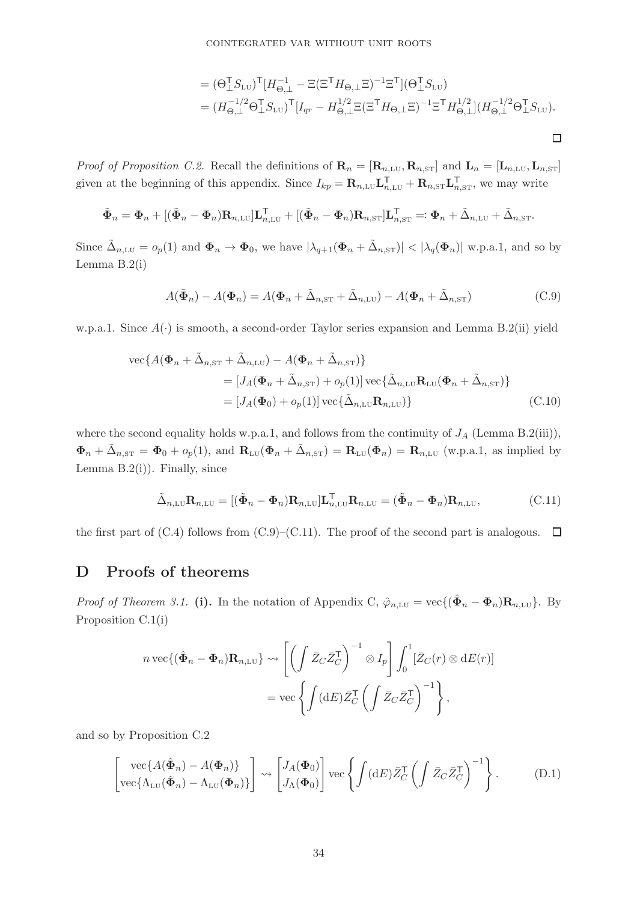$$
= (\Theta_{\perp}^{\mathsf{T}} S_{\text{LU}})^{\mathsf{T}} [H_{\Theta,\perp}^{-1} - \Xi (\Xi^{\mathsf{T}} H_{\Theta,\perp} \Xi)^{-1} \Xi^{\mathsf{T}}] (\Theta_{\perp}^{\mathsf{T}} S_{\text{LU}})
$$
  

$$
= (H_{\Theta,\perp}^{-1/2} \Theta_{\perp}^{\mathsf{T}} S_{\text{LU}})^{\mathsf{T}} [I_{qr} - H_{\Theta,\perp}^{1/2} \Xi (\Xi^{\mathsf{T}} H_{\Theta,\perp} \Xi)^{-1} \Xi^{\mathsf{T}} H_{\Theta,\perp}^{1/2}] (H_{\Theta,\perp}^{-1/2} \Theta_{\perp}^{\mathsf{T}} S_{\text{LU}}).
$$

*Proof of Proposition [C.2.](#page-32-0)* Recall the definitions of  $\mathbf{R}_n = [\mathbf{R}_{n,\text{LU}}, \mathbf{R}_{n,\text{ST}}]$  and  $\mathbf{L}_n = [\mathbf{L}_{n,\text{LU}}, \mathbf{L}_{n,\text{ST}}]$ given at the beginning of this appendix. Since  $I_{kp} = \mathbf{R}_{n,\text{LU}} \mathbf{L}_{n,\text{LU}}^{\mathsf{T}} + \mathbf{R}_{n,\text{ST}} \mathbf{L}_{n,\text{ST}}^{\mathsf{T}}$ , we may write

$$
\tilde{\mathbf{\Phi}}_n = \mathbf{\Phi}_n + [(\tilde{\mathbf{\Phi}}_n - \mathbf{\Phi}_n) \mathbf{R}_{n,\text{LU}}] \mathbf{L}_{n,\text{LU}}^\mathsf{T} + [(\tilde{\mathbf{\Phi}}_n - \mathbf{\Phi}_n) \mathbf{R}_{n,\text{ST}}] \mathbf{L}_{n,\text{ST}}^\mathsf{T} =: \mathbf{\Phi}_n + \tilde{\Delta}_{n,\text{LU}} + \tilde{\Delta}_{n,\text{ST}}.
$$

Since  $\tilde{\Delta}_{n,\text{LU}} = o_p(1)$  and  $\Phi_n \to \Phi_0$ , we have  $|\lambda_{q+1}(\Phi_n + \tilde{\Delta}_{n,\text{ST}})| < |\lambda_q(\Phi_n)|$  w.p.a.1, and so by Lemma [B.2](#page-24-2)[\(i\)](#page-24-8)

<span id="page-35-1"></span>
$$
A(\tilde{\Phi}_n) - A(\Phi_n) = A(\Phi_n + \tilde{\Delta}_{n,\text{ST}} + \tilde{\Delta}_{n,\text{LU}}) - A(\Phi_n + \tilde{\Delta}_{n,\text{ST}})
$$
(C.9)

w.p.a.1. Since  $A(\cdot)$  is smooth, a second-order Taylor series expansion and Lemma [B.2](#page-24-2)[\(ii\)](#page-24-7) yield

vec
$$
\begin{split} \n\text{vec}\{A(\boldsymbol{\Phi}_{n} + \tilde{\Delta}_{n,\text{ST}} + \tilde{\Delta}_{n,\text{LU}}) - A(\boldsymbol{\Phi}_{n} + \tilde{\Delta}_{n,\text{ST}})\} \\
&= [J_{A}(\boldsymbol{\Phi}_{n} + \tilde{\Delta}_{n,\text{ST}}) + o_{p}(1)] \text{vec}\{\tilde{\Delta}_{n,\text{LU}}\mathbf{R}_{\text{LU}}(\boldsymbol{\Phi}_{n} + \tilde{\Delta}_{n,\text{ST}})\} \\
&= [J_{A}(\boldsymbol{\Phi}_{0}) + o_{p}(1)] \text{vec}\{\tilde{\Delta}_{n,\text{LU}}\mathbf{R}_{n,\text{LU}}\}\n\end{split} \tag{C.10}
$$

where the second equality holds w.p.a.1, and follows from the continuity of  $J_A$  (Lemma [B.2](#page-24-2)[\(iii\)\)](#page-24-9),  $\Phi_n + \tilde{\Delta}_{n,\text{ST}} = \Phi_0 + o_p(1)$ , and  $\mathbf{R}_{\text{LU}}(\Phi_n + \tilde{\Delta}_{n,\text{ST}}) = \mathbf{R}_{\text{LU}}(\Phi_n) = \mathbf{R}_{n,\text{LU}}$  (w.p.a.1, as implied by Lemma  $B.2(i)$ ). Finally, since

<span id="page-35-2"></span>
$$
\tilde{\Delta}_{n,\text{LU}} \mathbf{R}_{n,\text{LU}} = [(\tilde{\Phi}_n - \Phi_n) \mathbf{R}_{n,\text{LU}}] \mathbf{L}_{n,\text{LU}}^\mathsf{T} \mathbf{R}_{n,\text{LU}} = (\tilde{\Phi}_n - \Phi_n) \mathbf{R}_{n,\text{LU}},
$$
\n(C.11)

<span id="page-35-0"></span>the first part of [\(C.4\)](#page-32-1) follows from [\(C.9\)](#page-35-1)–[\(C.11\)](#page-35-2). The proof of the second part is analogous.  $\Box$ 

## D Proofs of theorems

*Proof of Theorem [3.1.](#page-12-3)* (i). In the notation of Appendix [C,](#page-29-0)  $\hat{\varphi}_{n,\text{LU}} = \text{vec}\{(\hat{\Phi}_n - \Phi_n)R_{n,\text{LU}}\}$ . By Proposition [C.1](#page-31-2)[\(i\)](#page-31-5)

$$
n \operatorname{vec}\{(\hat{\Phi}_n - \Phi_n) \mathbf{R}_{n,\text{LU}}\} \rightsquigarrow \left[ \left( \int \bar{Z}_C \bar{Z}_C^\mathsf{T} \right)^{-1} \otimes I_p \right] \int_0^1 [\bar{Z}_C(r) \otimes \mathrm{d}E(r)]
$$

$$
= \operatorname{vec}\left\{ \int (\mathrm{d}E) \bar{Z}_C^\mathsf{T} \left( \int \bar{Z}_C \bar{Z}_C^\mathsf{T} \right)^{-1} \right\},
$$

and so by Proposition [C.2](#page-32-0)

<span id="page-35-3"></span>
$$
\left[\operatorname{vec}\left\{A(\hat{\Phi}_n) - A(\Phi_n)\right\}\right] \rightsquigarrow \left[\frac{J_A(\Phi_0)}{J_\Lambda(\Phi_0)}\right] \operatorname{vec}\left\{\int (\mathrm{d}E)\bar{Z}_C^\mathsf{T} \left(\int \bar{Z}_C \bar{Z}_C^\mathsf{T}\right)^{-1}\right\}.
$$
\n(D.1)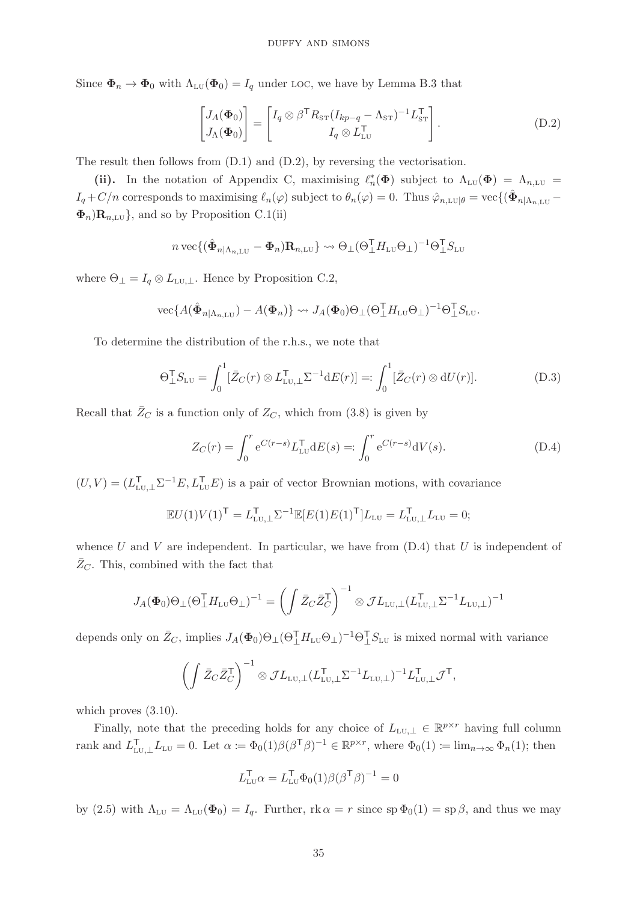Since  $\Phi_n \to \Phi_0$  with  $\Lambda_{\text{LU}}(\Phi_0) = I_q$  under [LOC](#page-10-2), we have by Lemma [B.3](#page-25-2) that

<span id="page-36-0"></span>
$$
\begin{bmatrix} J_A(\Phi_0) \\ J_\Lambda(\Phi_0) \end{bmatrix} = \begin{bmatrix} I_q \otimes \beta^\mathsf{T} R_{\mathrm{ST}} (I_{kp-q} - \Lambda_{\mathrm{ST}})^{-1} L_{\mathrm{ST}}^\mathsf{T} \\ I_q \otimes L_{\mathrm{LU}}^\mathsf{T} \end{bmatrix} . \tag{D.2}
$$

The result then follows from  $(D.1)$  and  $(D.2)$ , by reversing the vectorisation.

(ii). In the notation of Appendix [C,](#page-29-0) maximising  $\ell_n^*(\Phi)$  subject to  $\Lambda_{LU}(\Phi) = \Lambda_{n,LU}$  $I_q+C/n$  corresponds to maximising  $\ell_n(\varphi)$  subject to  $\theta_n(\varphi)=0$ . Thus  $\hat{\varphi}_{n,\text{LU}}\theta=\text{vec}\{(\hat{\Phi}_{n|\Lambda_{n,\text{LU}}}-\varphi)$  $\Phi_n$ ) $\mathbf{R}_{n,\text{LU}}$ , and so by Proposition [C.1](#page-31-2)[\(ii\)](#page-31-6)

$$
n \operatorname{vec}\left\{ (\hat{\boldsymbol{\Phi}}_{n|{\Lambda_{n,\text{LU}}}} - \boldsymbol{\Phi}_n) \mathbf{R}_{n,\text{LU}} \right\} \rightsquigarrow \Theta_{\perp} (\Theta_{\perp}^\mathsf{T} H_{\text{LU}} \Theta_{\perp})^{-1} \Theta_{\perp}^\mathsf{T} S_{\text{LU}}
$$

where  $\Theta_{\perp} = I_q \otimes L_{\text{LU},\perp}$ . Hence by Proposition [C.2,](#page-32-0)

vec
$$
\{A(\hat{\Phi}_{n|\Lambda_{n,\mathrm{LU}}}) - A(\Phi_n)\}\leadsto J_A(\Phi_0)\Theta_\perp(\Theta_\perp^\mathsf{T} H_{\mathrm{LU}}\Theta_\perp)^{-1}\Theta_\perp^\mathsf{T} S_{\mathrm{LU}}.
$$

To determine the distribution of the r.h.s., we note that

<span id="page-36-2"></span>
$$
\Theta_{\perp}^{\mathsf{T}} S_{\mathrm{LU}} = \int_0^1 [\bar{Z}_C(r) \otimes L_{\mathrm{LU},\perp}^{\mathsf{T}} \Sigma^{-1} \mathrm{d}E(r)] =: \int_0^1 [\bar{Z}_C(r) \otimes \mathrm{d}U(r)]. \tag{D.3}
$$

Recall that  $\bar{Z}_C$  is a function only of  $Z_C$ , which from [\(3.8\)](#page-11-2) is given by

<span id="page-36-1"></span>
$$
Z_C(r) = \int_0^r e^{C(r-s)} L_{\text{LU}}^\mathsf{T} dE(s) =: \int_0^r e^{C(r-s)} dV(s).
$$
 (D.4)

 $(U, V) = (L_{\text{LU}, \perp}^{\mathsf{T}} \Sigma^{-1} E, L_{\text{LU}}^{\mathsf{T}} E)$  is a pair of vector Brownian motions, with covariance

$$
\mathbb{E}U(1)V(1)^{\mathsf{T}} = L_{\text{LU},\perp}^{\mathsf{T}} \Sigma^{-1} \mathbb{E} [E(1)E(1)^{\mathsf{T}}] L_{\text{LU}} = L_{\text{LU},\perp}^{\mathsf{T}} L_{\text{LU}} = 0;
$$

whence U and V are independent. In particular, we have from  $(D.4)$  that U is independent of  $Z<sub>C</sub>$ . This, combined with the fact that

$$
J_A(\Phi_0)\Theta_\perp(\Theta_\perp^\mathsf{T} H_{\text{LU}}\Theta_\perp)^{-1} = \left(\int \bar{Z}_C \bar{Z}_C^\mathsf{T}\right)^{-1} \otimes \mathcal{J} L_{\text{LU},\perp} (L_{\text{LU},\perp}^\mathsf{T} \Sigma^{-1} L_{\text{LU},\perp})^{-1}
$$

depends only on  $\bar{Z}_C$ , implies  $J_A(\Phi_0) \Theta_\perp (\Theta_\perp^\mathsf{T} H_{\text{LU}} \Theta_\perp)^{-1} \Theta_\perp^\mathsf{T} S_{\text{LU}}$  is mixed normal with variance

$$
\left(\int \bar{Z}_C \bar{Z}_C^\mathsf{T}\right)^{-1} \otimes \mathcal{J} L_{\text{LU},\perp} (L_{\text{LU},\perp}^\mathsf{T} \Sigma^{-1} L_{\text{LU},\perp})^{-1} L_{\text{LU},\perp}^\mathsf{T} \mathcal{J}^\mathsf{T},
$$

which proves  $(3.10)$ .

Finally, note that the preceding holds for any choice of  $L_{\text{LU},\perp} \in \mathbb{R}^{p \times r}$  having full column rank and  $L_{\text{LU},\perp}^{\text{T}}L_{\text{LU}}=0$ . Let  $\alpha := \Phi_0(1)\beta(\beta^{\text{T}}\beta)^{-1} \in \mathbb{R}^{p \times r}$ , where  $\Phi_0(1) := \lim_{n \to \infty} \Phi_n(1)$ ; then

$$
L_{\text{LU}}^\mathsf{T}\alpha=L_{\text{LU}}^\mathsf{T}\Phi_0(1)\beta(\beta^\mathsf{T}\beta)^{-1}=0
$$

by [\(2.5\)](#page-5-3) with  $\Lambda_{\text{LU}} = \Lambda_{\text{LU}}(\Phi_0) = I_q$ . Further,  $\text{rk}\,\alpha = r$  since  $\text{sp}\,\Phi_0(1) = \text{sp}\,\beta$ , and thus we may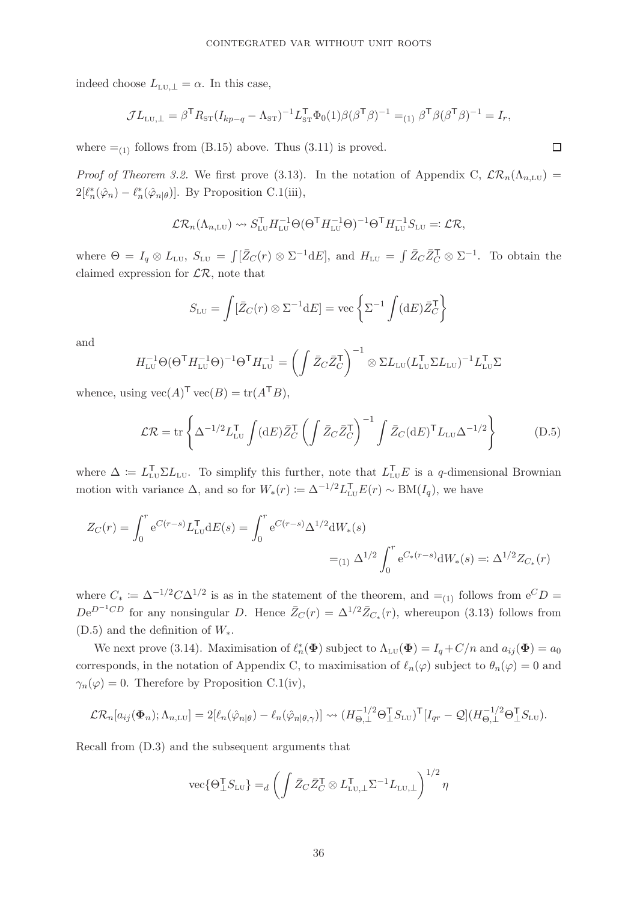indeed choose  $L_{\text{LU},\perp} = \alpha$ . In this case,

$$
\mathcal{J}L_{\text{LU},\perp} = \beta^{\mathsf{T}} R_{\text{ST}} (I_{kp-q} - \Lambda_{\text{ST}})^{-1} L_{\text{ST}}^{\mathsf{T}} \Phi_0(1) \beta (\beta^{\mathsf{T}} \beta)^{-1} =_{(1)} \beta^{\mathsf{T}} \beta (\beta^{\mathsf{T}} \beta)^{-1} = I_r,
$$

where  $=_{(1)}$  follows from [\(B.15\)](#page-29-6) above. Thus [\(3.11\)](#page-12-1) is proved.

Proof of Theorem [3.2.](#page-13-1) We first prove [\(3.13\)](#page-13-3). In the notation of Appendix [C,](#page-29-0)  $\mathcal{LR}_n(\Lambda_{n,\text{LU}})$  =  $2[\ell_n^*(\hat{\varphi}_n) - \ell_n^*(\hat{\varphi}_{n|\theta})]$ . By Proposition [C.1](#page-31-2)[\(iii\),](#page-31-7)

$$
\mathcal{LR}_n(\Lambda_{n,\text{LU}}) \rightsquigarrow S_{\text{LU}}^{\mathsf{T}} H_{\text{LU}}^{-1} \Theta (\Theta^{\mathsf{T}} H_{\text{LU}}^{-1} \Theta)^{-1} \Theta^{\mathsf{T}} H_{\text{LU}}^{-1} S_{\text{LU}} =: \mathcal{LR},
$$

where  $\Theta = I_q \otimes L_{\text{LU}}$ ,  $S_{\text{LU}} = \int [\bar{Z}_C(r) \otimes \Sigma^{-1} dE]$ , and  $H_{\text{LU}} = \int \bar{Z}_C \bar{Z}_C^{\mathsf{T}} \otimes \Sigma^{-1}$ . To obtain the claimed expression for  $\mathcal{LR}$ , note that

$$
S_{\text{LU}} = \int [\bar{Z}_C(r) \otimes \Sigma^{-1} \mathrm{d}E] = \text{vec}\left\{\Sigma^{-1} \int (\mathrm{d}E) \bar{Z}_C^\mathsf{T}\right\}
$$

and

$$
H_{\text{LU}}^{-1}\Theta(\Theta^{\mathsf{T}}H_{\text{LU}}^{-1}\Theta)^{-1}\Theta^{\mathsf{T}}H_{\text{LU}}^{-1}=\left(\int\bar{Z}_C\bar{Z}_C^{\mathsf{T}}\right)^{-1}\otimes\Sigma L_{\text{LU}}(L_{\text{LU}}^{\mathsf{T}}\Sigma L_{\text{LU}})^{-1}L_{\text{LU}}^{\mathsf{T}}\Sigma
$$

whence, using  $\operatorname{vec}(A)^{\mathsf{T}} \operatorname{vec}(B) = \operatorname{tr}(A^{\mathsf{T}}B)$ ,

$$
\mathcal{LR} = \text{tr}\left\{\Delta^{-1/2} L_{\text{LU}}^{\mathsf{T}} \int (\text{d}E) \bar{Z}_C^{\mathsf{T}} \left(\int \bar{Z}_C \bar{Z}_C^{\mathsf{T}}\right)^{-1} \int \bar{Z}_C (\text{d}E)^{\mathsf{T}} L_{\text{LU}} \Delta^{-1/2}\right\}
$$
(D.5)

where  $\Delta := L_{\text{LU}}^{\text{T}} \Sigma L_{\text{LU}}$ . To simplify this further, note that  $L_{\text{LU}}^{\text{T}} E$  is a q-dimensional Brownian motion with variance  $\Delta$ , and so for  $W_*(r) := \Delta^{-1/2} L_{\text{LU}}^{\text{T}} E(r) \sim BM(I_q)$ , we have

$$
Z_C(r) = \int_0^r e^{C(r-s)} L_{\text{LU}}^\mathsf{T} dE(s) = \int_0^r e^{C(r-s)} \Delta^{1/2} dW_*(s)
$$
  
=<sub>(1)</sub>  $\Delta^{1/2} \int_0^r e^{C_*(r-s)} dW_*(s) =: \Delta^{1/2} Z_{C_*}(r)$ 

where  $C_* \coloneqq \Delta^{-1/2} C \Delta^{1/2}$  is as in the statement of the theorem, and  $=_{(1)}$  follows from  $e^C D =$  $De^{D^{-1}CD}$  for any nonsingular D. Hence  $\bar{Z}_C(r) = \Delta^{1/2} \bar{Z}_{C_*}(r)$ , whereupon [\(3.13\)](#page-13-3) follows from [\(D.5\)](#page-37-0) and the definition of  $W_*$ .

We next prove [\(3.14\)](#page-13-4). Maximisation of  $\ell_n^*(\Phi)$  subject to  $\Lambda_{LU}(\Phi) = I_q + C/n$  and  $a_{ij}(\Phi) = a_0$ corresponds, in the notation of Appendix [C,](#page-29-0) to maximisation of  $\ell_n(\varphi)$  subject to  $\theta_n(\varphi) = 0$  and  $\gamma_n(\varphi) = 0$ . Therefore by Proposition [C.1](#page-31-2)[\(iv\),](#page-31-8)

$$
\mathcal{LR}_n[a_{ij}(\Phi_n); \Lambda_{n,\text{LU}}] = 2[\ell_n(\hat{\varphi}_{n|\theta}) - \ell_n(\hat{\varphi}_{n|\theta,\gamma})] \rightsquigarrow (H_{\Theta,\perp}^{-1/2}\Theta_{\perp}^{\mathsf{T}}S_{\text{LU}})^{\mathsf{T}}[I_{qr} - \mathcal{Q}](H_{\Theta,\perp}^{-1/2}\Theta_{\perp}^{\mathsf{T}}S_{\text{LU}}).
$$

Recall from [\(D.3\)](#page-36-2) and the subsequent arguments that

vec
$$
\{\Theta_{\perp}^{\mathsf{T}}S_{\text{LU}}\}
$$
 = $d \left( \int \bar{Z}_C \bar{Z}_C^{\mathsf{T}} \otimes L_{\text{LU},\perp}^{\mathsf{T}} \Sigma^{-1} L_{\text{LU},\perp} \right)^{1/2} \eta$ 

<span id="page-37-0"></span> $\Box$